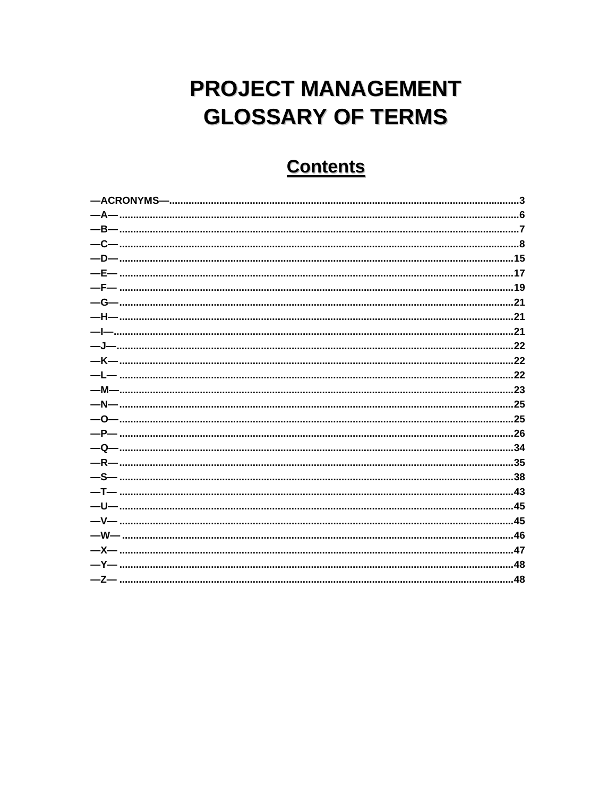## **PROJECT MANAGEMENT GLOSSARY OF TERMS**

## **Contents**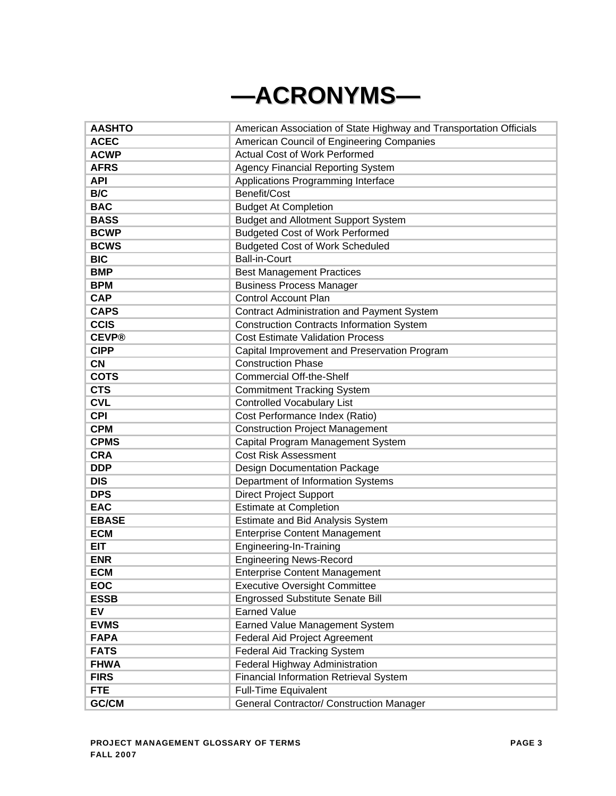## **—ACRONYMS—**

| <b>AASHTO</b> | American Association of State Highway and Transportation Officials |
|---------------|--------------------------------------------------------------------|
| <b>ACEC</b>   | American Council of Engineering Companies                          |
| <b>ACWP</b>   | <b>Actual Cost of Work Performed</b>                               |
| <b>AFRS</b>   | <b>Agency Financial Reporting System</b>                           |
| <b>API</b>    | Applications Programming Interface                                 |
| B/C           | Benefit/Cost                                                       |
| <b>BAC</b>    | <b>Budget At Completion</b>                                        |
| <b>BASS</b>   | Budget and Allotment Support System                                |
| <b>BCWP</b>   | <b>Budgeted Cost of Work Performed</b>                             |
| <b>BCWS</b>   | <b>Budgeted Cost of Work Scheduled</b>                             |
| <b>BIC</b>    | <b>Ball-in-Court</b>                                               |
| <b>BMP</b>    | <b>Best Management Practices</b>                                   |
| <b>BPM</b>    | <b>Business Process Manager</b>                                    |
| <b>CAP</b>    | <b>Control Account Plan</b>                                        |
| <b>CAPS</b>   | <b>Contract Administration and Payment System</b>                  |
| <b>CCIS</b>   | <b>Construction Contracts Information System</b>                   |
| <b>CEVP®</b>  | <b>Cost Estimate Validation Process</b>                            |
| <b>CIPP</b>   | Capital Improvement and Preservation Program                       |
| <b>CN</b>     | <b>Construction Phase</b>                                          |
| <b>COTS</b>   | <b>Commercial Off-the-Shelf</b>                                    |
| <b>CTS</b>    | <b>Commitment Tracking System</b>                                  |
| <b>CVL</b>    | <b>Controlled Vocabulary List</b>                                  |
| <b>CPI</b>    | Cost Performance Index (Ratio)                                     |
| <b>CPM</b>    | <b>Construction Project Management</b>                             |
| <b>CPMS</b>   | Capital Program Management System                                  |
| <b>CRA</b>    | <b>Cost Risk Assessment</b>                                        |
| <b>DDP</b>    | <b>Design Documentation Package</b>                                |
| <b>DIS</b>    | Department of Information Systems                                  |
| <b>DPS</b>    | <b>Direct Project Support</b>                                      |
| <b>EAC</b>    | <b>Estimate at Completion</b>                                      |
| <b>EBASE</b>  | Estimate and Bid Analysis System                                   |
| <b>ECM</b>    | <b>Enterprise Content Management</b>                               |
| <b>EIT</b>    | Engineering-In-Training                                            |
| <b>ENR</b>    | <b>Engineering News-Record</b>                                     |
| <b>ECM</b>    | <b>Enterprise Content Management</b>                               |
| <b>EOC</b>    | <b>Executive Oversight Committee</b>                               |
| <b>ESSB</b>   | <b>Engrossed Substitute Senate Bill</b>                            |
| EV            | <b>Earned Value</b>                                                |
| <b>EVMS</b>   | Earned Value Management System                                     |
| <b>FAPA</b>   | Federal Aid Project Agreement                                      |
| <b>FATS</b>   | <b>Federal Aid Tracking System</b>                                 |
| <b>FHWA</b>   | Federal Highway Administration                                     |
| <b>FIRS</b>   | Financial Information Retrieval System                             |
| <b>FTE</b>    | <b>Full-Time Equivalent</b>                                        |
| GC/CM         | <b>General Contractor/ Construction Manager</b>                    |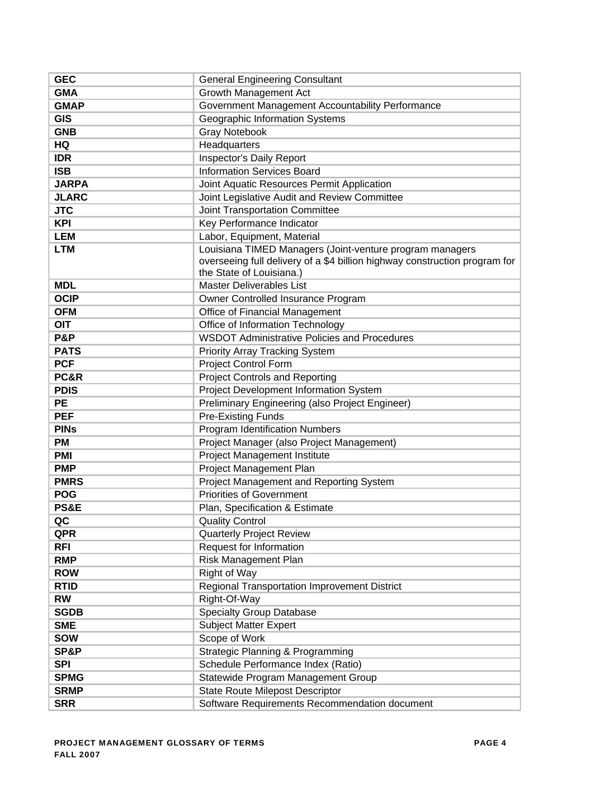| <b>GEC</b>      | <b>General Engineering Consultant</b>                                                                                                                              |
|-----------------|--------------------------------------------------------------------------------------------------------------------------------------------------------------------|
| <b>GMA</b>      | Growth Management Act                                                                                                                                              |
| <b>GMAP</b>     | Government Management Accountability Performance                                                                                                                   |
| <b>GIS</b>      | Geographic Information Systems                                                                                                                                     |
| <b>GNB</b>      | <b>Gray Notebook</b>                                                                                                                                               |
| HQ              | Headquarters                                                                                                                                                       |
| <b>IDR</b>      | <b>Inspector's Daily Report</b>                                                                                                                                    |
| <b>ISB</b>      | <b>Information Services Board</b>                                                                                                                                  |
| <b>JARPA</b>    | Joint Aquatic Resources Permit Application                                                                                                                         |
| <b>JLARC</b>    | Joint Legislative Audit and Review Committee                                                                                                                       |
| <b>JTC</b>      | Joint Transportation Committee                                                                                                                                     |
| <b>KPI</b>      | Key Performance Indicator                                                                                                                                          |
| <b>LEM</b>      | Labor, Equipment, Material                                                                                                                                         |
| <b>LTM</b>      | Louisiana TIMED Managers (Joint-venture program managers<br>overseeing full delivery of a \$4 billion highway construction program for<br>the State of Louisiana.) |
| <b>MDL</b>      | <b>Master Deliverables List</b>                                                                                                                                    |
| <b>OCIP</b>     | Owner Controlled Insurance Program                                                                                                                                 |
| <b>OFM</b>      | Office of Financial Management                                                                                                                                     |
| OIT             | Office of Information Technology                                                                                                                                   |
| <b>P&amp;P</b>  | <b>WSDOT Administrative Policies and Procedures</b>                                                                                                                |
| <b>PATS</b>     | <b>Priority Array Tracking System</b>                                                                                                                              |
| <b>PCF</b>      | <b>Project Control Form</b>                                                                                                                                        |
| PC&R            | <b>Project Controls and Reporting</b>                                                                                                                              |
| <b>PDIS</b>     | Project Development Information System                                                                                                                             |
| <b>PE</b>       | Preliminary Engineering (also Project Engineer)                                                                                                                    |
| <b>PEF</b>      | <b>Pre-Existing Funds</b>                                                                                                                                          |
| <b>PINs</b>     | <b>Program Identification Numbers</b>                                                                                                                              |
| <b>PM</b>       | Project Manager (also Project Management)                                                                                                                          |
| <b>PMI</b>      | Project Management Institute                                                                                                                                       |
| <b>PMP</b>      | Project Management Plan                                                                                                                                            |
| <b>PMRS</b>     | Project Management and Reporting System                                                                                                                            |
| <b>POG</b>      | <b>Priorities of Government</b>                                                                                                                                    |
| <b>PS&amp;E</b> | Plan, Specification & Estimate                                                                                                                                     |
| QC              | <b>Quality Control</b>                                                                                                                                             |
| QPR             | <b>Quarterly Project Review</b>                                                                                                                                    |
| <b>RFI</b>      | Request for Information                                                                                                                                            |
| <b>RMP</b>      | Risk Management Plan                                                                                                                                               |
| <b>ROW</b>      | Right of Way                                                                                                                                                       |
| <b>RTID</b>     | <b>Regional Transportation Improvement District</b>                                                                                                                |
| <b>RW</b>       | Right-Of-Way                                                                                                                                                       |
| <b>SGDB</b>     | <b>Specialty Group Database</b>                                                                                                                                    |
| <b>SME</b>      | <b>Subject Matter Expert</b>                                                                                                                                       |
| <b>SOW</b>      | Scope of Work                                                                                                                                                      |
| SP&P            | <b>Strategic Planning &amp; Programming</b>                                                                                                                        |
| <b>SPI</b>      | Schedule Performance Index (Ratio)                                                                                                                                 |
| <b>SPMG</b>     | Statewide Program Management Group                                                                                                                                 |
| <b>SRMP</b>     | <b>State Route Milepost Descriptor</b>                                                                                                                             |
| <b>SRR</b>      | Software Requirements Recommendation document                                                                                                                      |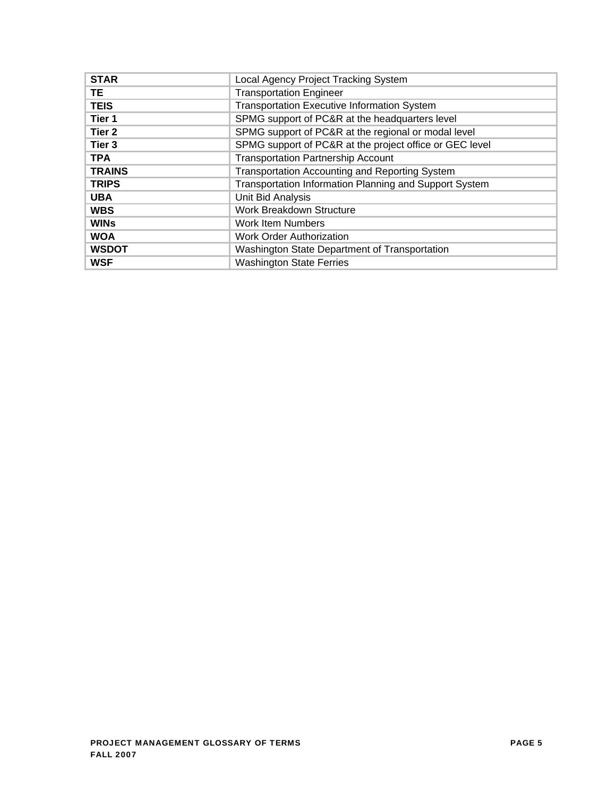| <b>STAR</b>       | Local Agency Project Tracking System                    |
|-------------------|---------------------------------------------------------|
| TE.               | <b>Transportation Engineer</b>                          |
| <b>TEIS</b>       | <b>Transportation Executive Information System</b>      |
| Tier 1            | SPMG support of PC&R at the headquarters level          |
| Tier <sub>2</sub> | SPMG support of PC&R at the regional or modal level     |
| Tier 3            | SPMG support of PC&R at the project office or GEC level |
| <b>TPA</b>        | <b>Transportation Partnership Account</b>               |
| <b>TRAINS</b>     | Transportation Accounting and Reporting System          |
| <b>TRIPS</b>      | Transportation Information Planning and Support System  |
| <b>UBA</b>        | Unit Bid Analysis                                       |
| <b>WBS</b>        | <b>Work Breakdown Structure</b>                         |
| <b>WINs</b>       | <b>Work Item Numbers</b>                                |
| <b>WOA</b>        | <b>Work Order Authorization</b>                         |
| <b>WSDOT</b>      | Washington State Department of Transportation           |
| <b>WSF</b>        | <b>Washington State Ferries</b>                         |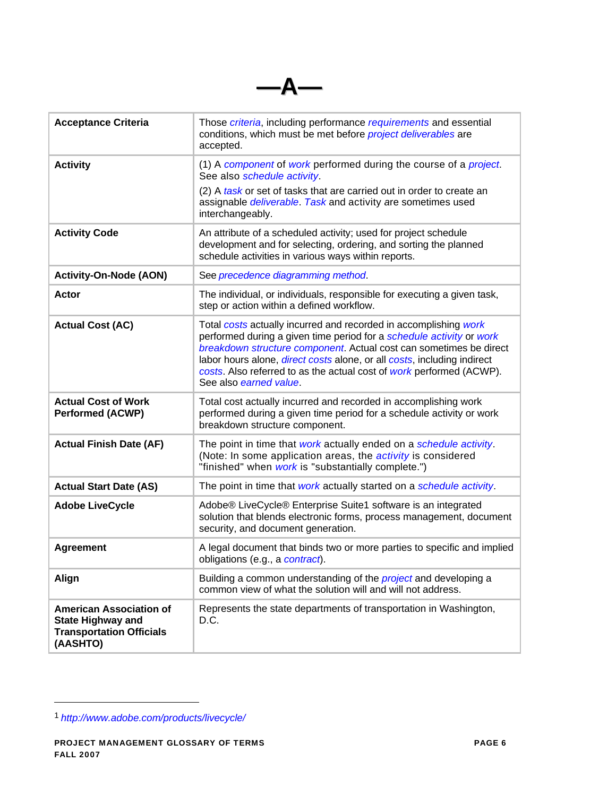

| <b>Acceptance Criteria</b>                                                                                | Those <i>criteria</i> , including performance <i>requirements</i> and essential<br>conditions, which must be met before project deliverables are<br>accepted.                                                                                                                                                                                                                                      |
|-----------------------------------------------------------------------------------------------------------|----------------------------------------------------------------------------------------------------------------------------------------------------------------------------------------------------------------------------------------------------------------------------------------------------------------------------------------------------------------------------------------------------|
| <b>Activity</b>                                                                                           | (1) A component of work performed during the course of a project.<br>See also schedule activity.                                                                                                                                                                                                                                                                                                   |
|                                                                                                           | (2) A task or set of tasks that are carried out in order to create an<br>assignable <i>deliverable</i> . Task and activity are sometimes used<br>interchangeably.                                                                                                                                                                                                                                  |
| <b>Activity Code</b>                                                                                      | An attribute of a scheduled activity; used for project schedule<br>development and for selecting, ordering, and sorting the planned<br>schedule activities in various ways within reports.                                                                                                                                                                                                         |
| <b>Activity-On-Node (AON)</b>                                                                             | See precedence diagramming method.                                                                                                                                                                                                                                                                                                                                                                 |
| Actor                                                                                                     | The individual, or individuals, responsible for executing a given task,<br>step or action within a defined workflow.                                                                                                                                                                                                                                                                               |
| <b>Actual Cost (AC)</b>                                                                                   | Total costs actually incurred and recorded in accomplishing work<br>performed during a given time period for a schedule activity or work<br>breakdown structure component. Actual cost can sometimes be direct<br>labor hours alone, <i>direct costs</i> alone, or all costs, including indirect<br>costs. Also referred to as the actual cost of work performed (ACWP).<br>See also earned value. |
| <b>Actual Cost of Work</b><br><b>Performed (ACWP)</b>                                                     | Total cost actually incurred and recorded in accomplishing work<br>performed during a given time period for a schedule activity or work<br>breakdown structure component.                                                                                                                                                                                                                          |
| <b>Actual Finish Date (AF)</b>                                                                            | The point in time that work actually ended on a schedule activity.<br>(Note: In some application areas, the <i>activity</i> is considered<br>"finished" when work is "substantially complete.")                                                                                                                                                                                                    |
| <b>Actual Start Date (AS)</b>                                                                             | The point in time that work actually started on a schedule activity.                                                                                                                                                                                                                                                                                                                               |
| <b>Adobe LiveCycle</b>                                                                                    | Adobe® LiveCycle® Enterprise Suite1 software is an integrated<br>solution that blends electronic forms, process management, document<br>security, and document generation.                                                                                                                                                                                                                         |
| <b>Agreement</b>                                                                                          | A legal document that binds two or more parties to specific and implied<br>obligations (e.g., a contract).                                                                                                                                                                                                                                                                                         |
| Align                                                                                                     | Building a common understanding of the <i>project</i> and developing a<br>common view of what the solution will and will not address.                                                                                                                                                                                                                                                              |
| <b>American Association of</b><br><b>State Highway and</b><br><b>Transportation Officials</b><br>(AASHTO) | Represents the state departments of transportation in Washington,<br>D.C.                                                                                                                                                                                                                                                                                                                          |

 $\overline{a}$ 

<sup>1</sup> *http://www.adobe.com/products/livecycle/*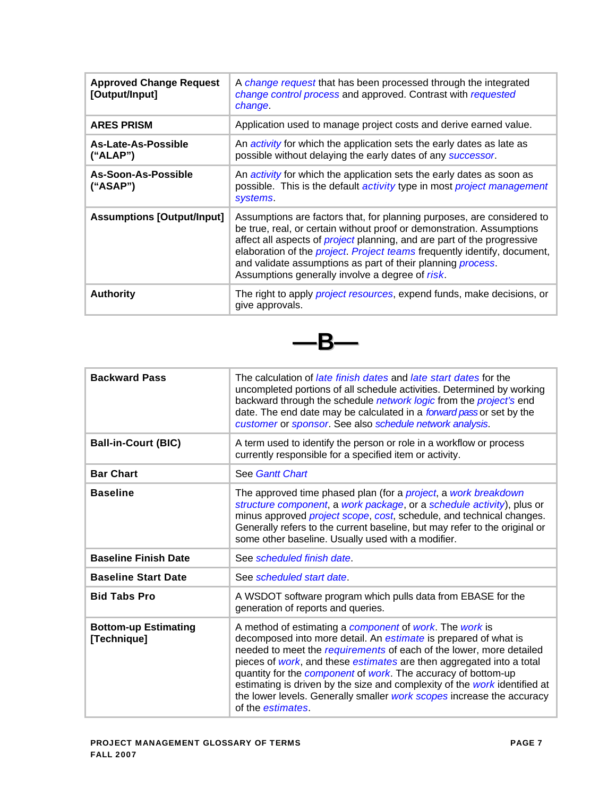| <b>Approved Change Request</b><br>[Output/Input] | A change request that has been processed through the integrated<br>change control process and approved. Contrast with requested<br><i>change</i>                                                                                                                                                                                                                                                                                               |
|--------------------------------------------------|------------------------------------------------------------------------------------------------------------------------------------------------------------------------------------------------------------------------------------------------------------------------------------------------------------------------------------------------------------------------------------------------------------------------------------------------|
| <b>ARES PRISM</b>                                | Application used to manage project costs and derive earned value.                                                                                                                                                                                                                                                                                                                                                                              |
| <b>As-Late-As-Possible</b><br>("ALAP")           | An <i>activity</i> for which the application sets the early dates as late as<br>possible without delaying the early dates of any successor.                                                                                                                                                                                                                                                                                                    |
| As-Soon-As-Possible<br>("ASAP")                  | An <i>activity</i> for which the application sets the early dates as soon as<br>possible. This is the default <i>activity</i> type in most <i>project management</i><br>systems.                                                                                                                                                                                                                                                               |
| <b>Assumptions [Output/Input]</b>                | Assumptions are factors that, for planning purposes, are considered to<br>be true, real, or certain without proof or demonstration. Assumptions<br>affect all aspects of <i>project</i> planning, and are part of the progressive<br>elaboration of the <i>project. Project teams</i> frequently identify, document,<br>and validate assumptions as part of their planning <i>process</i> .<br>Assumptions generally involve a degree of risk. |
| <b>Authority</b>                                 | The right to apply <i>project resources</i> , expend funds, make decisions, or<br>give approvals.                                                                                                                                                                                                                                                                                                                                              |



| <b>Backward Pass</b>                       | The calculation of <i>late finish dates</i> and <i>late start dates</i> for the<br>uncompleted portions of all schedule activities. Determined by working<br>backward through the schedule network logic from the project's end<br>date. The end date may be calculated in a forward pass or set by the<br>customer or sponsor. See also schedule network analysis.                                                                                                                                                                                 |
|--------------------------------------------|-----------------------------------------------------------------------------------------------------------------------------------------------------------------------------------------------------------------------------------------------------------------------------------------------------------------------------------------------------------------------------------------------------------------------------------------------------------------------------------------------------------------------------------------------------|
| <b>Ball-in-Court (BIC)</b>                 | A term used to identify the person or role in a workflow or process<br>currently responsible for a specified item or activity.                                                                                                                                                                                                                                                                                                                                                                                                                      |
| <b>Bar Chart</b>                           | See Gantt Chart                                                                                                                                                                                                                                                                                                                                                                                                                                                                                                                                     |
| <b>Baseline</b>                            | The approved time phased plan (for a <i>project</i> , a work breakdown<br>structure component, a work package, or a schedule activity), plus or<br>minus approved <i>project scope, cost</i> , schedule, and technical changes.<br>Generally refers to the current baseline, but may refer to the original or<br>some other baseline. Usually used with a modifier.                                                                                                                                                                                 |
| <b>Baseline Finish Date</b>                | See scheduled finish date.                                                                                                                                                                                                                                                                                                                                                                                                                                                                                                                          |
| <b>Baseline Start Date</b>                 | See scheduled start date.                                                                                                                                                                                                                                                                                                                                                                                                                                                                                                                           |
| <b>Bid Tabs Pro</b>                        | A WSDOT software program which pulls data from EBASE for the<br>generation of reports and queries.                                                                                                                                                                                                                                                                                                                                                                                                                                                  |
| <b>Bottom-up Estimating</b><br>[Technique] | A method of estimating a component of work. The work is<br>decomposed into more detail. An <i>estimate</i> is prepared of what is<br>needed to meet the requirements of each of the lower, more detailed<br>pieces of work, and these estimates are then aggregated into a total<br>quantity for the <i>component</i> of <i>work</i> . The accuracy of bottom-up<br>estimating is driven by the size and complexity of the work identified at<br>the lower levels. Generally smaller work scopes increase the accuracy<br>of the <i>estimates</i> . |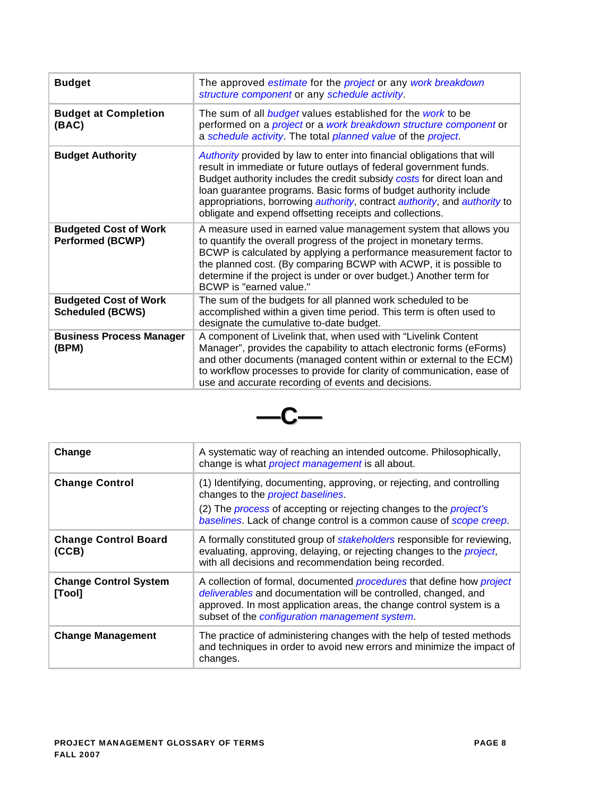| <b>Budget</b>                                           | The approved estimate for the project or any work breakdown<br>structure component or any schedule activity.                                                                                                                                                                                                                                                                                                                                                |
|---------------------------------------------------------|-------------------------------------------------------------------------------------------------------------------------------------------------------------------------------------------------------------------------------------------------------------------------------------------------------------------------------------------------------------------------------------------------------------------------------------------------------------|
| <b>Budget at Completion</b><br>(BAC)                    | The sum of all budget values established for the work to be<br>performed on a project or a work breakdown structure component or<br>a schedule activity. The total planned value of the project.                                                                                                                                                                                                                                                            |
| <b>Budget Authority</b>                                 | Authority provided by law to enter into financial obligations that will<br>result in immediate or future outlays of federal government funds.<br>Budget authority includes the credit subsidy costs for direct loan and<br>loan guarantee programs. Basic forms of budget authority include<br>appropriations, borrowing <i>authority</i> , contract <i>authority</i> , and <i>authority</i> to<br>obligate and expend offsetting receipts and collections. |
| <b>Budgeted Cost of Work</b><br><b>Performed (BCWP)</b> | A measure used in earned value management system that allows you<br>to quantify the overall progress of the project in monetary terms.<br>BCWP is calculated by applying a performance measurement factor to<br>the planned cost. (By comparing BCWP with ACWP, it is possible to<br>determine if the project is under or over budget.) Another term for<br>BCWP is "earned value."                                                                         |
| <b>Budgeted Cost of Work</b><br><b>Scheduled (BCWS)</b> | The sum of the budgets for all planned work scheduled to be<br>accomplished within a given time period. This term is often used to<br>designate the cumulative to-date budget.                                                                                                                                                                                                                                                                              |
| <b>Business Process Manager</b><br>(BPM)                | A component of Livelink that, when used with "Livelink Content<br>Manager", provides the capability to attach electronic forms (eForms)<br>and other documents (managed content within or external to the ECM)<br>to workflow processes to provide for clarity of communication, ease of<br>use and accurate recording of events and decisions.                                                                                                             |



| Change                                 | A systematic way of reaching an intended outcome. Philosophically,<br>change is what <i>project management</i> is all about.                                                                                                                                                    |
|----------------------------------------|---------------------------------------------------------------------------------------------------------------------------------------------------------------------------------------------------------------------------------------------------------------------------------|
| <b>Change Control</b>                  | (1) Identifying, documenting, approving, or rejecting, and controlling<br>changes to the <i>project baselines</i> .<br>(2) The process of accepting or rejecting changes to the project's<br>baselines. Lack of change control is a common cause of scope creep.                |
| <b>Change Control Board</b><br>(CCB)   | A formally constituted group of stakeholders responsible for reviewing,<br>evaluating, approving, delaying, or rejecting changes to the <i>project</i> ,<br>with all decisions and recommendation being recorded.                                                               |
| <b>Change Control System</b><br>[Tool] | A collection of formal, documented <i>procedures</i> that define how <i>project</i><br>deliverables and documentation will be controlled, changed, and<br>approved. In most application areas, the change control system is a<br>subset of the configuration management system. |
| <b>Change Management</b>               | The practice of administering changes with the help of tested methods<br>and techniques in order to avoid new errors and minimize the impact of<br>changes.                                                                                                                     |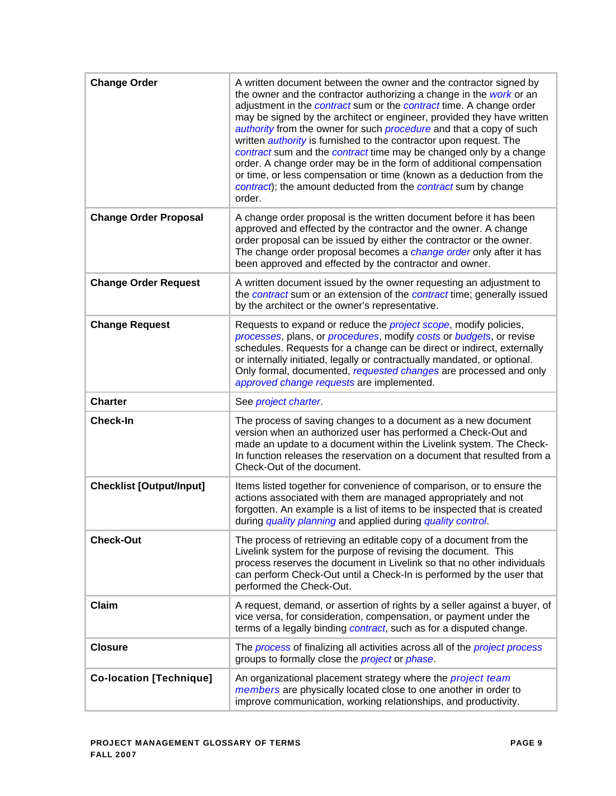| <b>Change Order</b>             | A written document between the owner and the contractor signed by<br>the owner and the contractor authorizing a change in the work or an<br>adjustment in the contract sum or the contract time. A change order<br>may be signed by the architect or engineer, provided they have written<br>authority from the owner for such procedure and that a copy of such<br>written <i>authority</i> is furnished to the contractor upon request. The<br>contract sum and the contract time may be changed only by a change<br>order. A change order may be in the form of additional compensation<br>or time, or less compensation or time (known as a deduction from the<br>contract); the amount deducted from the contract sum by change<br>order. |
|---------------------------------|------------------------------------------------------------------------------------------------------------------------------------------------------------------------------------------------------------------------------------------------------------------------------------------------------------------------------------------------------------------------------------------------------------------------------------------------------------------------------------------------------------------------------------------------------------------------------------------------------------------------------------------------------------------------------------------------------------------------------------------------|
| <b>Change Order Proposal</b>    | A change order proposal is the written document before it has been<br>approved and effected by the contractor and the owner. A change<br>order proposal can be issued by either the contractor or the owner.<br>The change order proposal becomes a change order only after it has<br>been approved and effected by the contractor and owner.                                                                                                                                                                                                                                                                                                                                                                                                  |
| <b>Change Order Request</b>     | A written document issued by the owner requesting an adjustment to<br>the contract sum or an extension of the contract time; generally issued<br>by the architect or the owner's representative.                                                                                                                                                                                                                                                                                                                                                                                                                                                                                                                                               |
| <b>Change Request</b>           | Requests to expand or reduce the <i>project scope</i> , modify policies,<br>processes, plans, or procedures, modify costs or budgets, or revise<br>schedules. Requests for a change can be direct or indirect, externally<br>or internally initiated, legally or contractually mandated, or optional.<br>Only formal, documented, requested changes are processed and only<br>approved change requests are implemented.                                                                                                                                                                                                                                                                                                                        |
| <b>Charter</b>                  | See project charter.                                                                                                                                                                                                                                                                                                                                                                                                                                                                                                                                                                                                                                                                                                                           |
|                                 |                                                                                                                                                                                                                                                                                                                                                                                                                                                                                                                                                                                                                                                                                                                                                |
| <b>Check-In</b>                 | The process of saving changes to a document as a new document<br>version when an authorized user has performed a Check-Out and<br>made an update to a document within the Livelink system. The Check-<br>In function releases the reservation on a document that resulted from a<br>Check-Out of the document.                                                                                                                                                                                                                                                                                                                                                                                                                                 |
| <b>Checklist [Output/Input]</b> | Items listed together for convenience of comparison, or to ensure the<br>actions associated with them are managed appropriately and not<br>forgotten. An example is a list of items to be inspected that is created<br>during quality planning and applied during quality control.                                                                                                                                                                                                                                                                                                                                                                                                                                                             |
| <b>Check-Out</b>                | The process of retrieving an editable copy of a document from the<br>Livelink system for the purpose of revising the document. This<br>process reserves the document in Livelink so that no other individuals<br>can perform Check-Out until a Check-In is performed by the user that<br>performed the Check-Out.                                                                                                                                                                                                                                                                                                                                                                                                                              |
| Claim                           | A request, demand, or assertion of rights by a seller against a buyer, of<br>vice versa, for consideration, compensation, or payment under the<br>terms of a legally binding contract, such as for a disputed change.                                                                                                                                                                                                                                                                                                                                                                                                                                                                                                                          |
| <b>Closure</b>                  | The <i>process</i> of finalizing all activities across all of the <i>project process</i><br>groups to formally close the <i>project</i> or <i>phase</i> .                                                                                                                                                                                                                                                                                                                                                                                                                                                                                                                                                                                      |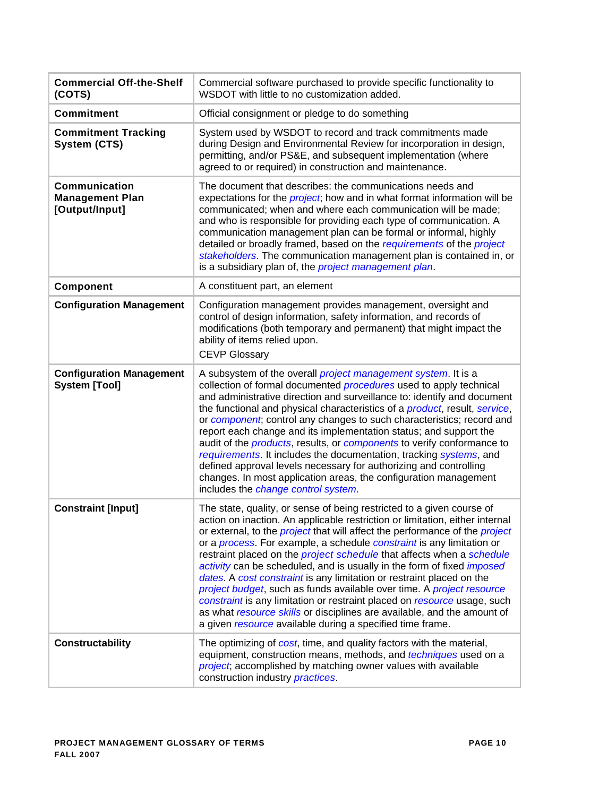| <b>Commercial Off-the-Shelf</b><br>(COTS)                 | Commercial software purchased to provide specific functionality to<br>WSDOT with little to no customization added.                                                                                                                                                                                                                                                                                                                                                                                                                                                                                                                                                                                                                                                                                                                                                                       |
|-----------------------------------------------------------|------------------------------------------------------------------------------------------------------------------------------------------------------------------------------------------------------------------------------------------------------------------------------------------------------------------------------------------------------------------------------------------------------------------------------------------------------------------------------------------------------------------------------------------------------------------------------------------------------------------------------------------------------------------------------------------------------------------------------------------------------------------------------------------------------------------------------------------------------------------------------------------|
| <b>Commitment</b>                                         | Official consignment or pledge to do something                                                                                                                                                                                                                                                                                                                                                                                                                                                                                                                                                                                                                                                                                                                                                                                                                                           |
| <b>Commitment Tracking</b><br>System (CTS)                | System used by WSDOT to record and track commitments made<br>during Design and Environmental Review for incorporation in design,<br>permitting, and/or PS&E, and subsequent implementation (where<br>agreed to or required) in construction and maintenance.                                                                                                                                                                                                                                                                                                                                                                                                                                                                                                                                                                                                                             |
| Communication<br><b>Management Plan</b><br>[Output/Input] | The document that describes: the communications needs and<br>expectations for the <i>project</i> ; how and in what format information will be<br>communicated; when and where each communication will be made;<br>and who is responsible for providing each type of communication. A<br>communication management plan can be formal or informal, highly<br>detailed or broadly framed, based on the requirements of the project<br>stakeholders. The communication management plan is contained in, or<br>is a subsidiary plan of, the <i>project management plan</i> .                                                                                                                                                                                                                                                                                                                  |
| Component                                                 | A constituent part, an element                                                                                                                                                                                                                                                                                                                                                                                                                                                                                                                                                                                                                                                                                                                                                                                                                                                           |
| <b>Configuration Management</b>                           | Configuration management provides management, oversight and<br>control of design information, safety information, and records of<br>modifications (both temporary and permanent) that might impact the<br>ability of items relied upon.<br><b>CEVP Glossary</b>                                                                                                                                                                                                                                                                                                                                                                                                                                                                                                                                                                                                                          |
| <b>Configuration Management</b><br><b>System [Tool]</b>   | A subsystem of the overall <i>project management system</i> . It is a<br>collection of formal documented <i>procedures</i> used to apply technical<br>and administrative direction and surveillance to: identify and document<br>the functional and physical characteristics of a <i>product</i> , result, <i>service</i> ,<br>or component; control any changes to such characteristics; record and<br>report each change and its implementation status; and support the<br>audit of the <i>products</i> , results, or <i>components</i> to verify conformance to<br>requirements. It includes the documentation, tracking systems, and<br>defined approval levels necessary for authorizing and controlling<br>changes. In most application areas, the configuration management<br>includes the change control system.                                                                 |
| <b>Constraint [Input]</b>                                 | The state, quality, or sense of being restricted to a given course of<br>action on inaction. An applicable restriction or limitation, either internal<br>or external, to the <i>project</i> that will affect the performance of the <i>project</i><br>or a <i>process</i> . For example, a schedule <i>constraint</i> is any limitation or<br>restraint placed on the <i>project schedule</i> that affects when a <i>schedule</i><br>activity can be scheduled, and is usually in the form of fixed <i>imposed</i><br>dates. A cost constraint is any limitation or restraint placed on the<br>project budget, such as funds available over time. A project resource<br>constraint is any limitation or restraint placed on resource usage, such<br>as what resource skills or disciplines are available, and the amount of<br>a given resource available during a specified time frame. |
| Constructability                                          | The optimizing of <i>cost</i> , time, and quality factors with the material,<br>equipment, construction means, methods, and techniques used on a<br>project, accomplished by matching owner values with available<br>construction industry practices.                                                                                                                                                                                                                                                                                                                                                                                                                                                                                                                                                                                                                                    |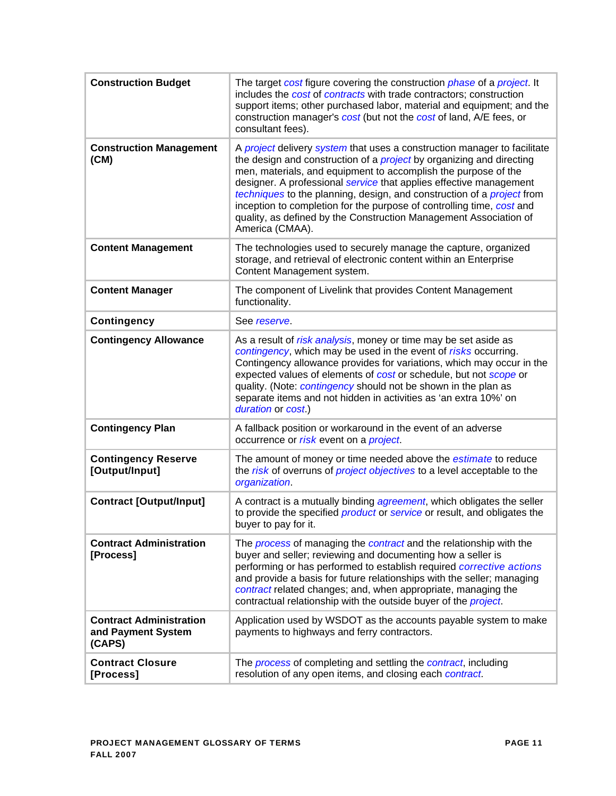| <b>Construction Budget</b>                                     | The target cost figure covering the construction <i>phase</i> of a <i>project</i> . It<br>includes the cost of contracts with trade contractors; construction<br>support items; other purchased labor, material and equipment; and the<br>construction manager's cost (but not the cost of land, A/E fees, or<br>consultant fees).                                                                                                                                                                                                                              |
|----------------------------------------------------------------|-----------------------------------------------------------------------------------------------------------------------------------------------------------------------------------------------------------------------------------------------------------------------------------------------------------------------------------------------------------------------------------------------------------------------------------------------------------------------------------------------------------------------------------------------------------------|
| <b>Construction Management</b><br>(CM)                         | A <i>project</i> delivery <i>system</i> that uses a construction manager to facilitate<br>the design and construction of a <i>project</i> by organizing and directing<br>men, materials, and equipment to accomplish the purpose of the<br>designer. A professional service that applies effective management<br>techniques to the planning, design, and construction of a <i>project</i> from<br>inception to completion for the purpose of controlling time, cost and<br>quality, as defined by the Construction Management Association of<br>America (CMAA). |
| <b>Content Management</b>                                      | The technologies used to securely manage the capture, organized<br>storage, and retrieval of electronic content within an Enterprise<br>Content Management system.                                                                                                                                                                                                                                                                                                                                                                                              |
| <b>Content Manager</b>                                         | The component of Livelink that provides Content Management<br>functionality.                                                                                                                                                                                                                                                                                                                                                                                                                                                                                    |
| <b>Contingency</b>                                             | See reserve.                                                                                                                                                                                                                                                                                                                                                                                                                                                                                                                                                    |
| <b>Contingency Allowance</b>                                   | As a result of risk analysis, money or time may be set aside as<br>contingency, which may be used in the event of risks occurring.<br>Contingency allowance provides for variations, which may occur in the<br>expected values of elements of cost or schedule, but not scope or<br>quality. (Note: <i>contingency</i> should not be shown in the plan as<br>separate items and not hidden in activities as 'an extra 10%' on<br>duration or cost)                                                                                                              |
| <b>Contingency Plan</b>                                        | A fallback position or workaround in the event of an adverse<br>occurrence or risk event on a project.                                                                                                                                                                                                                                                                                                                                                                                                                                                          |
| <b>Contingency Reserve</b><br>[Output/Input]                   | The amount of money or time needed above the <i>estimate</i> to reduce<br>the risk of overruns of <i>project objectives</i> to a level acceptable to the<br>organization.                                                                                                                                                                                                                                                                                                                                                                                       |
| <b>Contract [Output/Input]</b>                                 | A contract is a mutually binding <i>agreement</i> , which obligates the seller<br>to provide the specified <i>product</i> or <i>service</i> or result, and obligates the<br>buyer to pay for it.                                                                                                                                                                                                                                                                                                                                                                |
| <b>Contract Administration</b><br>[Process]                    | The <i>process</i> of managing the <i>contract</i> and the relationship with the<br>buyer and seller; reviewing and documenting how a seller is<br>performing or has performed to establish required corrective actions<br>and provide a basis for future relationships with the seller; managing<br>contract related changes; and, when appropriate, managing the<br>contractual relationship with the outside buyer of the <i>project</i> .                                                                                                                   |
| <b>Contract Administration</b><br>and Payment System<br>(CAPS) | Application used by WSDOT as the accounts payable system to make<br>payments to highways and ferry contractors.                                                                                                                                                                                                                                                                                                                                                                                                                                                 |
| <b>Contract Closure</b><br>[Process]                           | The <i>process</i> of completing and settling the <i>contract</i> , including<br>resolution of any open items, and closing each contract.                                                                                                                                                                                                                                                                                                                                                                                                                       |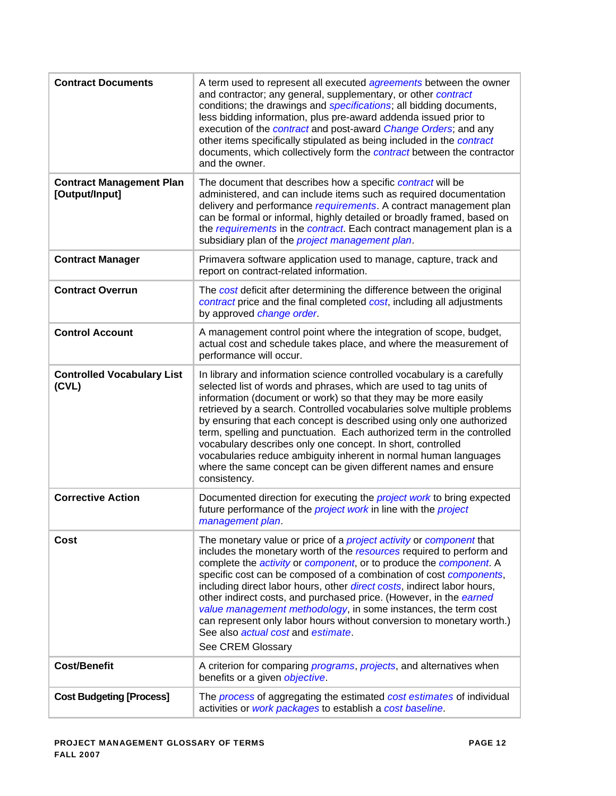| <b>Contract Documents</b>                         | A term used to represent all executed <i>agreements</i> between the owner<br>and contractor; any general, supplementary, or other contract<br>conditions; the drawings and <i>specifications</i> ; all bidding documents,<br>less bidding information, plus pre-award addenda issued prior to<br>execution of the contract and post-award Change Orders; and any<br>other items specifically stipulated as being included in the contract<br>documents, which collectively form the <i>contract</i> between the contractor<br>and the owner.                                                                                                                                                               |
|---------------------------------------------------|------------------------------------------------------------------------------------------------------------------------------------------------------------------------------------------------------------------------------------------------------------------------------------------------------------------------------------------------------------------------------------------------------------------------------------------------------------------------------------------------------------------------------------------------------------------------------------------------------------------------------------------------------------------------------------------------------------|
| <b>Contract Management Plan</b><br>[Output/Input] | The document that describes how a specific contract will be<br>administered, and can include items such as required documentation<br>delivery and performance requirements. A contract management plan<br>can be formal or informal, highly detailed or broadly framed, based on<br>the requirements in the contract. Each contract management plan is a<br>subsidiary plan of the project management plan.                                                                                                                                                                                                                                                                                                |
| <b>Contract Manager</b>                           | Primavera software application used to manage, capture, track and<br>report on contract-related information.                                                                                                                                                                                                                                                                                                                                                                                                                                                                                                                                                                                               |
| <b>Contract Overrun</b>                           | The cost deficit after determining the difference between the original<br>contract price and the final completed cost, including all adjustments<br>by approved change order.                                                                                                                                                                                                                                                                                                                                                                                                                                                                                                                              |
| <b>Control Account</b>                            | A management control point where the integration of scope, budget,<br>actual cost and schedule takes place, and where the measurement of<br>performance will occur.                                                                                                                                                                                                                                                                                                                                                                                                                                                                                                                                        |
| <b>Controlled Vocabulary List</b><br>(CVL)        | In library and information science controlled vocabulary is a carefully<br>selected list of words and phrases, which are used to tag units of<br>information (document or work) so that they may be more easily<br>retrieved by a search. Controlled vocabularies solve multiple problems<br>by ensuring that each concept is described using only one authorized<br>term, spelling and punctuation. Each authorized term in the controlled<br>vocabulary describes only one concept. In short, controlled<br>vocabularies reduce ambiguity inherent in normal human languages<br>where the same concept can be given different names and ensure<br>consistency.                                           |
| <b>Corrective Action</b>                          | Documented direction for executing the <i>project work</i> to bring expected<br>future performance of the <i>project work</i> in line with the <i>project</i><br>management plan.                                                                                                                                                                                                                                                                                                                                                                                                                                                                                                                          |
| Cost                                              | The monetary value or price of a <i>project activity</i> or <i>component</i> that<br>includes the monetary worth of the resources required to perform and<br>complete the <i>activity</i> or <i>component</i> , or to produce the <i>component</i> . A<br>specific cost can be composed of a combination of cost components,<br>including direct labor hours, other <i>direct costs</i> , indirect labor hours,<br>other indirect costs, and purchased price. (However, in the earned<br>value management methodology, in some instances, the term cost<br>can represent only labor hours without conversion to monetary worth.)<br>See also <i>actual cost</i> and <i>estimate</i> .<br>See CREM Glossary |
| <b>Cost/Benefit</b>                               | A criterion for comparing <i>programs, projects</i> , and alternatives when<br>benefits or a given <i>objective</i> .                                                                                                                                                                                                                                                                                                                                                                                                                                                                                                                                                                                      |
| <b>Cost Budgeting [Process]</b>                   | The <i>process</i> of aggregating the estimated <i>cost estimates</i> of individual<br>activities or work packages to establish a cost baseline.                                                                                                                                                                                                                                                                                                                                                                                                                                                                                                                                                           |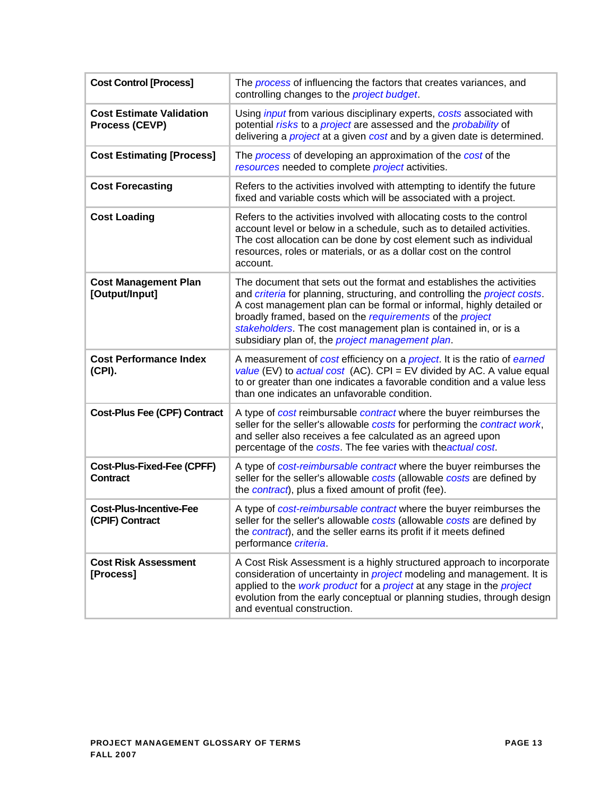| <b>Cost Control [Process]</b>                            | The <i>process</i> of influencing the factors that creates variances, and<br>controlling changes to the <i>project budget</i> .                                                                                                                                                                                                                                                                                              |
|----------------------------------------------------------|------------------------------------------------------------------------------------------------------------------------------------------------------------------------------------------------------------------------------------------------------------------------------------------------------------------------------------------------------------------------------------------------------------------------------|
| <b>Cost Estimate Validation</b><br><b>Process (CEVP)</b> | Using <i>input</i> from various disciplinary experts, costs associated with<br>potential risks to a <i>project</i> are assessed and the <i>probability</i> of<br>delivering a <i>project</i> at a given cost and by a given date is determined.                                                                                                                                                                              |
| <b>Cost Estimating [Process]</b>                         | The <i>process</i> of developing an approximation of the <i>cost</i> of the<br>resources needed to complete <i>project</i> activities.                                                                                                                                                                                                                                                                                       |
| <b>Cost Forecasting</b>                                  | Refers to the activities involved with attempting to identify the future<br>fixed and variable costs which will be associated with a project.                                                                                                                                                                                                                                                                                |
| <b>Cost Loading</b>                                      | Refers to the activities involved with allocating costs to the control<br>account level or below in a schedule, such as to detailed activities.<br>The cost allocation can be done by cost element such as individual<br>resources, roles or materials, or as a dollar cost on the control<br>account.                                                                                                                       |
| <b>Cost Management Plan</b><br>[Output/Input]            | The document that sets out the format and establishes the activities<br>and <i>criteria</i> for planning, structuring, and controlling the <i>project costs</i> .<br>A cost management plan can be formal or informal, highly detailed or<br>broadly framed, based on the requirements of the project<br>stakeholders. The cost management plan is contained in, or is a<br>subsidiary plan of, the project management plan. |
| <b>Cost Performance Index</b><br>(CPI).                  | A measurement of cost efficiency on a <i>project</i> . It is the ratio of earned<br>value (EV) to $actual cost$ (AC). CPI = EV divided by AC. A value equal<br>to or greater than one indicates a favorable condition and a value less<br>than one indicates an unfavorable condition.                                                                                                                                       |
| <b>Cost-Plus Fee (CPF) Contract</b>                      | A type of cost reimbursable contract where the buyer reimburses the<br>seller for the seller's allowable costs for performing the contract work,<br>and seller also receives a fee calculated as an agreed upon<br>percentage of the costs. The fee varies with the actual cost.                                                                                                                                             |
| <b>Cost-Plus-Fixed-Fee (CPFF)</b><br><b>Contract</b>     | A type of cost-reimbursable contract where the buyer reimburses the<br>seller for the seller's allowable costs (allowable costs are defined by<br>the <i>contract</i> ), plus a fixed amount of profit (fee).                                                                                                                                                                                                                |
| <b>Cost-Plus-Incentive-Fee</b><br>(CPIF) Contract        | A type of cost-reimbursable contract where the buyer reimburses the<br>seller for the seller's allowable costs (allowable costs are defined by<br>the contract), and the seller earns its profit if it meets defined<br>performance criteria.                                                                                                                                                                                |
| <b>Cost Risk Assessment</b><br>[Process]                 | A Cost Risk Assessment is a highly structured approach to incorporate<br>consideration of uncertainty in <i>project</i> modeling and management. It is<br>applied to the work product for a project at any stage in the project<br>evolution from the early conceptual or planning studies, through design<br>and eventual construction.                                                                                     |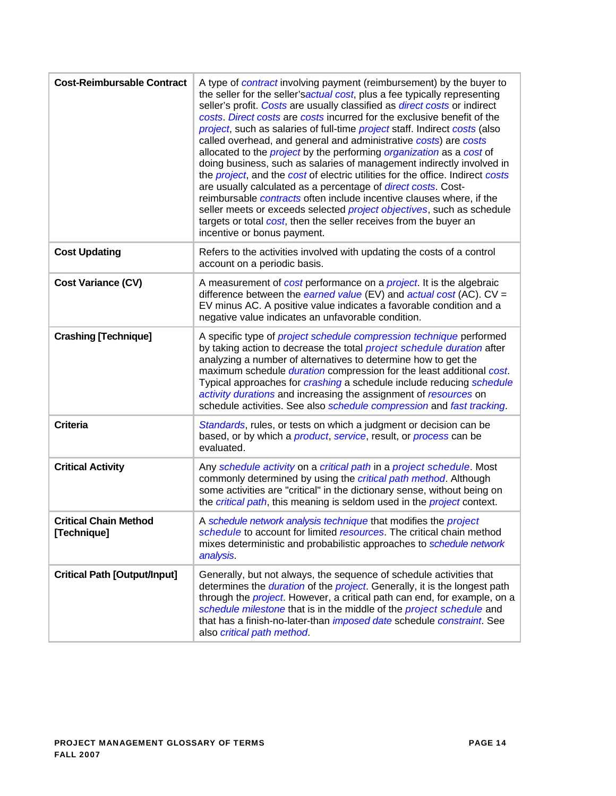| <b>Cost-Reimbursable Contract</b>           | A type of <i>contract</i> involving payment (reimbursement) by the buyer to<br>the seller for the seller's actual cost, plus a fee typically representing<br>seller's profit. Costs are usually classified as <i>direct costs</i> or indirect<br>costs. Direct costs are costs incurred for the exclusive benefit of the<br>project, such as salaries of full-time project staff. Indirect costs (also<br>called overhead, and general and administrative costs) are costs<br>allocated to the <i>project</i> by the performing <i>organization</i> as a cost of<br>doing business, such as salaries of management indirectly involved in<br>the <i>project</i> , and the cost of electric utilities for the office. Indirect costs<br>are usually calculated as a percentage of <i>direct costs</i> . Cost-<br>reimbursable contracts often include incentive clauses where, if the<br>seller meets or exceeds selected project objectives, such as schedule<br>targets or total cost, then the seller receives from the buyer an<br>incentive or bonus payment. |
|---------------------------------------------|-------------------------------------------------------------------------------------------------------------------------------------------------------------------------------------------------------------------------------------------------------------------------------------------------------------------------------------------------------------------------------------------------------------------------------------------------------------------------------------------------------------------------------------------------------------------------------------------------------------------------------------------------------------------------------------------------------------------------------------------------------------------------------------------------------------------------------------------------------------------------------------------------------------------------------------------------------------------------------------------------------------------------------------------------------------------|
| <b>Cost Updating</b>                        | Refers to the activities involved with updating the costs of a control<br>account on a periodic basis.                                                                                                                                                                                                                                                                                                                                                                                                                                                                                                                                                                                                                                                                                                                                                                                                                                                                                                                                                            |
| <b>Cost Variance (CV)</b>                   | A measurement of cost performance on a <i>project</i> . It is the algebraic<br>difference between the earned value (EV) and actual cost (AC). $CV =$<br>EV minus AC. A positive value indicates a favorable condition and a<br>negative value indicates an unfavorable condition.                                                                                                                                                                                                                                                                                                                                                                                                                                                                                                                                                                                                                                                                                                                                                                                 |
| <b>Crashing [Technique]</b>                 | A specific type of <i>project schedule compression technique</i> performed<br>by taking action to decrease the total <i>project schedule duration</i> after<br>analyzing a number of alternatives to determine how to get the<br>maximum schedule duration compression for the least additional cost.<br>Typical approaches for <i>crashing</i> a schedule include reducing schedule<br>activity durations and increasing the assignment of resources on<br>schedule activities. See also schedule compression and fast tracking.                                                                                                                                                                                                                                                                                                                                                                                                                                                                                                                                 |
| <b>Criteria</b>                             | Standards, rules, or tests on which a judgment or decision can be<br>based, or by which a <i>product</i> , service, result, or process can be<br>evaluated.                                                                                                                                                                                                                                                                                                                                                                                                                                                                                                                                                                                                                                                                                                                                                                                                                                                                                                       |
| <b>Critical Activity</b>                    | Any schedule activity on a critical path in a project schedule. Most<br>commonly determined by using the <i>critical path method</i> . Although<br>some activities are "critical" in the dictionary sense, without being on<br>the <i>critical path</i> , this meaning is seldom used in the <i>project</i> context.                                                                                                                                                                                                                                                                                                                                                                                                                                                                                                                                                                                                                                                                                                                                              |
| <b>Critical Chain Method</b><br>[Technique] | A schedule network analysis technique that modifies the project<br>schedule to account for limited resources. The critical chain method<br>mixes deterministic and probabilistic approaches to schedule network<br>analysis.                                                                                                                                                                                                                                                                                                                                                                                                                                                                                                                                                                                                                                                                                                                                                                                                                                      |
| <b>Critical Path [Output/Input]</b>         | Generally, but not always, the sequence of schedule activities that<br>determines the <i>duration</i> of the <i>project</i> . Generally, it is the longest path<br>through the <i>project</i> . However, a critical path can end, for example, on a<br>schedule milestone that is in the middle of the project schedule and<br>that has a finish-no-later-than <i>imposed date</i> schedule <i>constraint</i> . See<br>also critical path method.                                                                                                                                                                                                                                                                                                                                                                                                                                                                                                                                                                                                                 |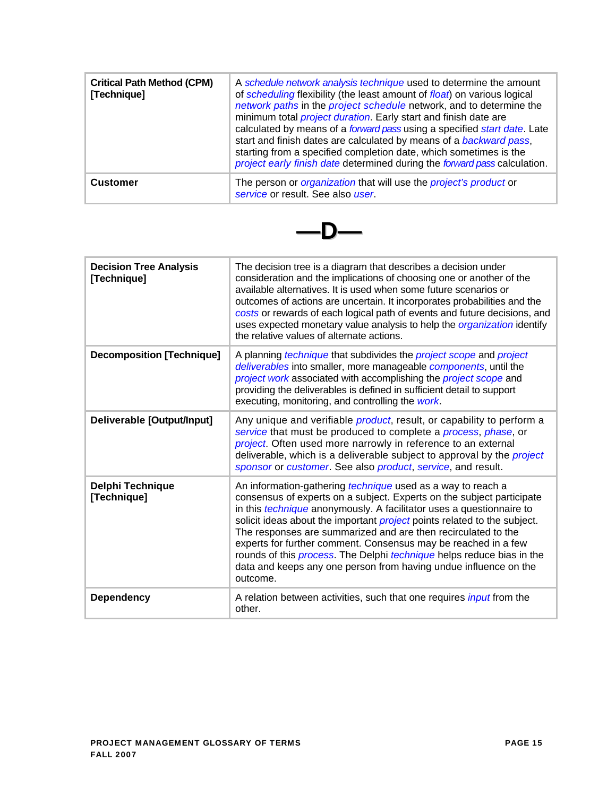| <b>Critical Path Method (CPM)</b><br>[Technique] | A schedule network analysis technique used to determine the amount<br>of scheduling flexibility (the least amount of float) on various logical<br>network paths in the project schedule network, and to determine the<br>minimum total <i>project duration</i> . Early start and finish date are<br>calculated by means of a <i>forward pass</i> using a specified <i>start date</i> . Late<br>start and finish dates are calculated by means of a backward pass,<br>starting from a specified completion date, which sometimes is the<br>project early finish date determined during the forward pass calculation. |
|--------------------------------------------------|---------------------------------------------------------------------------------------------------------------------------------------------------------------------------------------------------------------------------------------------------------------------------------------------------------------------------------------------------------------------------------------------------------------------------------------------------------------------------------------------------------------------------------------------------------------------------------------------------------------------|
| <b>Customer</b>                                  | The person or <i>organization</i> that will use the <i>project's product</i> or<br>service or result. See also user.                                                                                                                                                                                                                                                                                                                                                                                                                                                                                                |



| <b>Decision Tree Analysis</b><br>[Technique] | The decision tree is a diagram that describes a decision under<br>consideration and the implications of choosing one or another of the<br>available alternatives. It is used when some future scenarios or<br>outcomes of actions are uncertain. It incorporates probabilities and the<br>costs or rewards of each logical path of events and future decisions, and<br>uses expected monetary value analysis to help the organization identify<br>the relative values of alternate actions.                                                                                                                       |
|----------------------------------------------|-------------------------------------------------------------------------------------------------------------------------------------------------------------------------------------------------------------------------------------------------------------------------------------------------------------------------------------------------------------------------------------------------------------------------------------------------------------------------------------------------------------------------------------------------------------------------------------------------------------------|
| <b>Decomposition [Technique]</b>             | A planning technique that subdivides the project scope and project<br>deliverables into smaller, more manageable components, until the<br>project work associated with accomplishing the project scope and<br>providing the deliverables is defined in sufficient detail to support<br>executing, monitoring, and controlling the work.                                                                                                                                                                                                                                                                           |
| Deliverable [Output/Input]                   | Any unique and verifiable <i>product</i> , result, or capability to perform a<br>service that must be produced to complete a process, phase, or<br>project. Often used more narrowly in reference to an external<br>deliverable, which is a deliverable subject to approval by the <i>project</i><br>sponsor or customer. See also product, service, and result.                                                                                                                                                                                                                                                  |
| Delphi Technique<br>[Technique]              | An information-gathering technique used as a way to reach a<br>consensus of experts on a subject. Experts on the subject participate<br>in this <i>technique</i> anonymously. A facilitator uses a questionnaire to<br>solicit ideas about the important <i>project</i> points related to the subject.<br>The responses are summarized and are then recirculated to the<br>experts for further comment. Consensus may be reached in a few<br>rounds of this <i>process</i> . The Delphi <i>technique</i> helps reduce bias in the<br>data and keeps any one person from having undue influence on the<br>outcome. |
| <b>Dependency</b>                            | A relation between activities, such that one requires <i>input</i> from the<br>other.                                                                                                                                                                                                                                                                                                                                                                                                                                                                                                                             |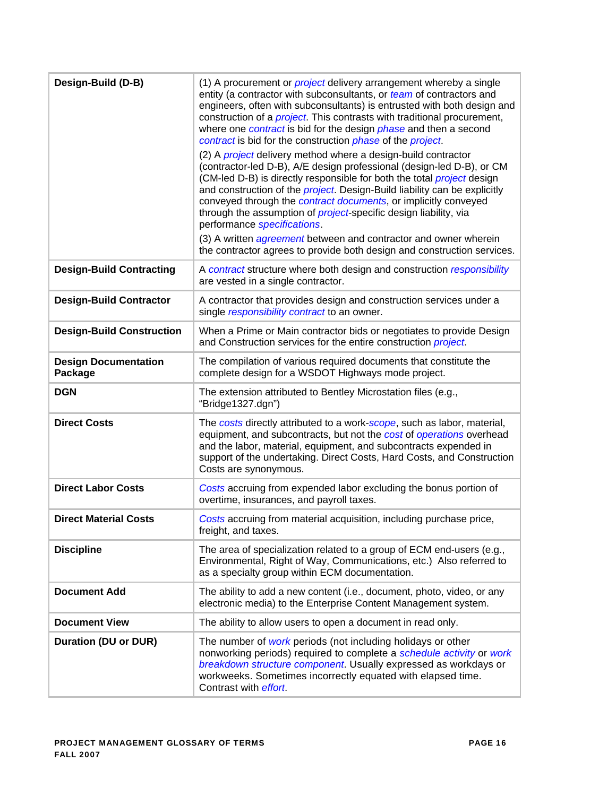| Design-Build (D-B)                     | (1) A procurement or <i>project</i> delivery arrangement whereby a single<br>entity (a contractor with subconsultants, or team of contractors and<br>engineers, often with subconsultants) is entrusted with both design and<br>construction of a <i>project</i> . This contrasts with traditional procurement,<br>where one <i>contract</i> is bid for the design <i>phase</i> and then a second<br>contract is bid for the construction phase of the project.<br>(2) A <i>project</i> delivery method where a design-build contractor<br>(contractor-led D-B), A/E design professional (design-led D-B), or CM<br>(CM-led D-B) is directly responsible for both the total <i>project</i> design<br>and construction of the <i>project</i> . Design-Build liability can be explicitly<br>conveyed through the <i>contract documents</i> , or implicitly conveyed<br>through the assumption of <i>project</i> -specific design liability, via<br>performance specifications.<br>(3) A written <i>agreement</i> between and contractor and owner wherein<br>the contractor agrees to provide both design and construction services. |
|----------------------------------------|------------------------------------------------------------------------------------------------------------------------------------------------------------------------------------------------------------------------------------------------------------------------------------------------------------------------------------------------------------------------------------------------------------------------------------------------------------------------------------------------------------------------------------------------------------------------------------------------------------------------------------------------------------------------------------------------------------------------------------------------------------------------------------------------------------------------------------------------------------------------------------------------------------------------------------------------------------------------------------------------------------------------------------------------------------------------------------------------------------------------------------|
| <b>Design-Build Contracting</b>        | A contract structure where both design and construction responsibility<br>are vested in a single contractor.                                                                                                                                                                                                                                                                                                                                                                                                                                                                                                                                                                                                                                                                                                                                                                                                                                                                                                                                                                                                                       |
| <b>Design-Build Contractor</b>         | A contractor that provides design and construction services under a<br>single responsibility contract to an owner.                                                                                                                                                                                                                                                                                                                                                                                                                                                                                                                                                                                                                                                                                                                                                                                                                                                                                                                                                                                                                 |
| <b>Design-Build Construction</b>       | When a Prime or Main contractor bids or negotiates to provide Design<br>and Construction services for the entire construction <i>project</i> .                                                                                                                                                                                                                                                                                                                                                                                                                                                                                                                                                                                                                                                                                                                                                                                                                                                                                                                                                                                     |
| <b>Design Documentation</b><br>Package | The compilation of various required documents that constitute the<br>complete design for a WSDOT Highways mode project.                                                                                                                                                                                                                                                                                                                                                                                                                                                                                                                                                                                                                                                                                                                                                                                                                                                                                                                                                                                                            |
| <b>DGN</b>                             | The extension attributed to Bentley Microstation files (e.g.,<br>"Bridge1327.dgn")                                                                                                                                                                                                                                                                                                                                                                                                                                                                                                                                                                                                                                                                                                                                                                                                                                                                                                                                                                                                                                                 |
| <b>Direct Costs</b>                    | The costs directly attributed to a work-scope, such as labor, material,<br>equipment, and subcontracts, but not the cost of operations overhead<br>and the labor, material, equipment, and subcontracts expended in<br>support of the undertaking. Direct Costs, Hard Costs, and Construction<br>Costs are synonymous.                                                                                                                                                                                                                                                                                                                                                                                                                                                                                                                                                                                                                                                                                                                                                                                                             |
| <b>Direct Labor Costs</b>              | Costs accruing from expended labor excluding the bonus portion of<br>overtime, insurances, and payroll taxes.                                                                                                                                                                                                                                                                                                                                                                                                                                                                                                                                                                                                                                                                                                                                                                                                                                                                                                                                                                                                                      |
| <b>Direct Material Costs</b>           | Costs accruing from material acquisition, including purchase price,<br>freight, and taxes.                                                                                                                                                                                                                                                                                                                                                                                                                                                                                                                                                                                                                                                                                                                                                                                                                                                                                                                                                                                                                                         |
| <b>Discipline</b>                      | The area of specialization related to a group of ECM end-users (e.g.,<br>Environmental, Right of Way, Communications, etc.) Also referred to<br>as a specialty group within ECM documentation.                                                                                                                                                                                                                                                                                                                                                                                                                                                                                                                                                                                                                                                                                                                                                                                                                                                                                                                                     |
| <b>Document Add</b>                    | The ability to add a new content (i.e., document, photo, video, or any<br>electronic media) to the Enterprise Content Management system.                                                                                                                                                                                                                                                                                                                                                                                                                                                                                                                                                                                                                                                                                                                                                                                                                                                                                                                                                                                           |
| <b>Document View</b>                   | The ability to allow users to open a document in read only.                                                                                                                                                                                                                                                                                                                                                                                                                                                                                                                                                                                                                                                                                                                                                                                                                                                                                                                                                                                                                                                                        |
| <b>Duration (DU or DUR)</b>            | The number of work periods (not including holidays or other<br>nonworking periods) required to complete a schedule activity or work<br>breakdown structure component. Usually expressed as workdays or<br>workweeks. Sometimes incorrectly equated with elapsed time.<br>Contrast with <i>effort</i>                                                                                                                                                                                                                                                                                                                                                                                                                                                                                                                                                                                                                                                                                                                                                                                                                               |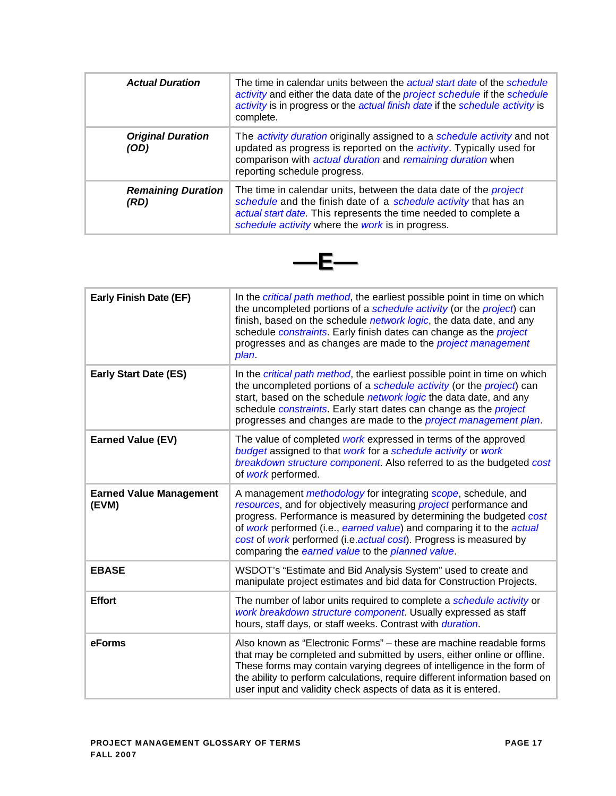| <b>Actual Duration</b>            | The time in calendar units between the <i>actual start date</i> of the <i>schedule</i><br>activity and either the data date of the <i>project schedule</i> if the <i>schedule</i><br>activity is in progress or the actual finish date if the schedule activity is<br>complete.    |
|-----------------------------------|------------------------------------------------------------------------------------------------------------------------------------------------------------------------------------------------------------------------------------------------------------------------------------|
| <b>Original Duration</b><br>(OD)  | The <i>activity duration</i> originally assigned to a <i>schedule activity</i> and not<br>updated as progress is reported on the <i>activity</i> . Typically used for<br>comparison with <i>actual duration</i> and <i>remaining duration</i> when<br>reporting schedule progress. |
| <b>Remaining Duration</b><br>(RD) | The time in calendar units, between the data date of the <i>project</i><br>schedule and the finish date of a schedule activity that has an<br>actual start date. This represents the time needed to complete a<br>schedule activity where the work is in progress.                 |



| Early Finish Date (EF)                  | In the <i>critical path method</i> , the earliest possible point in time on which<br>the uncompleted portions of a <i>schedule activity</i> (or the <i>project</i> ) can<br>finish, based on the schedule network logic, the data date, and any<br>schedule constraints. Early finish dates can change as the project<br>progresses and as changes are made to the <i>project management</i><br>plan.                     |
|-----------------------------------------|---------------------------------------------------------------------------------------------------------------------------------------------------------------------------------------------------------------------------------------------------------------------------------------------------------------------------------------------------------------------------------------------------------------------------|
| <b>Early Start Date (ES)</b>            | In the <i>critical path method</i> , the earliest possible point in time on which<br>the uncompleted portions of a schedule activity (or the project) can<br>start, based on the schedule network logic the data date, and any<br>schedule constraints. Early start dates can change as the project<br>progresses and changes are made to the <i>project management plan</i> .                                            |
| <b>Earned Value (EV)</b>                | The value of completed work expressed in terms of the approved<br>budget assigned to that work for a schedule activity or work<br>breakdown structure component. Also referred to as the budgeted cost<br>of work performed.                                                                                                                                                                                              |
| <b>Earned Value Management</b><br>(EVM) | A management <i>methodology</i> for integrating <i>scope</i> , schedule, and<br>resources, and for objectively measuring project performance and<br>progress. Performance is measured by determining the budgeted cost<br>of work performed (i.e., earned value) and comparing it to the actual<br>cost of work performed (i.e. actual cost). Progress is measured by<br>comparing the earned value to the planned value. |
| <b>EBASE</b>                            | WSDOT's "Estimate and Bid Analysis System" used to create and<br>manipulate project estimates and bid data for Construction Projects.                                                                                                                                                                                                                                                                                     |
| <b>Effort</b>                           | The number of labor units required to complete a schedule activity or<br>work breakdown structure component. Usually expressed as staff<br>hours, staff days, or staff weeks. Contrast with <i>duration</i> .                                                                                                                                                                                                             |
| eForms                                  | Also known as "Electronic Forms" - these are machine readable forms<br>that may be completed and submitted by users, either online or offline.<br>These forms may contain varying degrees of intelligence in the form of<br>the ability to perform calculations, require different information based on<br>user input and validity check aspects of data as it is entered.                                                |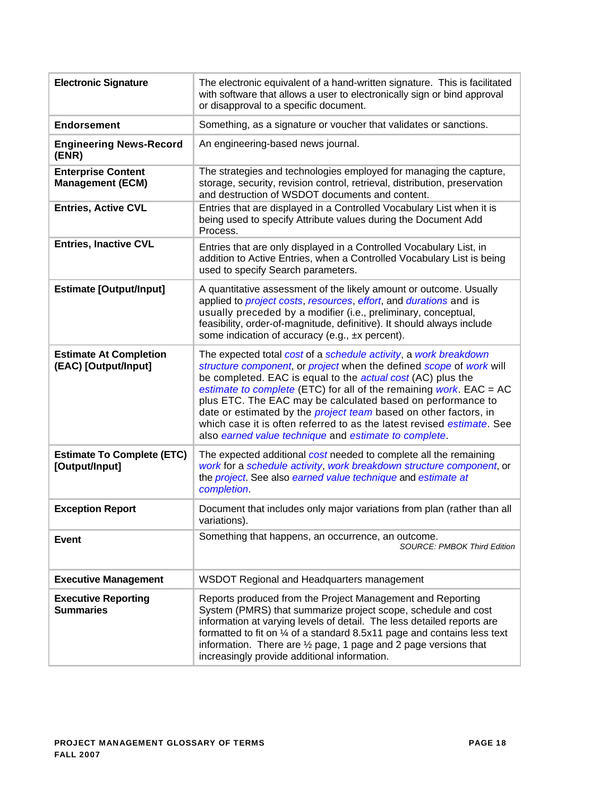| <b>Electronic Signature</b>                           | The electronic equivalent of a hand-written signature. This is facilitated<br>with software that allows a user to electronically sign or bind approval<br>or disapproval to a specific document.                                                                                                                                                                                                                                                                                                                                                                 |
|-------------------------------------------------------|------------------------------------------------------------------------------------------------------------------------------------------------------------------------------------------------------------------------------------------------------------------------------------------------------------------------------------------------------------------------------------------------------------------------------------------------------------------------------------------------------------------------------------------------------------------|
| <b>Endorsement</b>                                    | Something, as a signature or voucher that validates or sanctions.                                                                                                                                                                                                                                                                                                                                                                                                                                                                                                |
| <b>Engineering News-Record</b><br>(ENR)               | An engineering-based news journal.                                                                                                                                                                                                                                                                                                                                                                                                                                                                                                                               |
| <b>Enterprise Content</b><br><b>Management (ECM)</b>  | The strategies and technologies employed for managing the capture,<br>storage, security, revision control, retrieval, distribution, preservation<br>and destruction of WSDOT documents and content.                                                                                                                                                                                                                                                                                                                                                              |
| <b>Entries, Active CVL</b>                            | Entries that are displayed in a Controlled Vocabulary List when it is<br>being used to specify Attribute values during the Document Add<br>Process.                                                                                                                                                                                                                                                                                                                                                                                                              |
| <b>Entries, Inactive CVL</b>                          | Entries that are only displayed in a Controlled Vocabulary List, in<br>addition to Active Entries, when a Controlled Vocabulary List is being<br>used to specify Search parameters.                                                                                                                                                                                                                                                                                                                                                                              |
| <b>Estimate [Output/Input]</b>                        | A quantitative assessment of the likely amount or outcome. Usually<br>applied to <i>project costs, resources, effort,</i> and <i>durations</i> and is<br>usually preceded by a modifier (i.e., preliminary, conceptual,<br>feasibility, order-of-magnitude, definitive). It should always include<br>some indication of accuracy (e.g., ±x percent).                                                                                                                                                                                                             |
| <b>Estimate At Completion</b><br>(EAC) [Output/Input] | The expected total cost of a schedule activity, a work breakdown<br>structure component, or project when the defined scope of work will<br>be completed. EAC is equal to the <i>actual cost</i> (AC) plus the<br>estimate to complete (ETC) for all of the remaining work. EAC = AC<br>plus ETC. The EAC may be calculated based on performance to<br>date or estimated by the <i>project team</i> based on other factors, in<br>which case it is often referred to as the latest revised estimate. See<br>also earned value technique and estimate to complete. |
| <b>Estimate To Complete (ETC)</b><br>[Output/Input]   | The expected additional cost needed to complete all the remaining<br>work for a schedule activity, work breakdown structure component, or<br>the project. See also earned value technique and estimate at<br>completion.                                                                                                                                                                                                                                                                                                                                         |
| <b>Exception Report</b>                               | Document that includes only major variations from plan (rather than all<br>variations).                                                                                                                                                                                                                                                                                                                                                                                                                                                                          |
| <b>Event</b>                                          | Something that happens, an occurrence, an outcome.<br><b>SOURCE: PMBOK Third Edition</b>                                                                                                                                                                                                                                                                                                                                                                                                                                                                         |
| <b>Executive Management</b>                           | WSDOT Regional and Headquarters management                                                                                                                                                                                                                                                                                                                                                                                                                                                                                                                       |
| <b>Executive Reporting</b><br><b>Summaries</b>        | Reports produced from the Project Management and Reporting<br>System (PMRS) that summarize project scope, schedule and cost<br>information at varying levels of detail. The less detailed reports are<br>formatted to fit on 1/4 of a standard 8.5x11 page and contains less text<br>information. There are 1/2 page, 1 page and 2 page versions that<br>increasingly provide additional information.                                                                                                                                                            |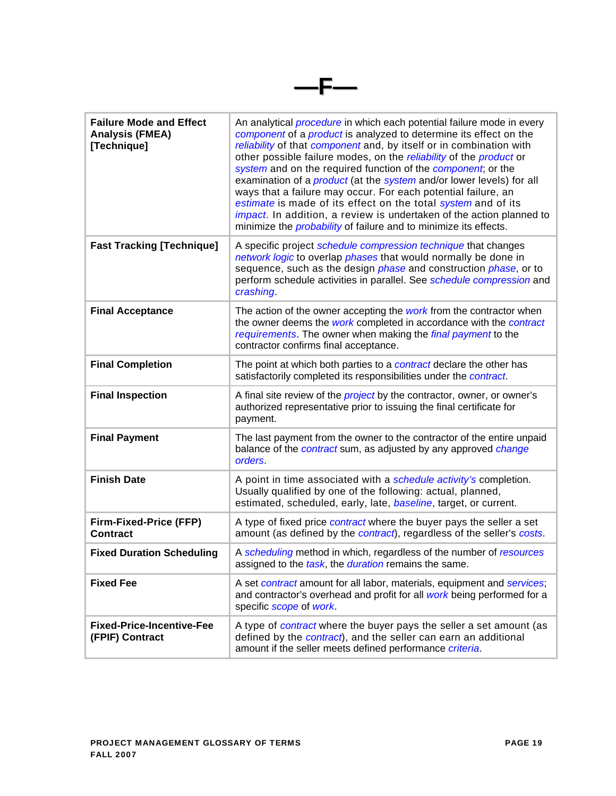|--|

| <b>Failure Mode and Effect</b><br><b>Analysis (FMEA)</b><br>[Technique] | An analytical <i>procedure</i> in which each potential failure mode in every<br>component of a product is analyzed to determine its effect on the<br>reliability of that component and, by itself or in combination with<br>other possible failure modes, on the reliability of the product or<br>system and on the required function of the <i>component</i> ; or the<br>examination of a <i>product</i> (at the system and/or lower levels) for all<br>ways that a failure may occur. For each potential failure, an<br>estimate is made of its effect on the total system and of its<br><i>impact</i> . In addition, a review is undertaken of the action planned to<br>minimize the <i>probability</i> of failure and to minimize its effects. |
|-------------------------------------------------------------------------|----------------------------------------------------------------------------------------------------------------------------------------------------------------------------------------------------------------------------------------------------------------------------------------------------------------------------------------------------------------------------------------------------------------------------------------------------------------------------------------------------------------------------------------------------------------------------------------------------------------------------------------------------------------------------------------------------------------------------------------------------|
| <b>Fast Tracking [Technique]</b>                                        | A specific project <i>schedule compression technique</i> that changes<br>network logic to overlap phases that would normally be done in<br>sequence, such as the design <i>phase</i> and construction <i>phase</i> , or to<br>perform schedule activities in parallel. See schedule compression and<br>crashing.                                                                                                                                                                                                                                                                                                                                                                                                                                   |
| <b>Final Acceptance</b>                                                 | The action of the owner accepting the work from the contractor when<br>the owner deems the work completed in accordance with the contract<br>requirements. The owner when making the final payment to the<br>contractor confirms final acceptance.                                                                                                                                                                                                                                                                                                                                                                                                                                                                                                 |
| <b>Final Completion</b>                                                 | The point at which both parties to a <i>contract</i> declare the other has<br>satisfactorily completed its responsibilities under the contract.                                                                                                                                                                                                                                                                                                                                                                                                                                                                                                                                                                                                    |
| <b>Final Inspection</b>                                                 | A final site review of the <i>project</i> by the contractor, owner, or owner's<br>authorized representative prior to issuing the final certificate for<br>payment.                                                                                                                                                                                                                                                                                                                                                                                                                                                                                                                                                                                 |
| <b>Final Payment</b>                                                    | The last payment from the owner to the contractor of the entire unpaid<br>balance of the <i>contract</i> sum, as adjusted by any approved <i>change</i><br>orders.                                                                                                                                                                                                                                                                                                                                                                                                                                                                                                                                                                                 |
| <b>Finish Date</b>                                                      | A point in time associated with a <i>schedule activity's</i> completion.<br>Usually qualified by one of the following: actual, planned,<br>estimated, scheduled, early, late, <b>baseline</b> , target, or current.                                                                                                                                                                                                                                                                                                                                                                                                                                                                                                                                |
| Firm-Fixed-Price (FFP)<br><b>Contract</b>                               | A type of fixed price <i>contract</i> where the buyer pays the seller a set<br>amount (as defined by the <i>contract</i> ), regardless of the seller's costs.                                                                                                                                                                                                                                                                                                                                                                                                                                                                                                                                                                                      |
| <b>Fixed Duration Scheduling</b>                                        | A scheduling method in which, regardless of the number of resources<br>assigned to the task, the duration remains the same.                                                                                                                                                                                                                                                                                                                                                                                                                                                                                                                                                                                                                        |
| <b>Fixed Fee</b>                                                        | A set <i>contract</i> amount for all labor, materials, equipment and <i>services</i> ;<br>and contractor's overhead and profit for all work being performed for a<br>specific scope of work.                                                                                                                                                                                                                                                                                                                                                                                                                                                                                                                                                       |
| <b>Fixed-Price-Incentive-Fee</b><br>(FPIF) Contract                     | A type of <i>contract</i> where the buyer pays the seller a set amount (as<br>defined by the <i>contract</i> ), and the seller can earn an additional<br>amount if the seller meets defined performance criteria.                                                                                                                                                                                                                                                                                                                                                                                                                                                                                                                                  |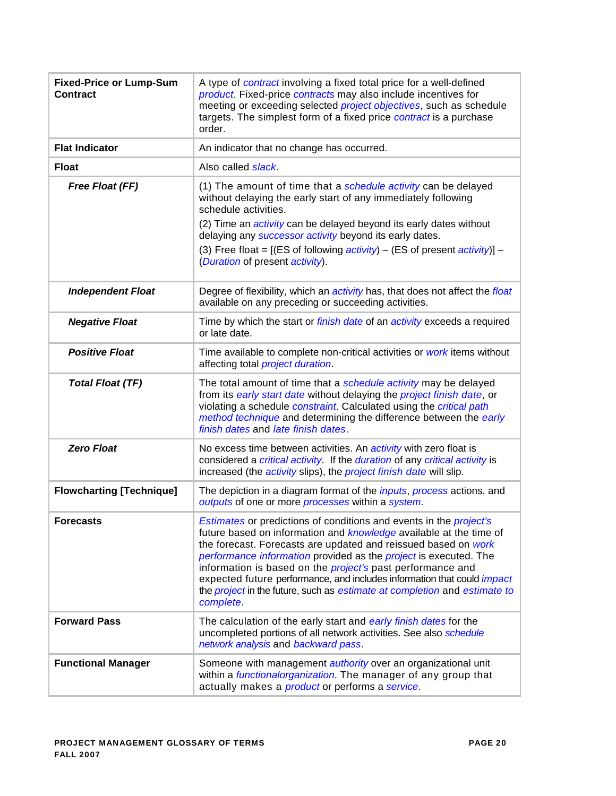| <b>Fixed-Price or Lump-Sum</b><br><b>Contract</b> | A type of <i>contract</i> involving a fixed total price for a well-defined<br>product. Fixed-price contracts may also include incentives for<br>meeting or exceeding selected <i>project objectives</i> , such as schedule<br>targets. The simplest form of a fixed price contract is a purchase<br>order.                                                                                                                                                                                                                                           |
|---------------------------------------------------|------------------------------------------------------------------------------------------------------------------------------------------------------------------------------------------------------------------------------------------------------------------------------------------------------------------------------------------------------------------------------------------------------------------------------------------------------------------------------------------------------------------------------------------------------|
| <b>Flat Indicator</b>                             | An indicator that no change has occurred.                                                                                                                                                                                                                                                                                                                                                                                                                                                                                                            |
| <b>Float</b>                                      | Also called slack.                                                                                                                                                                                                                                                                                                                                                                                                                                                                                                                                   |
| Free Float (FF)                                   | (1) The amount of time that a schedule activity can be delayed<br>without delaying the early start of any immediately following<br>schedule activities.<br>(2) Time an <i>activity</i> can be delayed beyond its early dates without<br>delaying any successor activity beyond its early dates.<br>(3) Free float = $[(ES of following activity) - (ES of present activity)] -$<br>(Duration of present activity).                                                                                                                                   |
| <b>Independent Float</b>                          | Degree of flexibility, which an <i>activity</i> has, that does not affect the <i>float</i><br>available on any preceding or succeeding activities.                                                                                                                                                                                                                                                                                                                                                                                                   |
| <b>Negative Float</b>                             | Time by which the start or <i>finish date</i> of an <i>activity</i> exceeds a required<br>or late date.                                                                                                                                                                                                                                                                                                                                                                                                                                              |
| <b>Positive Float</b>                             | Time available to complete non-critical activities or work items without<br>affecting total <i>project duration</i> .                                                                                                                                                                                                                                                                                                                                                                                                                                |
| <b>Total Float (TF)</b>                           | The total amount of time that a schedule activity may be delayed<br>from its early start date without delaying the project finish date, or<br>violating a schedule <i>constraint</i> . Calculated using the <i>critical path</i><br>method technique and determining the difference between the early<br>finish dates and late finish dates.                                                                                                                                                                                                         |
| <b>Zero Float</b>                                 | No excess time between activities. An <i>activity</i> with zero float is<br>considered a <i>critical activity</i> . If the <i>duration</i> of any <i>critical activity</i> is<br>increased (the <i>activity</i> slips), the <i>project finish date</i> will slip.                                                                                                                                                                                                                                                                                    |
| <b>Flowcharting [Technique]</b>                   | The depiction in a diagram format of the <i>inputs</i> , <i>process</i> actions, and<br>outputs of one or more processes within a system.                                                                                                                                                                                                                                                                                                                                                                                                            |
| <b>Forecasts</b>                                  | Estimates or predictions of conditions and events in the project's<br>future based on information and knowledge available at the time of<br>the forecast. Forecasts are updated and reissued based on work<br>performance information provided as the project is executed. The<br>information is based on the <i>project's</i> past performance and<br>expected future performance, and includes information that could <i>impact</i><br>the <i>project</i> in the future, such as <i>estimate at completion</i> and <i>estimate to</i><br>complete. |
| <b>Forward Pass</b>                               | The calculation of the early start and early finish dates for the<br>uncompleted portions of all network activities. See also schedule<br>network analysis and backward pass.                                                                                                                                                                                                                                                                                                                                                                        |
| <b>Functional Manager</b>                         | Someone with management <i>authority</i> over an organizational unit<br>within a <i>functionalorganization</i> . The manager of any group that<br>actually makes a <i>product</i> or performs a service.                                                                                                                                                                                                                                                                                                                                             |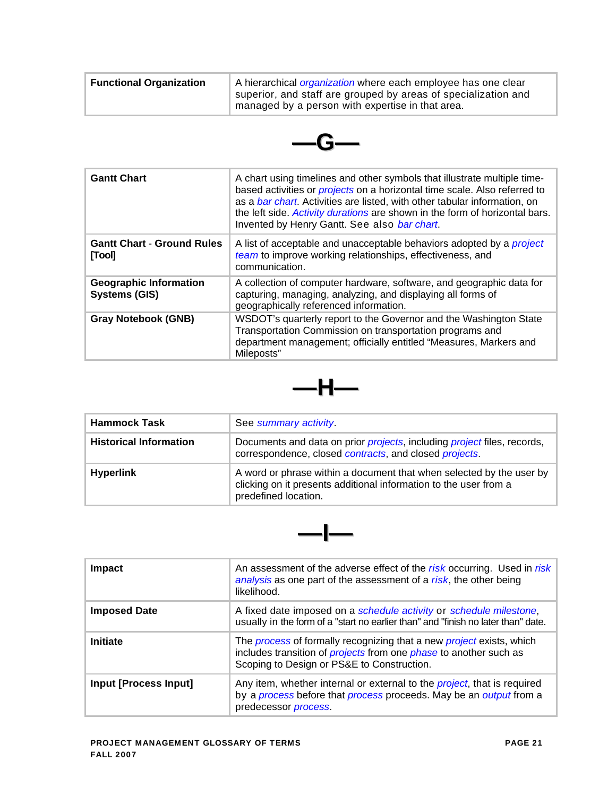| <b>Functional Organization</b> | A hierarchical <i>organization</i> where each employee has one clear<br>superior, and staff are grouped by areas of specialization and |
|--------------------------------|----------------------------------------------------------------------------------------------------------------------------------------|
|                                | managed by a person with expertise in that area.                                                                                       |

$$
-G-
$$

| <b>Gantt Chart</b>                                    | A chart using timelines and other symbols that illustrate multiple time-<br>based activities or <i>projects</i> on a horizontal time scale. Also referred to<br>as a <b>bar chart</b> . Activities are listed, with other tabular information, on<br>the left side. Activity durations are shown in the form of horizontal bars.<br>Invented by Henry Gantt. See also bar chart. |
|-------------------------------------------------------|----------------------------------------------------------------------------------------------------------------------------------------------------------------------------------------------------------------------------------------------------------------------------------------------------------------------------------------------------------------------------------|
| <b>Gantt Chart - Ground Rules</b><br><b>Tooll</b>     | A list of acceptable and unacceptable behaviors adopted by a <i>project</i><br>team to improve working relationships, effectiveness, and<br>communication.                                                                                                                                                                                                                       |
| <b>Geographic Information</b><br><b>Systems (GIS)</b> | A collection of computer hardware, software, and geographic data for<br>capturing, managing, analyzing, and displaying all forms of<br>geographically referenced information.                                                                                                                                                                                                    |
| <b>Gray Notebook (GNB)</b>                            | WSDOT's quarterly report to the Governor and the Washington State<br>Transportation Commission on transportation programs and<br>department management; officially entitled "Measures, Markers and<br>Mileposts"                                                                                                                                                                 |



| <b>Hammock Task</b>           | See summary activity                                                                                                                                              |
|-------------------------------|-------------------------------------------------------------------------------------------------------------------------------------------------------------------|
| <b>Historical Information</b> | Documents and data on prior <i>projects</i> , including <i>project</i> files, records,<br>correspondence, closed contracts, and closed projects.                  |
| <b>Hyperlink</b>              | A word or phrase within a document that when selected by the user by<br>clicking on it presents additional information to the user from a<br>predefined location. |



| Impact                       | An assessment of the adverse effect of the risk occurring. Used in risk<br>analysis as one part of the assessment of a risk, the other being<br>likelihood.                                                         |
|------------------------------|---------------------------------------------------------------------------------------------------------------------------------------------------------------------------------------------------------------------|
| <b>Imposed Date</b>          | A fixed date imposed on a schedule activity or schedule milestone,<br>usually in the form of a "start no earlier than" and "finish no later than" date.                                                             |
| Initiate                     | The <i>process</i> of formally recognizing that a new <i>project</i> exists, which<br>includes transition of <i>projects</i> from one <i>phase</i> to another such as<br>Scoping to Design or PS&E to Construction. |
| <b>Input [Process Input]</b> | Any item, whether internal or external to the <i>project</i> , that is required<br>by a <i>process</i> before that <i>process</i> proceeds. May be an <i>output</i> from a<br>predecessor <i>process</i> .          |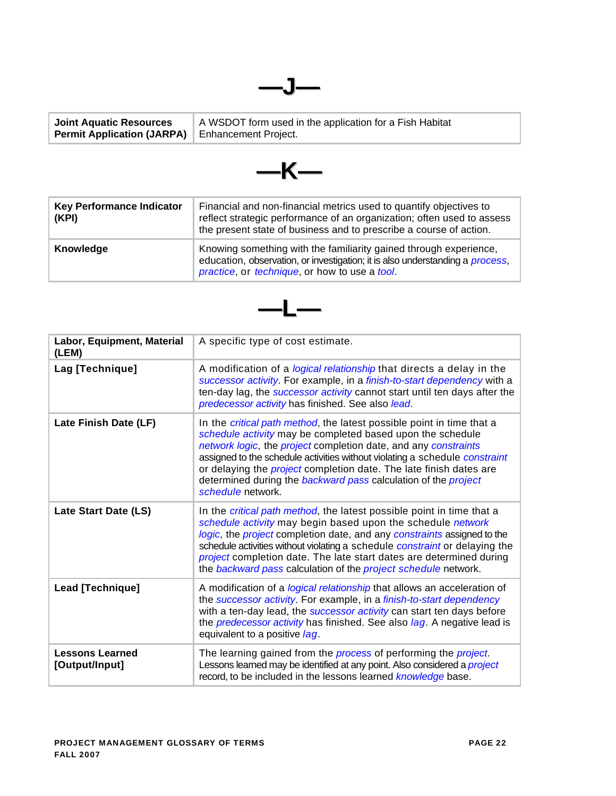

| Joint Aquatic Resources                                | A WSDOT form used in the application for a Fish Habitat |
|--------------------------------------------------------|---------------------------------------------------------|
| <b>Permit Application (JARPA)</b> Enhancement Project. |                                                         |



| <b>Key Performance Indicator</b><br>(KPI) | Financial and non-financial metrics used to quantify objectives to<br>reflect strategic performance of an organization; often used to assess<br>the present state of business and to prescribe a course of action. |
|-------------------------------------------|--------------------------------------------------------------------------------------------------------------------------------------------------------------------------------------------------------------------|
| Knowledge                                 | Knowing something with the familiarity gained through experience,<br>education, observation, or investigation; it is also understanding a <i>process</i> ,<br>practice, or technique, or how to use a tool.        |



| Labor, Equipment, Material<br>(LEM)      | A specific type of cost estimate.                                                                                                                                                                                                                                                                                                                                                                                                                                 |
|------------------------------------------|-------------------------------------------------------------------------------------------------------------------------------------------------------------------------------------------------------------------------------------------------------------------------------------------------------------------------------------------------------------------------------------------------------------------------------------------------------------------|
| Lag [Technique]                          | A modification of a <i>logical relationship</i> that directs a delay in the<br>successor activity. For example, in a finish-to-start dependency with a<br>ten-day lag, the successor activity cannot start until ten days after the<br>predecessor activity has finished. See also lead.                                                                                                                                                                          |
| Late Finish Date (LF)                    | In the <i>critical path method</i> , the latest possible point in time that a<br>schedule activity may be completed based upon the schedule<br>network logic, the project completion date, and any constraints<br>assigned to the schedule activities without violating a schedule constraint<br>or delaying the <i>project</i> completion date. The late finish dates are<br>determined during the backward pass calculation of the project<br>schedule network. |
| Late Start Date (LS)                     | In the <i>critical path method</i> , the latest possible point in time that a<br>schedule activity may begin based upon the schedule network<br>logic, the project completion date, and any constraints assigned to the<br>schedule activities without violating a schedule constraint or delaying the<br>project completion date. The late start dates are determined during<br>the backward pass calculation of the project schedule network.                   |
| Lead [Technique]                         | A modification of a <i>logical relationship</i> that allows an acceleration of<br>the successor activity. For example, in a finish-to-start dependency<br>with a ten-day lead, the successor activity can start ten days before<br>the <i>predecessor activity</i> has finished. See also <i>lag</i> . A negative lead is<br>equivalent to a positive lag.                                                                                                        |
| <b>Lessons Learned</b><br>[Output/Input] | The learning gained from the <i>process</i> of performing the <i>project</i> .<br>Lessons learned may be identified at any point. Also considered a <i>project</i><br>record, to be included in the lessons learned knowledge base.                                                                                                                                                                                                                               |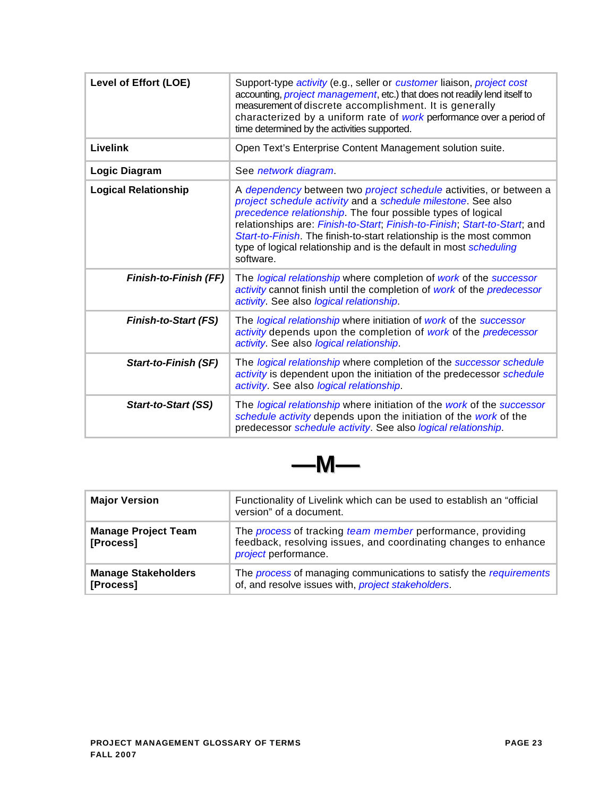| Level of Effort (LOE)        | Support-type <i>activity</i> (e.g., seller or <i>customer</i> liaison, <i>project cost</i><br>accounting, <i>project management</i> , etc.) that does not readily lend itself to<br>measurement of discrete accomplishment. It is generally<br>characterized by a uniform rate of work performance over a period of<br>time determined by the activities supported.                                                                       |
|------------------------------|-------------------------------------------------------------------------------------------------------------------------------------------------------------------------------------------------------------------------------------------------------------------------------------------------------------------------------------------------------------------------------------------------------------------------------------------|
| <b>Livelink</b>              | Open Text's Enterprise Content Management solution suite.                                                                                                                                                                                                                                                                                                                                                                                 |
| Logic Diagram                | See network diagram.                                                                                                                                                                                                                                                                                                                                                                                                                      |
| <b>Logical Relationship</b>  | A dependency between two project schedule activities, or between a<br>project schedule activity and a schedule milestone. See also<br>precedence relationship. The four possible types of logical<br>relationships are: Finish-to-Start, Finish-to-Finish, Start-to-Start, and<br>Start-to-Finish. The finish-to-start relationship is the most common<br>type of logical relationship and is the default in most scheduling<br>software. |
| <b>Finish-to-Finish (FF)</b> | The <i>logical relationship</i> where completion of work of the <i>successor</i><br>activity cannot finish until the completion of work of the predecessor<br>activity. See also logical relationship.                                                                                                                                                                                                                                    |
| <b>Finish-to-Start (FS)</b>  | The <i>logical relationship</i> where initiation of work of the successor<br>activity depends upon the completion of work of the predecessor<br>activity. See also logical relationship.                                                                                                                                                                                                                                                  |
| Start-to-Finish (SF)         | The <i>logical relationship</i> where completion of the <i>successor schedule</i><br>activity is dependent upon the initiation of the predecessor schedule<br>activity. See also logical relationship.                                                                                                                                                                                                                                    |
| <b>Start-to-Start (SS)</b>   | The <i>logical relationship</i> where initiation of the work of the successor<br>schedule activity depends upon the initiation of the work of the<br>predecessor schedule activity. See also logical relationship.                                                                                                                                                                                                                        |



| <b>Major Version</b>                    | Functionality of Livelink which can be used to establish an "official"<br>version" of a document.                                                                          |
|-----------------------------------------|----------------------------------------------------------------------------------------------------------------------------------------------------------------------------|
| <b>Manage Project Team</b><br>[Process] | The <i>process</i> of tracking <i>team member</i> performance, providing<br>feedback, resolving issues, and coordinating changes to enhance<br><i>project</i> performance. |
| <b>Manage Stakeholders</b><br>[Process] | The <i>process</i> of managing communications to satisfy the <i>requirements</i><br>of, and resolve issues with, project stakeholders.                                     |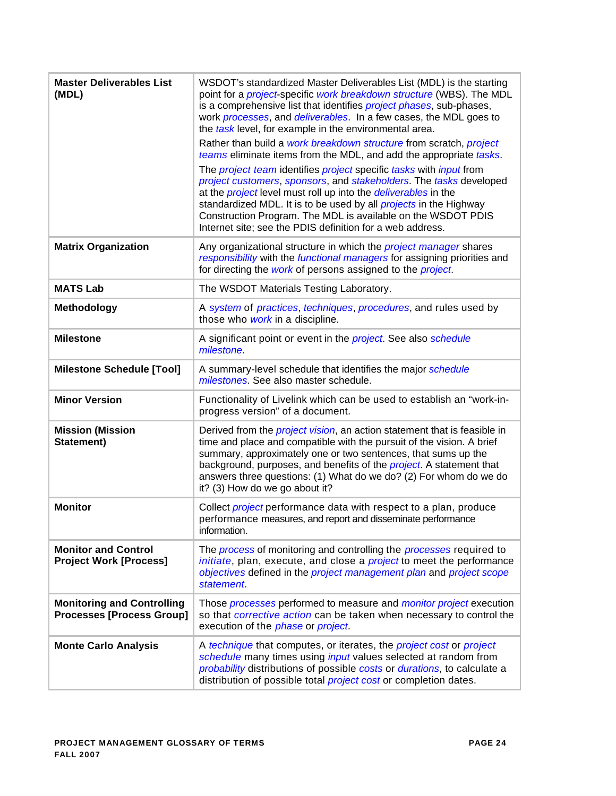| <b>Master Deliverables List</b><br>(MDL)                              | WSDOT's standardized Master Deliverables List (MDL) is the starting<br>point for a <i>project</i> -specific work breakdown structure (WBS). The MDL<br>is a comprehensive list that identifies <i>project phases</i> , sub-phases,<br>work processes, and deliverables. In a few cases, the MDL goes to<br>the task level, for example in the environmental area.<br>Rather than build a work breakdown structure from scratch, project<br>teams eliminate items from the MDL, and add the appropriate tasks.<br>The <i>project team</i> identifies <i>project</i> specific <i>tasks</i> with <i>input</i> from<br>project customers, sponsors, and stakeholders. The tasks developed<br>at the <i>project</i> level must roll up into the <i>deliverables</i> in the<br>standardized MDL. It is to be used by all <i>projects</i> in the Highway<br>Construction Program. The MDL is available on the WSDOT PDIS<br>Internet site; see the PDIS definition for a web address. |
|-----------------------------------------------------------------------|--------------------------------------------------------------------------------------------------------------------------------------------------------------------------------------------------------------------------------------------------------------------------------------------------------------------------------------------------------------------------------------------------------------------------------------------------------------------------------------------------------------------------------------------------------------------------------------------------------------------------------------------------------------------------------------------------------------------------------------------------------------------------------------------------------------------------------------------------------------------------------------------------------------------------------------------------------------------------------|
| <b>Matrix Organization</b>                                            | Any organizational structure in which the <i>project manager</i> shares<br>responsibility with the functional managers for assigning priorities and<br>for directing the work of persons assigned to the <i>project</i> .                                                                                                                                                                                                                                                                                                                                                                                                                                                                                                                                                                                                                                                                                                                                                      |
| <b>MATS Lab</b>                                                       | The WSDOT Materials Testing Laboratory.                                                                                                                                                                                                                                                                                                                                                                                                                                                                                                                                                                                                                                                                                                                                                                                                                                                                                                                                        |
| Methodology                                                           | A system of practices, techniques, procedures, and rules used by<br>those who work in a discipline.                                                                                                                                                                                                                                                                                                                                                                                                                                                                                                                                                                                                                                                                                                                                                                                                                                                                            |
| <b>Milestone</b>                                                      | A significant point or event in the <i>project</i> . See also <i>schedule</i><br>milestone.                                                                                                                                                                                                                                                                                                                                                                                                                                                                                                                                                                                                                                                                                                                                                                                                                                                                                    |
| <b>Milestone Schedule [Tool]</b>                                      | A summary-level schedule that identifies the major schedule<br>milestones. See also master schedule.                                                                                                                                                                                                                                                                                                                                                                                                                                                                                                                                                                                                                                                                                                                                                                                                                                                                           |
| <b>Minor Version</b>                                                  | Functionality of Livelink which can be used to establish an "work-in-<br>progress version" of a document.                                                                                                                                                                                                                                                                                                                                                                                                                                                                                                                                                                                                                                                                                                                                                                                                                                                                      |
| <b>Mission (Mission</b><br>Statement)                                 | Derived from the <i>project vision</i> , an action statement that is feasible in<br>time and place and compatible with the pursuit of the vision. A brief<br>summary, approximately one or two sentences, that sums up the<br>background, purposes, and benefits of the project. A statement that<br>answers three questions: (1) What do we do? (2) For whom do we do<br>it? (3) How do we go about it?                                                                                                                                                                                                                                                                                                                                                                                                                                                                                                                                                                       |
| <b>Monitor</b>                                                        | Collect <i>project</i> performance data with respect to a plan, produce<br>performance measures, and report and disseminate performance<br>information.                                                                                                                                                                                                                                                                                                                                                                                                                                                                                                                                                                                                                                                                                                                                                                                                                        |
| <b>Monitor and Control</b><br><b>Project Work [Process]</b>           | The <i>process</i> of monitoring and controlling the <i>processes</i> required to<br>initiate, plan, execute, and close a <i>project</i> to meet the performance<br>objectives defined in the project management plan and project scope<br><b>statement</b>                                                                                                                                                                                                                                                                                                                                                                                                                                                                                                                                                                                                                                                                                                                    |
| <b>Monitoring and Controlling</b><br><b>Processes [Process Group]</b> | Those <i>processes</i> performed to measure and <i>monitor project</i> execution<br>so that <i>corrective action</i> can be taken when necessary to control the<br>execution of the <i>phase</i> or <i>project</i> .                                                                                                                                                                                                                                                                                                                                                                                                                                                                                                                                                                                                                                                                                                                                                           |
| <b>Monte Carlo Analysis</b>                                           | A technique that computes, or iterates, the project cost or project<br>schedule many times using <i>input</i> values selected at random from<br>probability distributions of possible costs or durations, to calculate a<br>distribution of possible total <i>project cost</i> or completion dates.                                                                                                                                                                                                                                                                                                                                                                                                                                                                                                                                                                                                                                                                            |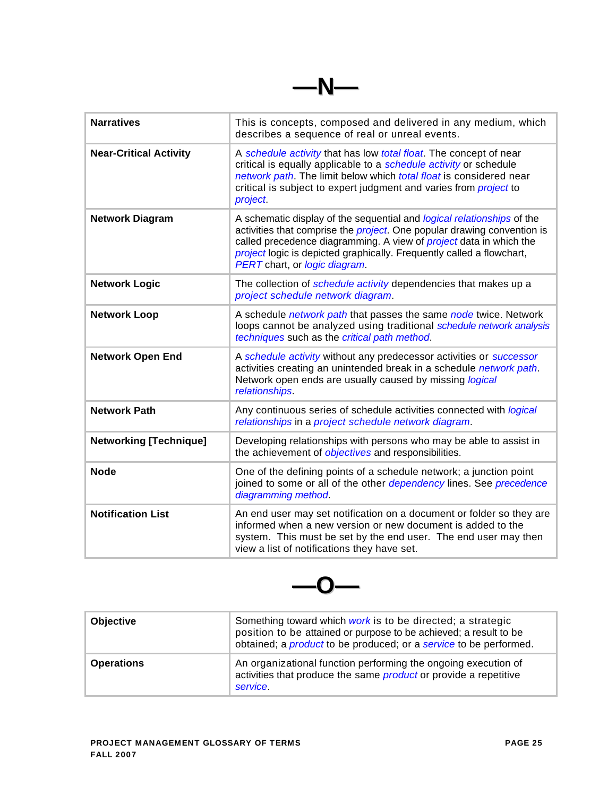

| <b>Narratives</b>             | This is concepts, composed and delivered in any medium, which<br>describes a sequence of real or unreal events.                                                                                                                                                                                                                                  |
|-------------------------------|--------------------------------------------------------------------------------------------------------------------------------------------------------------------------------------------------------------------------------------------------------------------------------------------------------------------------------------------------|
| <b>Near-Critical Activity</b> | A schedule activity that has low total float. The concept of near<br>critical is equally applicable to a schedule activity or schedule<br>network path. The limit below which total float is considered near<br>critical is subject to expert judgment and varies from <i>project</i> to<br>project                                              |
| <b>Network Diagram</b>        | A schematic display of the sequential and <i>logical relationships</i> of the<br>activities that comprise the <i>project</i> . One popular drawing convention is<br>called precedence diagramming. A view of project data in which the<br>project logic is depicted graphically. Frequently called a flowchart,<br>PERT chart, or logic diagram. |
| <b>Network Logic</b>          | The collection of <i>schedule activity</i> dependencies that makes up a<br>project schedule network diagram.                                                                                                                                                                                                                                     |
| <b>Network Loop</b>           | A schedule network path that passes the same node twice. Network<br>loops cannot be analyzed using traditional schedule network analysis<br>techniques such as the critical path method.                                                                                                                                                         |
| <b>Network Open End</b>       | A schedule activity without any predecessor activities or successor<br>activities creating an unintended break in a schedule network path.<br>Network open ends are usually caused by missing logical<br>relationships.                                                                                                                          |
| <b>Network Path</b>           | Any continuous series of schedule activities connected with <i>logical</i><br>relationships in a project schedule network diagram.                                                                                                                                                                                                               |
| <b>Networking [Technique]</b> | Developing relationships with persons who may be able to assist in<br>the achievement of <i>objectives</i> and responsibilities.                                                                                                                                                                                                                 |
| <b>Node</b>                   | One of the defining points of a schedule network; a junction point<br>joined to some or all of the other dependency lines. See precedence<br>diagramming method.                                                                                                                                                                                 |
| <b>Notification List</b>      | An end user may set notification on a document or folder so they are<br>informed when a new version or new document is added to the<br>system. This must be set by the end user. The end user may then<br>view a list of notifications they have set.                                                                                            |



| Objective         | Something toward which work is to be directed; a strategic<br>position to be attained or purpose to be achieved; a result to be<br>obtained; a <i>product</i> to be produced; or a <i>service</i> to be performed. |
|-------------------|--------------------------------------------------------------------------------------------------------------------------------------------------------------------------------------------------------------------|
| <b>Operations</b> | An organizational function performing the ongoing execution of<br>activities that produce the same <i>product</i> or provide a repetitive<br>service                                                               |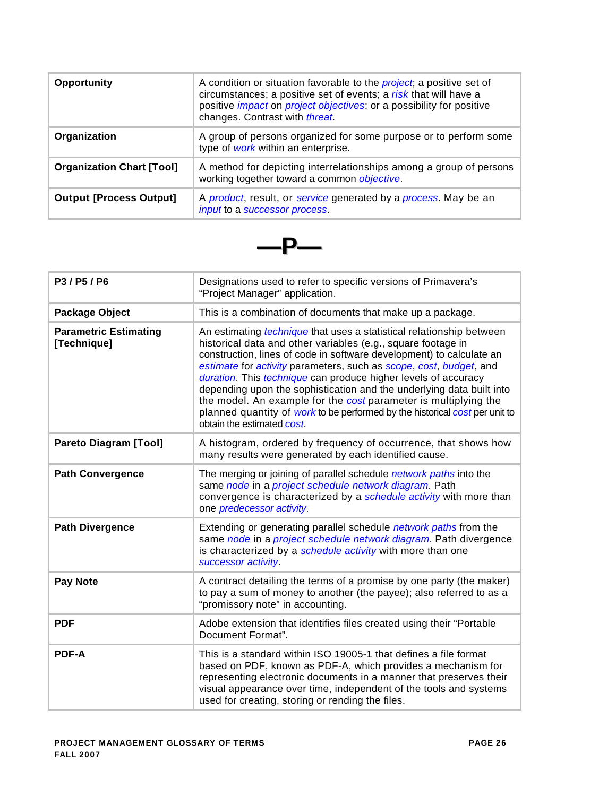| Opportunity                      | A condition or situation favorable to the <i>project</i> ; a positive set of<br>circumstances; a positive set of events; a risk that will have a<br>positive <i>impact</i> on <i>project objectives</i> ; or a possibility for positive<br>changes. Contrast with threat. |
|----------------------------------|---------------------------------------------------------------------------------------------------------------------------------------------------------------------------------------------------------------------------------------------------------------------------|
| Organization                     | A group of persons organized for some purpose or to perform some<br>type of work within an enterprise.                                                                                                                                                                    |
| <b>Organization Chart [Tool]</b> | A method for depicting interrelationships among a group of persons<br>working together toward a common objective.                                                                                                                                                         |
| <b>Output [Process Output]</b>   | A product, result, or service generated by a process. May be an<br>input to a successor process.                                                                                                                                                                          |



| P3/P5/P6                                    | Designations used to refer to specific versions of Primavera's<br>"Project Manager" application.                                                                                                                                                                                                                                                                                                                                                                                                                                                                                                                    |
|---------------------------------------------|---------------------------------------------------------------------------------------------------------------------------------------------------------------------------------------------------------------------------------------------------------------------------------------------------------------------------------------------------------------------------------------------------------------------------------------------------------------------------------------------------------------------------------------------------------------------------------------------------------------------|
| <b>Package Object</b>                       | This is a combination of documents that make up a package.                                                                                                                                                                                                                                                                                                                                                                                                                                                                                                                                                          |
| <b>Parametric Estimating</b><br>[Technique] | An estimating <i>technique</i> that uses a statistical relationship between<br>historical data and other variables (e.g., square footage in<br>construction, lines of code in software development) to calculate an<br>estimate for activity parameters, such as scope, cost, budget, and<br>duration. This technique can produce higher levels of accuracy<br>depending upon the sophistication and the underlying data built into<br>the model. An example for the cost parameter is multiplying the<br>planned quantity of work to be performed by the historical cost per unit to<br>obtain the estimated cost. |
| <b>Pareto Diagram [Tool]</b>                | A histogram, ordered by frequency of occurrence, that shows how<br>many results were generated by each identified cause.                                                                                                                                                                                                                                                                                                                                                                                                                                                                                            |
| <b>Path Convergence</b>                     | The merging or joining of parallel schedule network paths into the<br>same node in a project schedule network diagram. Path<br>convergence is characterized by a schedule activity with more than<br>one predecessor activity.                                                                                                                                                                                                                                                                                                                                                                                      |
| <b>Path Divergence</b>                      | Extending or generating parallel schedule network paths from the<br>same node in a project schedule network diagram. Path divergence<br>is characterized by a schedule activity with more than one<br>successor activity.                                                                                                                                                                                                                                                                                                                                                                                           |
| <b>Pay Note</b>                             | A contract detailing the terms of a promise by one party (the maker)<br>to pay a sum of money to another (the payee); also referred to as a<br>"promissory note" in accounting.                                                                                                                                                                                                                                                                                                                                                                                                                                     |
| <b>PDF</b>                                  | Adobe extension that identifies files created using their "Portable"<br>Document Format".                                                                                                                                                                                                                                                                                                                                                                                                                                                                                                                           |
| <b>PDF-A</b>                                | This is a standard within ISO 19005-1 that defines a file format<br>based on PDF, known as PDF-A, which provides a mechanism for<br>representing electronic documents in a manner that preserves their<br>visual appearance over time, independent of the tools and systems<br>used for creating, storing or rending the files.                                                                                                                                                                                                                                                                                     |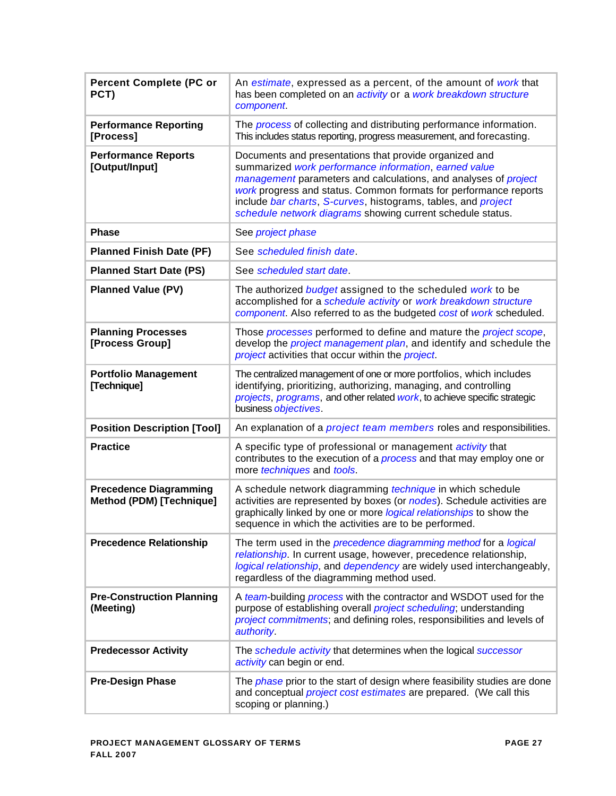| <b>Percent Complete (PC or</b><br>PCT)                    | An estimate, expressed as a percent, of the amount of work that<br>has been completed on an <i>activity</i> or a work breakdown structure<br><i>component</i>                                                                                                                                                                                                                         |
|-----------------------------------------------------------|---------------------------------------------------------------------------------------------------------------------------------------------------------------------------------------------------------------------------------------------------------------------------------------------------------------------------------------------------------------------------------------|
| <b>Performance Reporting</b><br>[Process]                 | The <i>process</i> of collecting and distributing performance information.<br>This includes status reporting, progress measurement, and forecasting.                                                                                                                                                                                                                                  |
| <b>Performance Reports</b><br>[Output/Input]              | Documents and presentations that provide organized and<br>summarized work performance information, earned value<br>management parameters and calculations, and analyses of project<br>work progress and status. Common formats for performance reports<br>include bar charts, S-curves, histograms, tables, and project<br>schedule network diagrams showing current schedule status. |
| <b>Phase</b>                                              | See project phase                                                                                                                                                                                                                                                                                                                                                                     |
| <b>Planned Finish Date (PF)</b>                           | See scheduled finish date.                                                                                                                                                                                                                                                                                                                                                            |
| <b>Planned Start Date (PS)</b>                            | See scheduled start date.                                                                                                                                                                                                                                                                                                                                                             |
| <b>Planned Value (PV)</b>                                 | The authorized budget assigned to the scheduled work to be<br>accomplished for a schedule activity or work breakdown structure<br>component. Also referred to as the budgeted cost of work scheduled.                                                                                                                                                                                 |
| <b>Planning Processes</b><br>[Process Group]              | Those processes performed to define and mature the project scope,<br>develop the <i>project management plan</i> , and identify and schedule the<br>project activities that occur within the project.                                                                                                                                                                                  |
| <b>Portfolio Management</b><br>[Technique]                | The centralized management of one or more portfolios, which includes<br>identifying, prioritizing, authorizing, managing, and controlling<br>projects, programs, and other related work, to achieve specific strategic<br>business objectives.                                                                                                                                        |
| <b>Position Description [Tool]</b>                        | An explanation of a <i>project team members</i> roles and responsibilities.                                                                                                                                                                                                                                                                                                           |
| <b>Practice</b>                                           | A specific type of professional or management <i>activity</i> that<br>contributes to the execution of a <i>process</i> and that may employ one or<br>more techniques and tools.                                                                                                                                                                                                       |
| <b>Precedence Diagramming</b><br>Method (PDM) [Technique] | A schedule network diagramming technique in which schedule<br>activities are represented by boxes (or nodes). Schedule activities are<br>graphically linked by one or more logical relationships to show the<br>sequence in which the activities are to be performed.                                                                                                                 |
| <b>Precedence Relationship</b>                            | The term used in the <i>precedence diagramming method</i> for a <i>logical</i><br>relationship. In current usage, however, precedence relationship,<br>logical relationship, and dependency are widely used interchangeably,<br>regardless of the diagramming method used.                                                                                                            |
| <b>Pre-Construction Planning</b><br>(Meeting)             | A team-building process with the contractor and WSDOT used for the<br>purpose of establishing overall <i>project scheduling</i> ; understanding<br>project commitments; and defining roles, responsibilities and levels of<br>authority.                                                                                                                                              |
| <b>Predecessor Activity</b>                               | The schedule activity that determines when the logical successor<br>activity can begin or end.                                                                                                                                                                                                                                                                                        |
| <b>Pre-Design Phase</b>                                   | The <i>phase</i> prior to the start of design where feasibility studies are done<br>and conceptual <i>project cost estimates</i> are prepared. (We call this<br>scoping or planning.)                                                                                                                                                                                                 |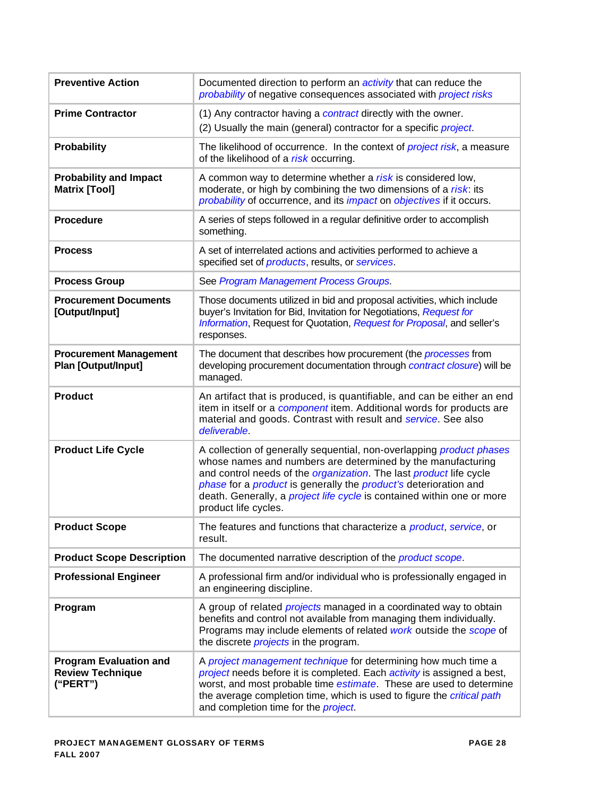| <b>Preventive Action</b>                                             | Documented direction to perform an <i>activity</i> that can reduce the<br>probability of negative consequences associated with project risks                                                                                                                                                                                                                                                                |
|----------------------------------------------------------------------|-------------------------------------------------------------------------------------------------------------------------------------------------------------------------------------------------------------------------------------------------------------------------------------------------------------------------------------------------------------------------------------------------------------|
| <b>Prime Contractor</b>                                              | (1) Any contractor having a <i>contract</i> directly with the owner.                                                                                                                                                                                                                                                                                                                                        |
|                                                                      | (2) Usually the main (general) contractor for a specific project.                                                                                                                                                                                                                                                                                                                                           |
| Probability                                                          | The likelihood of occurrence. In the context of <i>project risk</i> , a measure<br>of the likelihood of a risk occurring.                                                                                                                                                                                                                                                                                   |
| <b>Probability and Impact</b><br><b>Matrix [Tool]</b>                | A common way to determine whether a risk is considered low,<br>moderate, or high by combining the two dimensions of a risk: its<br>probability of occurrence, and its <i>impact</i> on <i>objectives</i> if it occurs.                                                                                                                                                                                      |
| <b>Procedure</b>                                                     | A series of steps followed in a regular definitive order to accomplish<br>something.                                                                                                                                                                                                                                                                                                                        |
| <b>Process</b>                                                       | A set of interrelated actions and activities performed to achieve a<br>specified set of <i>products</i> , results, or <i>services</i> .                                                                                                                                                                                                                                                                     |
| <b>Process Group</b>                                                 | See Program Management Process Groups.                                                                                                                                                                                                                                                                                                                                                                      |
| <b>Procurement Documents</b><br>[Output/Input]                       | Those documents utilized in bid and proposal activities, which include<br>buyer's Invitation for Bid, Invitation for Negotiations, Request for<br>Information, Request for Quotation, Request for Proposal, and seller's<br>responses.                                                                                                                                                                      |
| <b>Procurement Management</b><br>Plan [Output/Input]                 | The document that describes how procurement (the <i>processes</i> from<br>developing procurement documentation through contract closure) will be<br>managed.                                                                                                                                                                                                                                                |
| <b>Product</b>                                                       | An artifact that is produced, is quantifiable, and can be either an end<br>item in itself or a <i>component</i> item. Additional words for products are<br>material and goods. Contrast with result and service. See also<br>deliverable.                                                                                                                                                                   |
| <b>Product Life Cycle</b>                                            | A collection of generally sequential, non-overlapping <i>product phases</i><br>whose names and numbers are determined by the manufacturing<br>and control needs of the organization. The last product life cycle<br>phase for a <i>product</i> is generally the <i>product's</i> deterioration and<br>death. Generally, a <i>project life cycle</i> is contained within one or more<br>product life cycles. |
| <b>Product Scope</b>                                                 | The features and functions that characterize a <i>product</i> , service, or<br>result.                                                                                                                                                                                                                                                                                                                      |
| <b>Product Scope Description</b>                                     | The documented narrative description of the <i>product scope</i> .                                                                                                                                                                                                                                                                                                                                          |
| <b>Professional Engineer</b>                                         | A professional firm and/or individual who is professionally engaged in<br>an engineering discipline.                                                                                                                                                                                                                                                                                                        |
| Program                                                              | A group of related <i>projects</i> managed in a coordinated way to obtain<br>benefits and control not available from managing them individually.<br>Programs may include elements of related work outside the scope of<br>the discrete <i>projects</i> in the program.                                                                                                                                      |
| <b>Program Evaluation and</b><br><b>Review Technique</b><br>("PERT") | A project management technique for determining how much time a<br>project needs before it is completed. Each activity is assigned a best,<br>worst, and most probable time <i>estimate</i> . These are used to determine<br>the average completion time, which is used to figure the critical path<br>and completion time for the <i>project</i> .                                                          |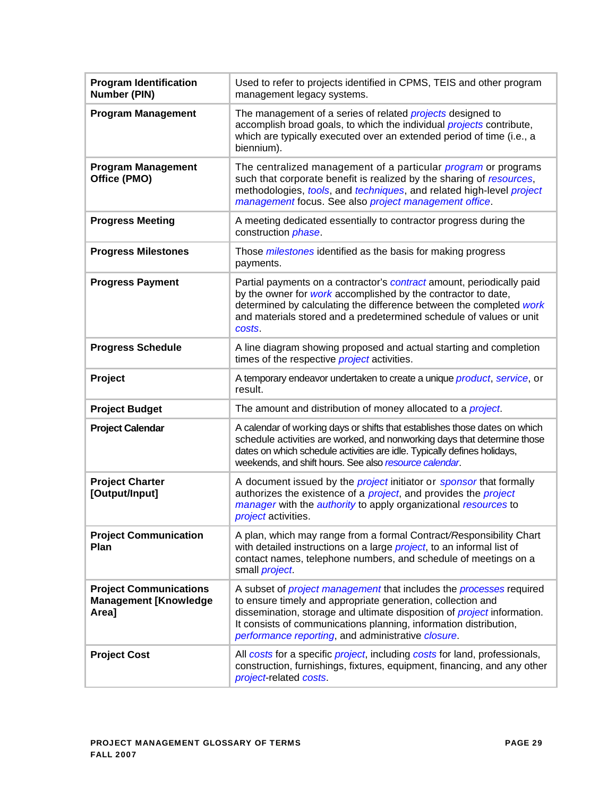| <b>Program Identification</b><br>Number (PIN)                          | Used to refer to projects identified in CPMS, TEIS and other program<br>management legacy systems.                                                                                                                                                                                                                                                            |
|------------------------------------------------------------------------|---------------------------------------------------------------------------------------------------------------------------------------------------------------------------------------------------------------------------------------------------------------------------------------------------------------------------------------------------------------|
| <b>Program Management</b>                                              | The management of a series of related <i>projects</i> designed to<br>accomplish broad goals, to which the individual <i>projects</i> contribute,<br>which are typically executed over an extended period of time (i.e., a<br>biennium).                                                                                                                       |
| <b>Program Management</b><br>Office (PMO)                              | The centralized management of a particular <i>program</i> or programs<br>such that corporate benefit is realized by the sharing of resources,<br>methodologies, tools, and techniques, and related high-level project<br>management focus. See also project management office.                                                                                |
| <b>Progress Meeting</b>                                                | A meeting dedicated essentially to contractor progress during the<br>construction <i>phase</i> .                                                                                                                                                                                                                                                              |
| <b>Progress Milestones</b>                                             | Those <i>milestones</i> identified as the basis for making progress<br>payments.                                                                                                                                                                                                                                                                              |
| <b>Progress Payment</b>                                                | Partial payments on a contractor's <i>contract</i> amount, periodically paid<br>by the owner for work accomplished by the contractor to date,<br>determined by calculating the difference between the completed work<br>and materials stored and a predetermined schedule of values or unit<br>costs.                                                         |
| <b>Progress Schedule</b>                                               | A line diagram showing proposed and actual starting and completion<br>times of the respective <i>project</i> activities.                                                                                                                                                                                                                                      |
| Project                                                                | A temporary endeavor undertaken to create a unique product, service, or<br>result.                                                                                                                                                                                                                                                                            |
| <b>Project Budget</b>                                                  | The amount and distribution of money allocated to a <i>project</i> .                                                                                                                                                                                                                                                                                          |
| <b>Project Calendar</b>                                                | A calendar of working days or shifts that establishes those dates on which<br>schedule activities are worked, and nonworking days that determine those<br>dates on which schedule activities are idle. Typically defines holidays,<br>weekends, and shift hours. See also resource calendar.                                                                  |
| <b>Project Charter</b><br>[Output/Input]                               | A document issued by the <i>project</i> initiator or <i>sponsor</i> that formally<br>authorizes the existence of a <i>project</i> , and provides the <i>project</i><br>manager with the authority to apply organizational resources to<br>project activities.                                                                                                 |
| <b>Project Communication</b><br>Plan                                   | A plan, which may range from a formal Contract/Responsibility Chart<br>with detailed instructions on a large <i>project</i> , to an informal list of<br>contact names, telephone numbers, and schedule of meetings on a<br>small <i>project</i>                                                                                                               |
| <b>Project Communications</b><br><b>Management [Knowledge</b><br>Area] | A subset of <i>project management</i> that includes the <i>processes</i> required<br>to ensure timely and appropriate generation, collection and<br>dissemination, storage and ultimate disposition of <i>project</i> information.<br>It consists of communications planning, information distribution,<br>performance reporting, and administrative closure. |
| <b>Project Cost</b>                                                    | All costs for a specific <i>project</i> , including costs for land, professionals,<br>construction, furnishings, fixtures, equipment, financing, and any other<br>project-related costs.                                                                                                                                                                      |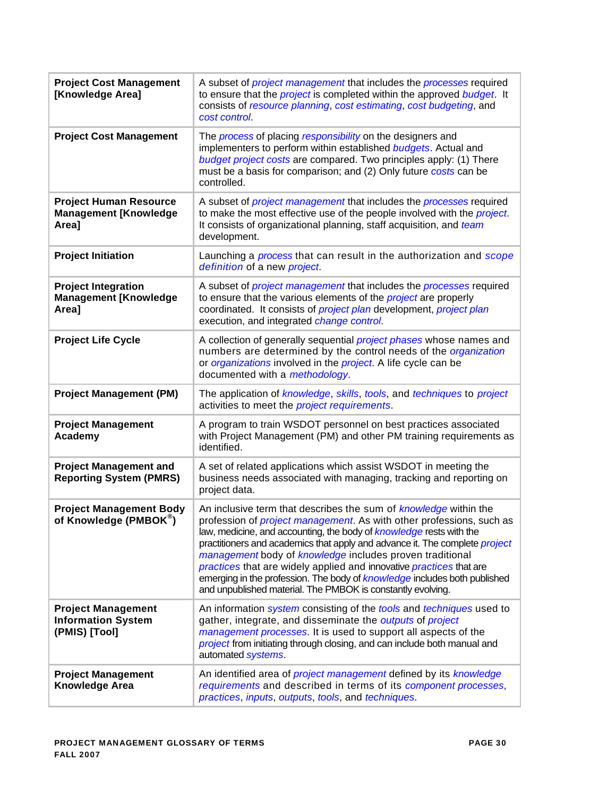| <b>Project Cost Management</b><br>[Knowledge Area]                      | A subset of <i>project management</i> that includes the <i>processes</i> required<br>to ensure that the <i>project</i> is completed within the approved budget. It<br>consists of resource planning, cost estimating, cost budgeting, and<br>cost control.                                                                                                                                                                                                                                                                                                                                   |
|-------------------------------------------------------------------------|----------------------------------------------------------------------------------------------------------------------------------------------------------------------------------------------------------------------------------------------------------------------------------------------------------------------------------------------------------------------------------------------------------------------------------------------------------------------------------------------------------------------------------------------------------------------------------------------|
| <b>Project Cost Management</b>                                          | The <i>process</i> of placing <i>responsibility</i> on the designers and<br>implementers to perform within established budgets. Actual and<br>budget project costs are compared. Two principles apply: (1) There<br>must be a basis for comparison; and (2) Only future costs can be<br>controlled.                                                                                                                                                                                                                                                                                          |
| <b>Project Human Resource</b><br><b>Management [Knowledge</b><br>Area]  | A subset of <i>project management</i> that includes the <i>processes</i> required<br>to make the most effective use of the people involved with the <i>project</i> .<br>It consists of organizational planning, staff acquisition, and team<br>development.                                                                                                                                                                                                                                                                                                                                  |
| <b>Project Initiation</b>                                               | Launching a <i>process</i> that can result in the authorization and <i>scope</i><br>definition of a new project.                                                                                                                                                                                                                                                                                                                                                                                                                                                                             |
| <b>Project Integration</b><br><b>Management [Knowledge</b><br>Area]     | A subset of <i>project management</i> that includes the <i>processes</i> required<br>to ensure that the various elements of the <i>project</i> are properly<br>coordinated. It consists of <i>project plan</i> development, <i>project plan</i><br>execution, and integrated change control.                                                                                                                                                                                                                                                                                                 |
| <b>Project Life Cycle</b>                                               | A collection of generally sequential <i>project phases</i> whose names and<br>numbers are determined by the control needs of the organization<br>or <i>organizations</i> involved in the <i>project</i> . A life cycle can be<br>documented with a <i>methodology</i> .                                                                                                                                                                                                                                                                                                                      |
| <b>Project Management (PM)</b>                                          | The application of knowledge, skills, tools, and techniques to project<br>activities to meet the <i>project requirements</i> .                                                                                                                                                                                                                                                                                                                                                                                                                                                               |
| <b>Project Management</b><br>Academy                                    | A program to train WSDOT personnel on best practices associated<br>with Project Management (PM) and other PM training requirements as<br>identified.                                                                                                                                                                                                                                                                                                                                                                                                                                         |
| <b>Project Management and</b><br><b>Reporting System (PMRS)</b>         | A set of related applications which assist WSDOT in meeting the<br>business needs associated with managing, tracking and reporting on<br>project data.                                                                                                                                                                                                                                                                                                                                                                                                                                       |
| <b>Project Management Body</b><br>of Knowledge (PMBOK®)                 | An inclusive term that describes the sum of knowledge within the<br>profession of <i>project management</i> . As with other professions, such as<br>law, medicine, and accounting, the body of knowledge rests with the<br>practitioners and academics that apply and advance it. The complete <i>project</i><br>management body of knowledge includes proven traditional<br>practices that are widely applied and innovative practices that are<br>emerging in the profession. The body of knowledge includes both published<br>and unpublished material. The PMBOK is constantly evolving. |
| <b>Project Management</b><br><b>Information System</b><br>(PMIS) [Tool] | An information <i>system</i> consisting of the <i>tools</i> and <i>techniques</i> used to<br>gather, integrate, and disseminate the outputs of project<br>management processes. It is used to support all aspects of the<br>project from initiating through closing, and can include both manual and<br>automated systems.                                                                                                                                                                                                                                                                   |
| <b>Project Management</b><br><b>Knowledge Area</b>                      | An identified area of <i>project management</i> defined by its <i>knowledge</i><br>requirements and described in terms of its component processes,<br>practices, inputs, outputs, tools, and techniques.                                                                                                                                                                                                                                                                                                                                                                                     |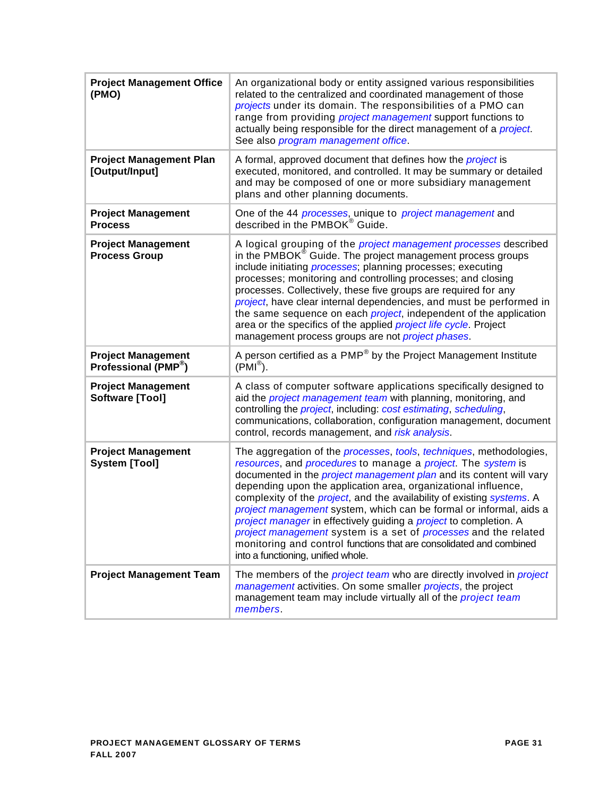| <b>Project Management Office</b><br>(PMO)         | An organizational body or entity assigned various responsibilities<br>related to the centralized and coordinated management of those<br>projects under its domain. The responsibilities of a PMO can<br>range from providing <i>project management</i> support functions to<br>actually being responsible for the direct management of a <i>project</i> .<br>See also <i>program management office</i> .                                                                                                                                                                                                                                                                                                                         |
|---------------------------------------------------|----------------------------------------------------------------------------------------------------------------------------------------------------------------------------------------------------------------------------------------------------------------------------------------------------------------------------------------------------------------------------------------------------------------------------------------------------------------------------------------------------------------------------------------------------------------------------------------------------------------------------------------------------------------------------------------------------------------------------------|
| <b>Project Management Plan</b><br>[Output/Input]  | A formal, approved document that defines how the <i>project</i> is<br>executed, monitored, and controlled. It may be summary or detailed<br>and may be composed of one or more subsidiary management<br>plans and other planning documents.                                                                                                                                                                                                                                                                                                                                                                                                                                                                                      |
| <b>Project Management</b><br><b>Process</b>       | One of the 44 processes, unique to project management and<br>described in the PMBOK® Guide.                                                                                                                                                                                                                                                                                                                                                                                                                                                                                                                                                                                                                                      |
| <b>Project Management</b><br><b>Process Group</b> | A logical grouping of the <i>project management processes</i> described<br>in the PMBOK® Guide. The project management process groups<br>include initiating <i>processes</i> ; planning processes; executing<br>processes; monitoring and controlling processes; and closing<br>processes. Collectively, these five groups are required for any<br>project, have clear internal dependencies, and must be performed in<br>the same sequence on each <i>project</i> , independent of the application<br>area or the specifics of the applied project life cycle. Project<br>management process groups are not <i>project phases</i> .                                                                                             |
| <b>Project Management</b><br>Professional (PMP®)  | A person certified as a $\mathsf{PMP}^{\circledast}$ by the Project Management Institute<br>$(PMI^{\circledR})$ .                                                                                                                                                                                                                                                                                                                                                                                                                                                                                                                                                                                                                |
| <b>Project Management</b><br>Software [Tool]      | A class of computer software applications specifically designed to<br>aid the <i>project management team</i> with planning, monitoring, and<br>controlling the <i>project</i> , including: cost estimating, scheduling,<br>communications, collaboration, configuration management, document<br>control, records management, and risk analysis.                                                                                                                                                                                                                                                                                                                                                                                  |
| <b>Project Management</b><br><b>System [Tool]</b> | The aggregation of the <i>processes</i> , <i>tools</i> , <i>techniques</i> , methodologies,<br>resources, and procedures to manage a project. The system is<br>documented in the <i>project management plan</i> and its content will vary<br>depending upon the application area, organizational influence,<br>complexity of the <i>project</i> , and the availability of existing <i>systems</i> . A<br>project management system, which can be formal or informal, aids a<br>project manager in effectively guiding a project to completion. A<br>project management system is a set of processes and the related<br>monitoring and control functions that are consolidated and combined<br>into a functioning, unified whole. |
| <b>Project Management Team</b>                    | The members of the <i>project team</i> who are directly involved in <i>project</i><br>management activities. On some smaller projects, the project<br>management team may include virtually all of the <i>project team</i><br>members.                                                                                                                                                                                                                                                                                                                                                                                                                                                                                           |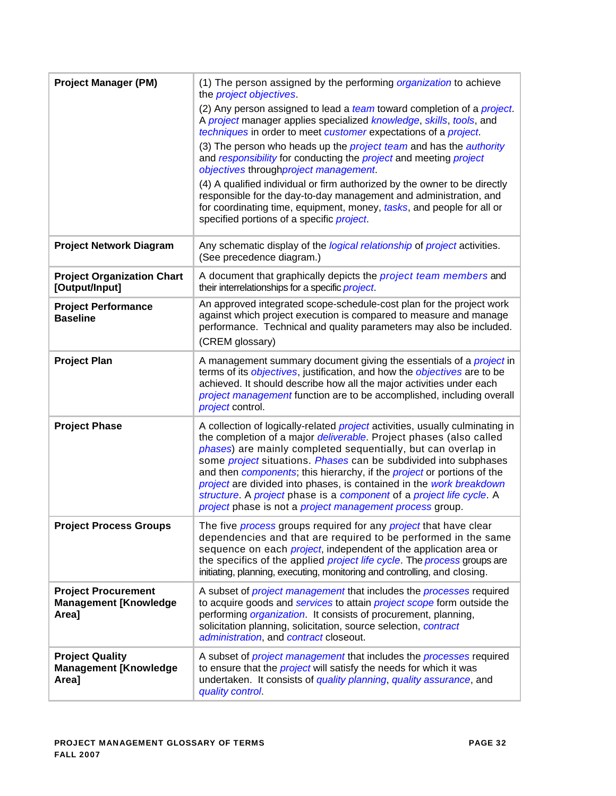| <b>Project Manager (PM)</b>                                         | (1) The person assigned by the performing organization to achieve<br>the <i>project</i> objectives.                                                                                                                                                                                                                                                                                                                                                                                                                                                                                        |
|---------------------------------------------------------------------|--------------------------------------------------------------------------------------------------------------------------------------------------------------------------------------------------------------------------------------------------------------------------------------------------------------------------------------------------------------------------------------------------------------------------------------------------------------------------------------------------------------------------------------------------------------------------------------------|
|                                                                     | (2) Any person assigned to lead a <i>team</i> toward completion of a <i>project</i> .<br>A project manager applies specialized knowledge, skills, tools, and<br>techniques in order to meet customer expectations of a project.                                                                                                                                                                                                                                                                                                                                                            |
|                                                                     | (3) The person who heads up the project team and has the <i>authority</i><br>and responsibility for conducting the project and meeting project<br>objectives throughproject management.                                                                                                                                                                                                                                                                                                                                                                                                    |
|                                                                     | (4) A qualified individual or firm authorized by the owner to be directly<br>responsible for the day-to-day management and administration, and<br>for coordinating time, equipment, money, tasks, and people for all or<br>specified portions of a specific <i>project</i> .                                                                                                                                                                                                                                                                                                               |
| <b>Project Network Diagram</b>                                      | Any schematic display of the <i>logical relationship</i> of <i>project</i> activities.<br>(See precedence diagram.)                                                                                                                                                                                                                                                                                                                                                                                                                                                                        |
| <b>Project Organization Chart</b><br>[Output/Input]                 | A document that graphically depicts the <i>project team members</i> and<br>their interrelationships for a specific project.                                                                                                                                                                                                                                                                                                                                                                                                                                                                |
| <b>Project Performance</b><br><b>Baseline</b>                       | An approved integrated scope-schedule-cost plan for the project work<br>against which project execution is compared to measure and manage<br>performance. Technical and quality parameters may also be included.<br>(CREM glossary)                                                                                                                                                                                                                                                                                                                                                        |
| <b>Project Plan</b>                                                 | A management summary document giving the essentials of a <i>project</i> in<br>terms of its <i>objectives</i> , justification, and how the <i>objectives</i> are to be<br>achieved. It should describe how all the major activities under each<br>project management function are to be accomplished, including overall<br>project control.                                                                                                                                                                                                                                                 |
| <b>Project Phase</b>                                                | A collection of logically-related <i>project</i> activities, usually culminating in<br>the completion of a major deliverable. Project phases (also called<br>phases) are mainly completed sequentially, but can overlap in<br>some <i>project</i> situations. Phases can be subdivided into subphases<br>and then components; this hierarchy, if the project or portions of the<br>project are divided into phases, is contained in the work breakdown<br>structure. A project phase is a component of a project life cycle. A<br>project phase is not a project management process group. |
| <b>Project Process Groups</b>                                       | The five process groups required for any project that have clear<br>dependencies and that are required to be performed in the same<br>sequence on each <i>project</i> , independent of the application area or<br>the specifics of the applied <i>project life cycle</i> . The <i>process</i> groups are<br>initiating, planning, executing, monitoring and controlling, and closing.                                                                                                                                                                                                      |
| <b>Project Procurement</b><br><b>Management [Knowledge</b><br>Area] | A subset of <i>project management</i> that includes the <i>processes</i> required<br>to acquire goods and services to attain <i>project scope</i> form outside the<br>performing <i>organization</i> . It consists of procurement, planning,<br>solicitation planning, solicitation, source selection, contract<br>administration, and contract closeout.                                                                                                                                                                                                                                  |
| <b>Project Quality</b><br><b>Management [Knowledge</b><br>Area]     | A subset of <i>project management</i> that includes the <i>processes</i> required<br>to ensure that the <i>project</i> will satisfy the needs for which it was<br>undertaken. It consists of quality planning, quality assurance, and<br>quality control.                                                                                                                                                                                                                                                                                                                                  |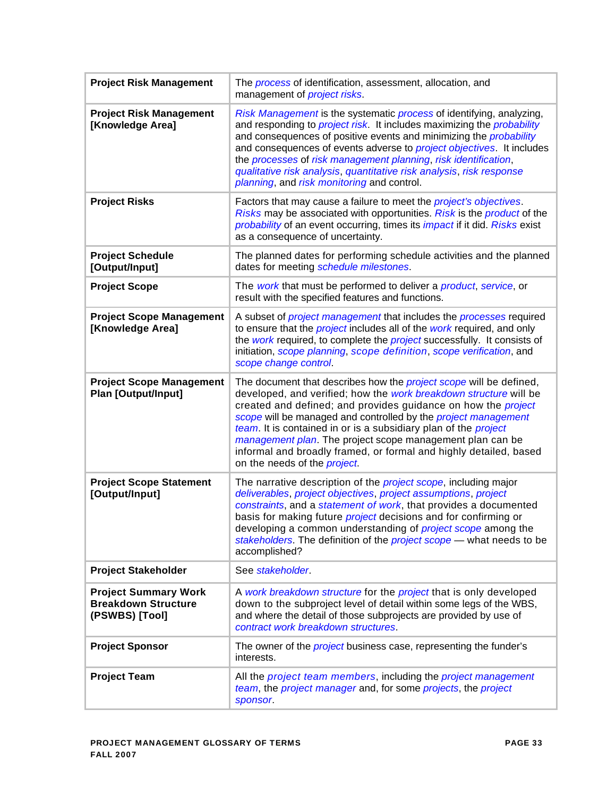| <b>Project Risk Management</b>                                              | The <i>process</i> of identification, assessment, allocation, and<br>management of <i>project risks</i> .                                                                                                                                                                                                                                                                                                                                                                                                                     |
|-----------------------------------------------------------------------------|-------------------------------------------------------------------------------------------------------------------------------------------------------------------------------------------------------------------------------------------------------------------------------------------------------------------------------------------------------------------------------------------------------------------------------------------------------------------------------------------------------------------------------|
| <b>Project Risk Management</b><br>[Knowledge Area]                          | Risk Management is the systematic process of identifying, analyzing,<br>and responding to <i>project risk</i> . It includes maximizing the <i>probability</i><br>and consequences of positive events and minimizing the <i>probability</i><br>and consequences of events adverse to <i>project objectives</i> . It includes<br>the processes of risk management planning, risk identification,<br>qualitative risk analysis, quantitative risk analysis, risk response<br>planning, and risk monitoring and control.          |
| <b>Project Risks</b>                                                        | Factors that may cause a failure to meet the <i>project's objectives</i> .<br>Risks may be associated with opportunities. Risk is the <i>product</i> of the<br>probability of an event occurring, times its <i>impact</i> if it did. Risks exist<br>as a consequence of uncertainty.                                                                                                                                                                                                                                          |
| <b>Project Schedule</b><br>[Output/Input]                                   | The planned dates for performing schedule activities and the planned<br>dates for meeting schedule milestones.                                                                                                                                                                                                                                                                                                                                                                                                                |
| <b>Project Scope</b>                                                        | The work that must be performed to deliver a <i>product</i> , service, or<br>result with the specified features and functions.                                                                                                                                                                                                                                                                                                                                                                                                |
| <b>Project Scope Management</b><br>[Knowledge Area]                         | A subset of <i>project management</i> that includes the <i>processes</i> required<br>to ensure that the <i>project</i> includes all of the work required, and only<br>the work required, to complete the project successfully. It consists of<br>initiation, scope planning, scope definition, scope verification, and<br>scope change control.                                                                                                                                                                               |
| <b>Project Scope Management</b><br>Plan [Output/Input]                      | The document that describes how the <i>project scope</i> will be defined,<br>developed, and verified; how the work breakdown structure will be<br>created and defined; and provides guidance on how the <i>project</i><br>scope will be managed and controlled by the project management<br>team. It is contained in or is a subsidiary plan of the project<br>management plan. The project scope management plan can be<br>informal and broadly framed, or formal and highly detailed, based<br>on the needs of the project. |
| <b>Project Scope Statement</b><br>[Output/Input]                            | The narrative description of the <i>project scope</i> , including major<br>deliverables, project objectives, project assumptions, project<br>constraints, and a statement of work, that provides a documented<br>basis for making future <i>project</i> decisions and for confirming or<br>developing a common understanding of <i>project scope</i> among the<br>stakeholders. The definition of the project scope - what needs to be<br>accomplished?                                                                       |
| <b>Project Stakeholder</b>                                                  | See stakeholder.                                                                                                                                                                                                                                                                                                                                                                                                                                                                                                              |
| <b>Project Summary Work</b><br><b>Breakdown Structure</b><br>(PSWBS) [Tool] | A work breakdown structure for the project that is only developed<br>down to the subproject level of detail within some legs of the WBS,<br>and where the detail of those subprojects are provided by use of<br>contract work breakdown structures.                                                                                                                                                                                                                                                                           |
| <b>Project Sponsor</b>                                                      | The owner of the <i>project</i> business case, representing the funder's<br>interests.                                                                                                                                                                                                                                                                                                                                                                                                                                        |
| <b>Project Team</b>                                                         | All the <i>project team members</i> , including the <i>project management</i><br>team, the project manager and, for some projects, the project<br>sponsor.                                                                                                                                                                                                                                                                                                                                                                    |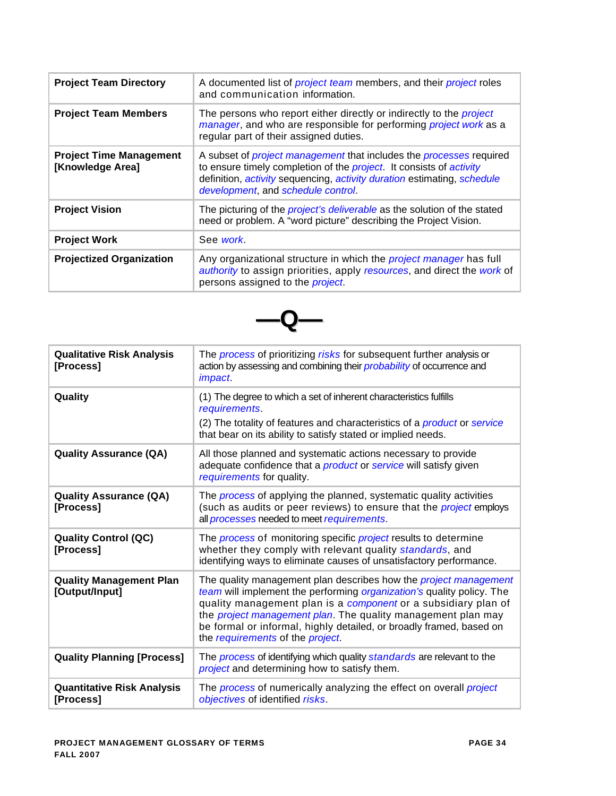| <b>Project Team Directory</b>                      | A documented list of <i>project team</i> members, and their <i>project</i> roles<br>and communication information.                                                                                                                                                                                            |
|----------------------------------------------------|---------------------------------------------------------------------------------------------------------------------------------------------------------------------------------------------------------------------------------------------------------------------------------------------------------------|
| <b>Project Team Members</b>                        | The persons who report either directly or indirectly to the <i>project</i><br>manager, and who are responsible for performing project work as a<br>regular part of their assigned duties.                                                                                                                     |
| <b>Project Time Management</b><br>[Knowledge Area] | A subset of <i>project management</i> that includes the <i>processes</i> required<br>to ensure timely completion of the <i>project</i> . It consists of <i>activity</i><br>definition, <i>activity</i> sequencing, <i>activity duration</i> estimating, <i>schedule</i><br>development, and schedule control. |
| <b>Project Vision</b>                              | The picturing of the <i>project's deliverable</i> as the solution of the stated<br>need or problem. A "word picture" describing the Project Vision.                                                                                                                                                           |
| <b>Project Work</b>                                | See work.                                                                                                                                                                                                                                                                                                     |
| <b>Projectized Organization</b>                    | Any organizational structure in which the <i>project manager</i> has full<br>authority to assign priorities, apply resources, and direct the work of<br>persons assigned to the <i>project</i> .                                                                                                              |



| <b>Qualitative Risk Analysis</b><br>[Process]    | The <i>process</i> of prioritizing risks for subsequent further analysis or<br>action by assessing and combining their <i>probability</i> of occurrence and<br><i>impact.</i>                                                                                                                                                                                                                         |
|--------------------------------------------------|-------------------------------------------------------------------------------------------------------------------------------------------------------------------------------------------------------------------------------------------------------------------------------------------------------------------------------------------------------------------------------------------------------|
| Quality                                          | (1) The degree to which a set of inherent characteristics fulfills<br>requirements.<br>(2) The totality of features and characteristics of a <i>product</i> or service<br>that bear on its ability to satisfy stated or implied needs.                                                                                                                                                                |
| <b>Quality Assurance (QA)</b>                    | All those planned and systematic actions necessary to provide<br>adequate confidence that a <i>product</i> or service will satisfy given<br>requirements for quality.                                                                                                                                                                                                                                 |
| <b>Quality Assurance (QA)</b><br>[Process]       | The <i>process</i> of applying the planned, systematic quality activities<br>(such as audits or peer reviews) to ensure that the <i>project</i> employs<br>all processes needed to meet requirements.                                                                                                                                                                                                 |
| <b>Quality Control (QC)</b><br>[Process]         | The <i>process</i> of monitoring specific <i>project</i> results to determine<br>whether they comply with relevant quality standards, and<br>identifying ways to eliminate causes of unsatisfactory performance.                                                                                                                                                                                      |
| <b>Quality Management Plan</b><br>[Output/Input] | The quality management plan describes how the <i>project management</i><br>team will implement the performing organization's quality policy. The<br>quality management plan is a component or a subsidiary plan of<br>the <i>project management plan</i> . The quality management plan may<br>be formal or informal, highly detailed, or broadly framed, based on<br>the requirements of the project. |
| <b>Quality Planning [Process]</b>                | The <i>process</i> of identifying which quality <i>standards</i> are relevant to the<br>project and determining how to satisfy them.                                                                                                                                                                                                                                                                  |
| <b>Quantitative Risk Analysis</b><br>[Process]   | The <i>process</i> of numerically analyzing the effect on overall <i>project</i><br><i>objectives</i> of identified <i>risks</i> .                                                                                                                                                                                                                                                                    |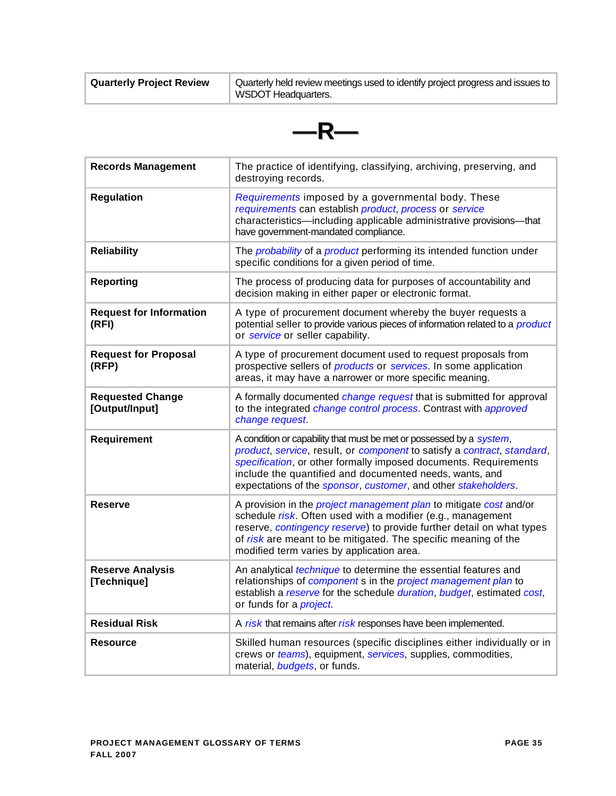| <b>Quarterly Project Review</b> | Quarterly held review meetings used to identify project progress and issues to |
|---------------------------------|--------------------------------------------------------------------------------|
|                                 | <b>WSDOT Headquarters.</b>                                                     |



| <b>Records Management</b>                 | The practice of identifying, classifying, archiving, preserving, and<br>destroying records.                                                                                                                                                                                                                                                      |
|-------------------------------------------|--------------------------------------------------------------------------------------------------------------------------------------------------------------------------------------------------------------------------------------------------------------------------------------------------------------------------------------------------|
| <b>Regulation</b>                         | Requirements imposed by a governmental body. These<br>requirements can establish product, process or service<br>characteristics-including applicable administrative provisions-that<br>have government-mandated compliance.                                                                                                                      |
| <b>Reliability</b>                        | The <i>probability</i> of a <i>product</i> performing its intended function under<br>specific conditions for a given period of time.                                                                                                                                                                                                             |
| <b>Reporting</b>                          | The process of producing data for purposes of accountability and<br>decision making in either paper or electronic format.                                                                                                                                                                                                                        |
| <b>Request for Information</b><br>(RFI)   | A type of procurement document whereby the buyer requests a<br>potential seller to provide various pieces of information related to a product<br>or service or seller capability.                                                                                                                                                                |
| <b>Request for Proposal</b><br>(RFP)      | A type of procurement document used to request proposals from<br>prospective sellers of <i>products</i> or <i>services</i> . In some application<br>areas, it may have a narrower or more specific meaning.                                                                                                                                      |
| <b>Requested Change</b><br>[Output/Input] | A formally documented <i>change request</i> that is submitted for approval<br>to the integrated change control process. Contrast with approved<br>change request.                                                                                                                                                                                |
| <b>Requirement</b>                        | A condition or capability that must be met or possessed by a system,<br>product, service, result, or component to satisfy a contract, standard,<br>specification, or other formally imposed documents. Requirements<br>include the quantified and documented needs, wants, and<br>expectations of the sponsor, customer, and other stakeholders. |
| <b>Reserve</b>                            | A provision in the <i>project management plan</i> to mitigate cost and/or<br>schedule risk. Often used with a modifier (e.g., management<br>reserve, <i>contingency reserve</i> ) to provide further detail on what types<br>of risk are meant to be mitigated. The specific meaning of the<br>modified term varies by application area.         |
| <b>Reserve Analysis</b><br>[Technique]    | An analytical <i>technique</i> to determine the essential features and<br>relationships of <i>component</i> s in the <i>project management plan</i> to<br>establish a reserve for the schedule duration, budget, estimated cost,<br>or funds for a <i>project</i> .                                                                              |
| <b>Residual Risk</b>                      | A risk that remains after risk responses have been implemented.                                                                                                                                                                                                                                                                                  |
| <b>Resource</b>                           | Skilled human resources (specific disciplines either individually or in<br>crews or teams), equipment, services, supplies, commodities,<br>material, budgets, or funds.                                                                                                                                                                          |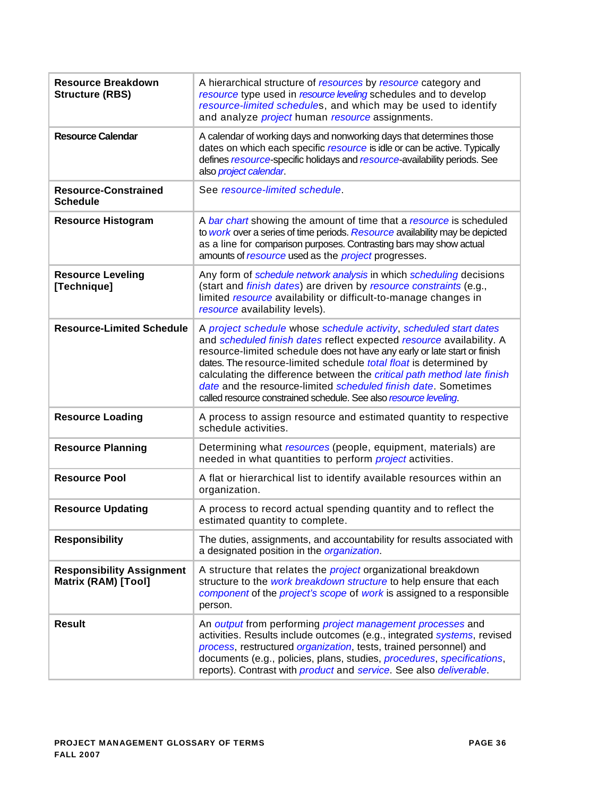| <b>Resource Breakdown</b><br><b>Structure (RBS)</b>     | A hierarchical structure of resources by resource category and<br>resource type used in resource leveling schedules and to develop<br>resource-limited schedules, and which may be used to identify<br>and analyze project human resource assignments.                                                                                                                                                                                                                                                        |
|---------------------------------------------------------|---------------------------------------------------------------------------------------------------------------------------------------------------------------------------------------------------------------------------------------------------------------------------------------------------------------------------------------------------------------------------------------------------------------------------------------------------------------------------------------------------------------|
| <b>Resource Calendar</b>                                | A calendar of working days and nonworking days that determines those<br>dates on which each specific resource is idle or can be active. Typically<br>defines resource-specific holidays and resource-availability periods. See<br>also project calendar.                                                                                                                                                                                                                                                      |
| <b>Resource-Constrained</b><br><b>Schedule</b>          | See resource-limited schedule.                                                                                                                                                                                                                                                                                                                                                                                                                                                                                |
| <b>Resource Histogram</b>                               | A bar chart showing the amount of time that a resource is scheduled<br>to work over a series of time periods. Resource availability may be depicted<br>as a line for comparison purposes. Contrasting bars may show actual<br>amounts of resource used as the project progresses.                                                                                                                                                                                                                             |
| <b>Resource Leveling</b><br>[Technique]                 | Any form of schedule network analysis in which scheduling decisions<br>(start and finish dates) are driven by resource constraints (e.g.,<br>limited resource availability or difficult-to-manage changes in<br>resource availability levels).                                                                                                                                                                                                                                                                |
| <b>Resource-Limited Schedule</b>                        | A project schedule whose schedule activity, scheduled start dates<br>and scheduled finish dates reflect expected resource availability. A<br>resource-limited schedule does not have any early or late start or finish<br>dates. The resource-limited schedule total float is determined by<br>calculating the difference between the critical path method late finish<br>date and the resource-limited scheduled finish date. Sometimes<br>called resource constrained schedule. See also resource leveling. |
| <b>Resource Loading</b>                                 | A process to assign resource and estimated quantity to respective<br>schedule activities.                                                                                                                                                                                                                                                                                                                                                                                                                     |
| <b>Resource Planning</b>                                | Determining what resources (people, equipment, materials) are<br>needed in what quantities to perform project activities.                                                                                                                                                                                                                                                                                                                                                                                     |
| <b>Resource Pool</b>                                    | A flat or hierarchical list to identify available resources within an<br>organization.                                                                                                                                                                                                                                                                                                                                                                                                                        |
| <b>Resource Updating</b>                                | A process to record actual spending quantity and to reflect the<br>estimated quantity to complete.                                                                                                                                                                                                                                                                                                                                                                                                            |
| <b>Responsibility</b>                                   | The duties, assignments, and accountability for results associated with<br>a designated position in the organization.                                                                                                                                                                                                                                                                                                                                                                                         |
| <b>Responsibility Assignment</b><br>Matrix (RAM) [Tool] | A structure that relates the <i>project</i> organizational breakdown<br>structure to the work breakdown structure to help ensure that each<br>component of the project's scope of work is assigned to a responsible<br>person.                                                                                                                                                                                                                                                                                |
| <b>Result</b>                                           | An output from performing project management processes and<br>activities. Results include outcomes (e.g., integrated systems, revised<br>process, restructured organization, tests, trained personnel) and<br>documents (e.g., policies, plans, studies, procedures, specifications,<br>reports). Contrast with <i>product</i> and <i>service</i> . See also <i>deliverable</i> .                                                                                                                             |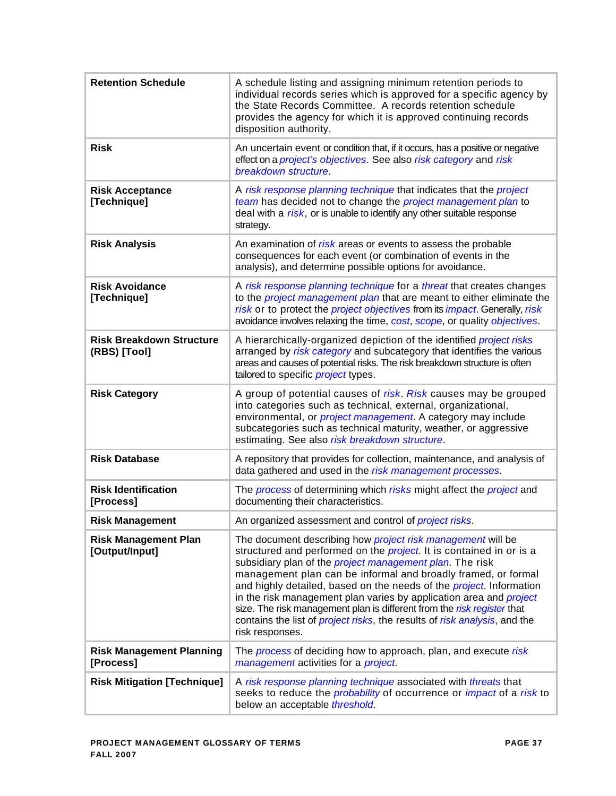| <b>Retention Schedule</b>                       | A schedule listing and assigning minimum retention periods to<br>individual records series which is approved for a specific agency by<br>the State Records Committee. A records retention schedule<br>provides the agency for which it is approved continuing records<br>disposition authority.                                                                                                                                                                                                                                                                                                                                               |
|-------------------------------------------------|-----------------------------------------------------------------------------------------------------------------------------------------------------------------------------------------------------------------------------------------------------------------------------------------------------------------------------------------------------------------------------------------------------------------------------------------------------------------------------------------------------------------------------------------------------------------------------------------------------------------------------------------------|
| <b>Risk</b>                                     | An uncertain event or condition that, if it occurs, has a positive or negative<br>effect on a project's objectives. See also risk category and risk<br>breakdown structure.                                                                                                                                                                                                                                                                                                                                                                                                                                                                   |
| <b>Risk Acceptance</b><br>[Technique]           | A risk response planning technique that indicates that the project<br>team has decided not to change the project management plan to<br>deal with a risk, or is unable to identify any other suitable response<br>strategy.                                                                                                                                                                                                                                                                                                                                                                                                                    |
| <b>Risk Analysis</b>                            | An examination of risk areas or events to assess the probable<br>consequences for each event (or combination of events in the<br>analysis), and determine possible options for avoidance.                                                                                                                                                                                                                                                                                                                                                                                                                                                     |
| <b>Risk Avoidance</b><br>[Technique]            | A risk response planning technique for a threat that creates changes<br>to the <i>project management plan</i> that are meant to either eliminate the<br>risk or to protect the <i>project objectives</i> from its <i>impact</i> . Generally, risk<br>avoidance involves relaxing the time, cost, scope, or quality objectives.                                                                                                                                                                                                                                                                                                                |
| <b>Risk Breakdown Structure</b><br>(RBS) [Tool] | A hierarchically-organized depiction of the identified <i>project risks</i><br>arranged by risk category and subcategory that identifies the various<br>areas and causes of potential risks. The risk breakdown structure is often<br>tailored to specific <i>project</i> types.                                                                                                                                                                                                                                                                                                                                                              |
| <b>Risk Category</b>                            | A group of potential causes of risk. Risk causes may be grouped<br>into categories such as technical, external, organizational,<br>environmental, or <i>project management</i> . A category may include<br>subcategories such as technical maturity, weather, or aggressive<br>estimating. See also risk breakdown structure.                                                                                                                                                                                                                                                                                                                 |
| <b>Risk Database</b>                            | A repository that provides for collection, maintenance, and analysis of<br>data gathered and used in the risk management processes.                                                                                                                                                                                                                                                                                                                                                                                                                                                                                                           |
| <b>Risk Identification</b><br>[Process]         | The <i>process</i> of determining which <i>risks</i> might affect the <i>project</i> and<br>documenting their characteristics.                                                                                                                                                                                                                                                                                                                                                                                                                                                                                                                |
| <b>Risk Management</b>                          | An organized assessment and control of <i>project risks</i> .                                                                                                                                                                                                                                                                                                                                                                                                                                                                                                                                                                                 |
| <b>Risk Management Plan</b><br>[Output/Input]   | The document describing how <i>project risk management</i> will be<br>structured and performed on the <i>project</i> . It is contained in or is a<br>subsidiary plan of the <i>project management plan</i> . The risk<br>management plan can be informal and broadly framed, or formal<br>and highly detailed, based on the needs of the <i>project</i> . Information<br>in the risk management plan varies by application area and <i>project</i><br>size. The risk management plan is different from the risk register that<br>contains the list of <i>project risks</i> , the results of <i>risk analysis</i> , and the<br>risk responses. |
| <b>Risk Management Planning</b><br>[Process]    | The <i>process</i> of deciding how to approach, plan, and execute risk<br>management activities for a project                                                                                                                                                                                                                                                                                                                                                                                                                                                                                                                                 |
| <b>Risk Mitigation [Technique]</b>              | A risk response planning technique associated with threats that<br>seeks to reduce the <i>probability</i> of occurrence or <i>impact</i> of a risk to<br>below an acceptable threshold.                                                                                                                                                                                                                                                                                                                                                                                                                                                       |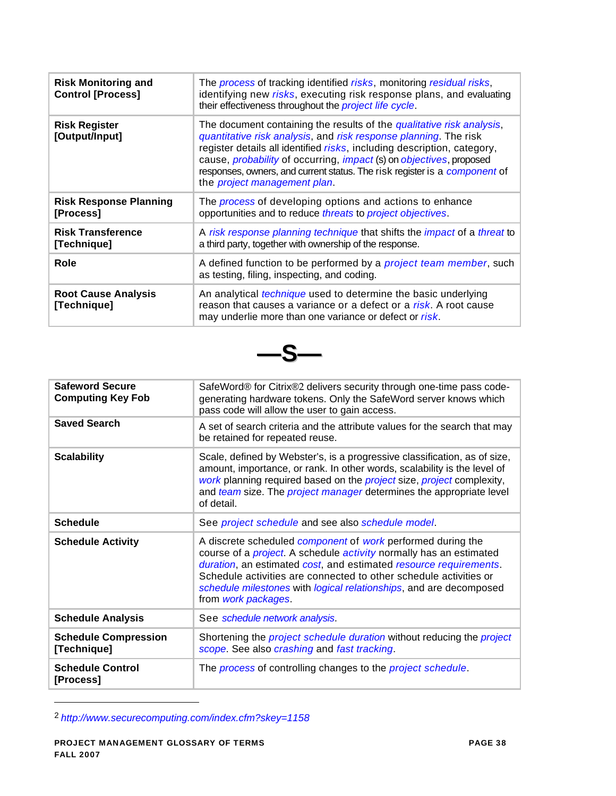| <b>Risk Monitoring and</b><br><b>Control [Process]</b> | The <i>process</i> of tracking identified <i>risks</i> , monitoring <i>residual risks</i> ,<br>identifying new risks, executing risk response plans, and evaluating<br>their effectiveness throughout the <i>project life cycle</i> .                                                                                                                                                                                           |
|--------------------------------------------------------|---------------------------------------------------------------------------------------------------------------------------------------------------------------------------------------------------------------------------------------------------------------------------------------------------------------------------------------------------------------------------------------------------------------------------------|
| <b>Risk Register</b><br>[Output/Input]                 | The document containing the results of the qualitative risk analysis,<br>quantitative risk analysis, and risk response planning. The risk<br>register details all identified risks, including description, category,<br>cause, <i>probability</i> of occurring, <i>impact</i> (s) on <i>objectives</i> , proposed<br>responses, owners, and current status. The risk register is a component of<br>the project management plan. |
| <b>Risk Response Planning</b><br>[Process]             | The <i>process</i> of developing options and actions to enhance<br>opportunities and to reduce threats to project objectives.                                                                                                                                                                                                                                                                                                   |
| <b>Risk Transference</b><br>[Technique]                | A risk response planning technique that shifts the impact of a threat to<br>a third party, together with ownership of the response.                                                                                                                                                                                                                                                                                             |
| Role                                                   | A defined function to be performed by a <i>project team member</i> , such<br>as testing, filing, inspecting, and coding.                                                                                                                                                                                                                                                                                                        |
| <b>Root Cause Analysis</b><br>[Technique]              | An analytical <i>technique</i> used to determine the basic underlying<br>reason that causes a variance or a defect or a <i>risk</i> . A root cause<br>may underlie more than one variance or defect or risk.                                                                                                                                                                                                                    |



| <b>Safeword Secure</b><br><b>Computing Key Fob</b> | SafeWord® for Citrix®2 delivers security through one-time pass code-<br>generating hardware tokens. Only the SafeWord server knows which<br>pass code will allow the user to gain access.                                                                                                                                                                                                             |
|----------------------------------------------------|-------------------------------------------------------------------------------------------------------------------------------------------------------------------------------------------------------------------------------------------------------------------------------------------------------------------------------------------------------------------------------------------------------|
| <b>Saved Search</b>                                | A set of search criteria and the attribute values for the search that may<br>be retained for repeated reuse.                                                                                                                                                                                                                                                                                          |
| <b>Scalability</b>                                 | Scale, defined by Webster's, is a progressive classification, as of size,<br>amount, importance, or rank. In other words, scalability is the level of<br>work planning required based on the project size, project complexity,<br>and team size. The project manager determines the appropriate level<br>of detail.                                                                                   |
| <b>Schedule</b>                                    | See project schedule and see also schedule model.                                                                                                                                                                                                                                                                                                                                                     |
| <b>Schedule Activity</b>                           | A discrete scheduled <i>component</i> of <i>work</i> performed during the<br>course of a <i>project</i> . A schedule <i>activity</i> normally has an estimated<br>duration, an estimated cost, and estimated resource requirements.<br>Schedule activities are connected to other schedule activities or<br>schedule milestones with logical relationships, and are decomposed<br>from work packages. |
| <b>Schedule Analysis</b>                           | See schedule network analysis.                                                                                                                                                                                                                                                                                                                                                                        |
| <b>Schedule Compression</b><br>[Technique]         | Shortening the <i>project schedule duration</i> without reducing the <i>project</i><br>scope. See also crashing and fast tracking.                                                                                                                                                                                                                                                                    |
| <b>Schedule Control</b><br>[Process]               | The process of controlling changes to the project schedule.                                                                                                                                                                                                                                                                                                                                           |

<sup>2</sup> *http://www.securecomputing.com/index.cfm?skey=1158*

 $\overline{a}$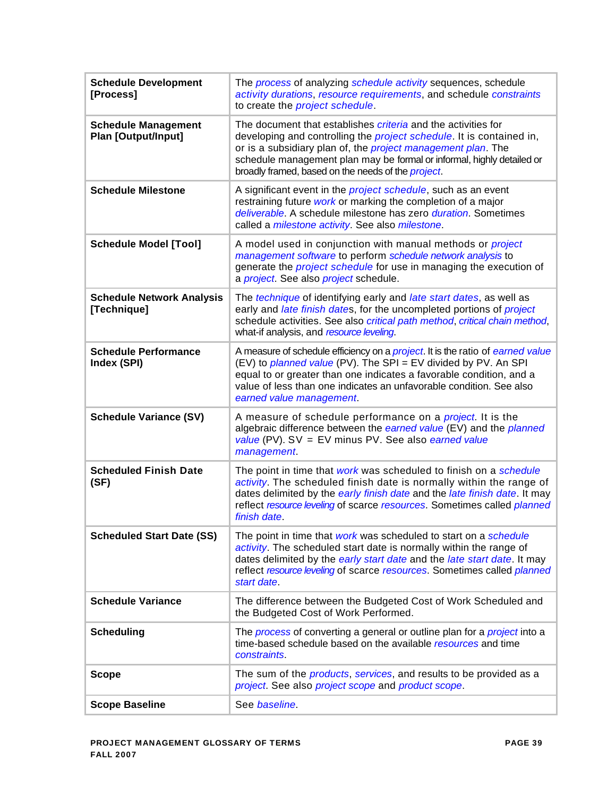| <b>Schedule Development</b><br>[Process]          | The <i>process</i> of analyzing <i>schedule activity</i> sequences, schedule<br>activity durations, resource requirements, and schedule constraints<br>to create the <i>project schedule</i> .                                                                                                                                                               |
|---------------------------------------------------|--------------------------------------------------------------------------------------------------------------------------------------------------------------------------------------------------------------------------------------------------------------------------------------------------------------------------------------------------------------|
| <b>Schedule Management</b><br>Plan [Output/Input] | The document that establishes <i>criteria</i> and the activities for<br>developing and controlling the <i>project schedule</i> . It is contained in,<br>or is a subsidiary plan of, the project management plan. The<br>schedule management plan may be formal or informal, highly detailed or<br>broadly framed, based on the needs of the <i>project</i> . |
| <b>Schedule Milestone</b>                         | A significant event in the <i>project schedule</i> , such as an event<br>restraining future work or marking the completion of a major<br>deliverable. A schedule milestone has zero duration. Sometimes<br>called a <i>milestone activity</i> . See also <i>milestone</i> .                                                                                  |
| <b>Schedule Model [Tool]</b>                      | A model used in conjunction with manual methods or <i>project</i><br>management software to perform schedule network analysis to<br>generate the <i>project schedule</i> for use in managing the execution of<br>a <i>project</i> . See also <i>project</i> schedule.                                                                                        |
| <b>Schedule Network Analysis</b><br>[Technique]   | The <i>technique</i> of identifying early and <i>late start dates</i> , as well as<br>early and late finish dates, for the uncompleted portions of <i>project</i><br>schedule activities. See also critical path method, critical chain method,<br>what-if analysis, and resource leveling.                                                                  |
| <b>Schedule Performance</b><br>Index (SPI)        | A measure of schedule efficiency on a <i>project</i> . It is the ratio of earned value<br>(EV) to <i>planned value</i> (PV). The SPI = EV divided by PV. An SPI<br>equal to or greater than one indicates a favorable condition, and a<br>value of less than one indicates an unfavorable condition. See also<br>earned value management.                    |
| <b>Schedule Variance (SV)</b>                     | A measure of schedule performance on a <i>project</i> . It is the<br>algebraic difference between the earned value (EV) and the planned<br>value (PV). $SV = EV$ minus PV. See also earned value<br>management.                                                                                                                                              |
| <b>Scheduled Finish Date</b><br>(SF)              | The point in time that work was scheduled to finish on a schedule<br>activity. The scheduled finish date is normally within the range of<br>dates delimited by the early finish date and the late finish date. It may<br>reflect resource leveling of scarce resources. Sometimes called planned<br>finish date                                              |
| <b>Scheduled Start Date (SS)</b>                  | The point in time that work was scheduled to start on a schedule<br>activity. The scheduled start date is normally within the range of<br>dates delimited by the early start date and the late start date. It may<br>reflect resource leveling of scarce resources. Sometimes called planned<br>start date.                                                  |
| <b>Schedule Variance</b>                          | The difference between the Budgeted Cost of Work Scheduled and<br>the Budgeted Cost of Work Performed.                                                                                                                                                                                                                                                       |
| <b>Scheduling</b>                                 | The <i>process</i> of converting a general or outline plan for a <i>project</i> into a<br>time-based schedule based on the available resources and time<br>constraints.                                                                                                                                                                                      |
| <b>Scope</b>                                      | The sum of the <i>products</i> , services, and results to be provided as a<br>project. See also project scope and product scope.                                                                                                                                                                                                                             |
| <b>Scope Baseline</b>                             | See baseline.                                                                                                                                                                                                                                                                                                                                                |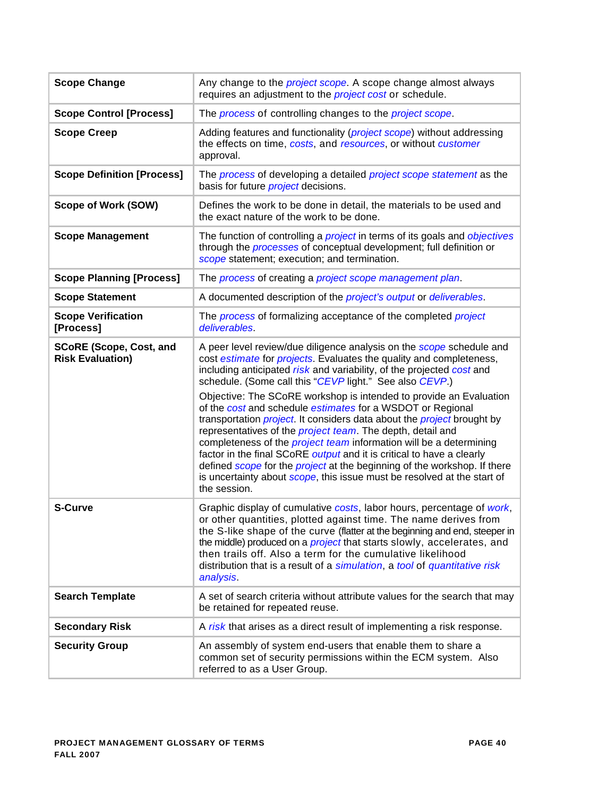| <b>Scope Change</b>                                       | Any change to the <i>project scope</i> . A scope change almost always<br>requires an adjustment to the <i>project cost</i> or schedule.                                                                                                                                                                                                                                                                                                                                                                                                                                                                                                                                                                                                                                                                                                                                                                                                      |
|-----------------------------------------------------------|----------------------------------------------------------------------------------------------------------------------------------------------------------------------------------------------------------------------------------------------------------------------------------------------------------------------------------------------------------------------------------------------------------------------------------------------------------------------------------------------------------------------------------------------------------------------------------------------------------------------------------------------------------------------------------------------------------------------------------------------------------------------------------------------------------------------------------------------------------------------------------------------------------------------------------------------|
| <b>Scope Control [Process]</b>                            | The <i>process</i> of controlling changes to the <i>project scope</i> .                                                                                                                                                                                                                                                                                                                                                                                                                                                                                                                                                                                                                                                                                                                                                                                                                                                                      |
| <b>Scope Creep</b>                                        | Adding features and functionality (project scope) without addressing<br>the effects on time, costs, and resources, or without customer<br>approval.                                                                                                                                                                                                                                                                                                                                                                                                                                                                                                                                                                                                                                                                                                                                                                                          |
| <b>Scope Definition [Process]</b>                         | The <i>process</i> of developing a detailed <i>project scope statement</i> as the<br>basis for future <i>project</i> decisions.                                                                                                                                                                                                                                                                                                                                                                                                                                                                                                                                                                                                                                                                                                                                                                                                              |
| Scope of Work (SOW)                                       | Defines the work to be done in detail, the materials to be used and<br>the exact nature of the work to be done.                                                                                                                                                                                                                                                                                                                                                                                                                                                                                                                                                                                                                                                                                                                                                                                                                              |
| <b>Scope Management</b>                                   | The function of controlling a <i>project</i> in terms of its goals and <i>objectives</i><br>through the <i>processes</i> of conceptual development; full definition or<br>scope statement; execution; and termination.                                                                                                                                                                                                                                                                                                                                                                                                                                                                                                                                                                                                                                                                                                                       |
| <b>Scope Planning [Process]</b>                           | The process of creating a project scope management plan.                                                                                                                                                                                                                                                                                                                                                                                                                                                                                                                                                                                                                                                                                                                                                                                                                                                                                     |
| <b>Scope Statement</b>                                    | A documented description of the <i>project's output</i> or <i>deliverables</i> .                                                                                                                                                                                                                                                                                                                                                                                                                                                                                                                                                                                                                                                                                                                                                                                                                                                             |
| <b>Scope Verification</b><br>[Process]                    | The <i>process</i> of formalizing acceptance of the completed <i>project</i><br>deliverables.                                                                                                                                                                                                                                                                                                                                                                                                                                                                                                                                                                                                                                                                                                                                                                                                                                                |
| <b>SCoRE (Scope, Cost, and</b><br><b>Risk Evaluation)</b> | A peer level review/due diligence analysis on the scope schedule and<br>cost <i>estimate</i> for <i>projects</i> . Evaluates the quality and completeness,<br>including anticipated risk and variability, of the projected cost and<br>schedule. (Some call this "CEVP light." See also CEVP.)<br>Objective: The SCoRE workshop is intended to provide an Evaluation<br>of the cost and schedule estimates for a WSDOT or Regional<br>transportation <i>project</i> . It considers data about the <i>project</i> brought by<br>representatives of the <i>project team</i> . The depth, detail and<br>completeness of the <i>project team</i> information will be a determining<br>factor in the final SCoRE output and it is critical to have a clearly<br>defined <i>scope</i> for the <i>project</i> at the beginning of the workshop. If there<br>is uncertainty about scope, this issue must be resolved at the start of<br>the session. |
| <b>S-Curve</b>                                            | Graphic display of cumulative costs, labor hours, percentage of work,<br>or other quantities, plotted against time. The name derives from<br>the S-like shape of the curve (flatter at the beginning and end, steeper in<br>the middle) produced on a <i>project</i> that starts slowly, accelerates, and<br>then trails off. Also a term for the cumulative likelihood<br>distribution that is a result of a simulation, a tool of quantitative risk<br>analysis.                                                                                                                                                                                                                                                                                                                                                                                                                                                                           |
| <b>Search Template</b>                                    | A set of search criteria without attribute values for the search that may<br>be retained for repeated reuse.                                                                                                                                                                                                                                                                                                                                                                                                                                                                                                                                                                                                                                                                                                                                                                                                                                 |
| <b>Secondary Risk</b>                                     | A risk that arises as a direct result of implementing a risk response.                                                                                                                                                                                                                                                                                                                                                                                                                                                                                                                                                                                                                                                                                                                                                                                                                                                                       |
| <b>Security Group</b>                                     | An assembly of system end-users that enable them to share a<br>common set of security permissions within the ECM system. Also<br>referred to as a User Group.                                                                                                                                                                                                                                                                                                                                                                                                                                                                                                                                                                                                                                                                                                                                                                                |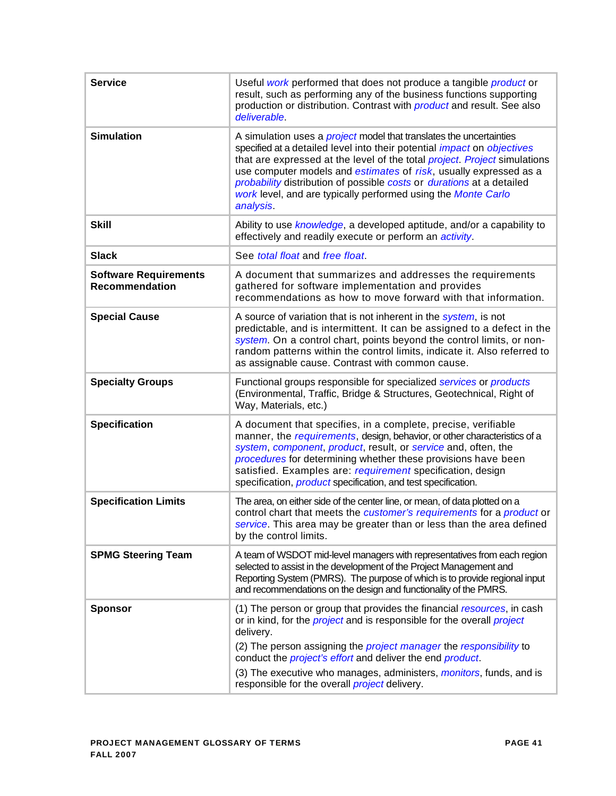| <b>Service</b>                                        | Useful work performed that does not produce a tangible product or<br>result, such as performing any of the business functions supporting<br>production or distribution. Contrast with <i>product</i> and result. See also<br>deliverable.                                                                                                                                                                                                                                           |
|-------------------------------------------------------|-------------------------------------------------------------------------------------------------------------------------------------------------------------------------------------------------------------------------------------------------------------------------------------------------------------------------------------------------------------------------------------------------------------------------------------------------------------------------------------|
| <b>Simulation</b>                                     | A simulation uses a <i>project</i> model that translates the uncertainties<br>specified at a detailed level into their potential <i>impact</i> on <i>objectives</i><br>that are expressed at the level of the total project. Project simulations<br>use computer models and <i>estimates</i> of risk, usually expressed as a<br>probability distribution of possible costs or durations at a detailed<br>work level, and are typically performed using the Monte Carlo<br>analysis. |
| <b>Skill</b>                                          | Ability to use knowledge, a developed aptitude, and/or a capability to<br>effectively and readily execute or perform an <i>activity</i> .                                                                                                                                                                                                                                                                                                                                           |
| <b>Slack</b>                                          | See total float and free float.                                                                                                                                                                                                                                                                                                                                                                                                                                                     |
| <b>Software Requirements</b><br><b>Recommendation</b> | A document that summarizes and addresses the requirements<br>gathered for software implementation and provides<br>recommendations as how to move forward with that information.                                                                                                                                                                                                                                                                                                     |
| <b>Special Cause</b>                                  | A source of variation that is not inherent in the system, is not<br>predictable, and is intermittent. It can be assigned to a defect in the<br>system. On a control chart, points beyond the control limits, or non-<br>random patterns within the control limits, indicate it. Also referred to<br>as assignable cause. Contrast with common cause.                                                                                                                                |
| <b>Specialty Groups</b>                               | Functional groups responsible for specialized services or products<br>(Environmental, Traffic, Bridge & Structures, Geotechnical, Right of<br>Way, Materials, etc.)                                                                                                                                                                                                                                                                                                                 |
| <b>Specification</b>                                  | A document that specifies, in a complete, precise, verifiable<br>manner, the requirements, design, behavior, or other characteristics of a<br>system, component, product, result, or service and, often, the<br>procedures for determining whether these provisions have been<br>satisfied. Examples are: requirement specification, design<br>specification, <i>product</i> specification, and test specification.                                                                 |
| <b>Specification Limits</b>                           | The area, on either side of the center line, or mean, of data plotted on a<br>control chart that meets the <i>customer's requirements</i> for a <i>product</i> or<br>service. This area may be greater than or less than the area defined<br>by the control limits.                                                                                                                                                                                                                 |
| <b>SPMG Steering Team</b>                             | A team of WSDOT mid-level managers with representatives from each region<br>selected to assist in the development of the Project Management and<br>Reporting System (PMRS). The purpose of which is to provide regional input<br>and recommendations on the design and functionality of the PMRS.                                                                                                                                                                                   |
| <b>Sponsor</b>                                        | (1) The person or group that provides the financial resources, in cash<br>or in kind, for the <i>project</i> and is responsible for the overall <i>project</i><br>delivery.<br>(2) The person assigning the <i>project manager</i> the <i>responsibility</i> to<br>conduct the <i>project's effort</i> and deliver the end <i>product</i> .<br>(3) The executive who manages, administers, <i>monitors</i> , funds, and is<br>responsible for the overall project delivery.         |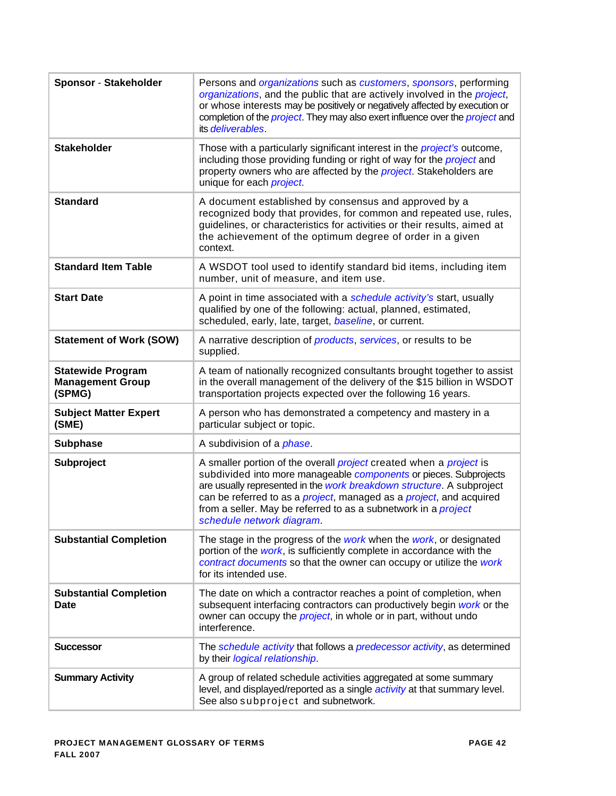| Sponsor - Stakeholder                                         | Persons and <i>organizations</i> such as <i>customers</i> , <i>sponsors</i> , performing<br>organizations, and the public that are actively involved in the project,<br>or whose interests may be positively or negatively affected by execution or<br>completion of the <i>project</i> . They may also exert influence over the <i>project</i> and<br>its deliverables                                                     |
|---------------------------------------------------------------|-----------------------------------------------------------------------------------------------------------------------------------------------------------------------------------------------------------------------------------------------------------------------------------------------------------------------------------------------------------------------------------------------------------------------------|
| <b>Stakeholder</b>                                            | Those with a particularly significant interest in the <i>project's</i> outcome,<br>including those providing funding or right of way for the <i>project</i> and<br>property owners who are affected by the <i>project</i> . Stakeholders are<br>unique for each <i>project</i> .                                                                                                                                            |
| <b>Standard</b>                                               | A document established by consensus and approved by a<br>recognized body that provides, for common and repeated use, rules,<br>guidelines, or characteristics for activities or their results, aimed at<br>the achievement of the optimum degree of order in a given<br>context.                                                                                                                                            |
| <b>Standard Item Table</b>                                    | A WSDOT tool used to identify standard bid items, including item<br>number, unit of measure, and item use.                                                                                                                                                                                                                                                                                                                  |
| <b>Start Date</b>                                             | A point in time associated with a <i>schedule activity's</i> start, usually<br>qualified by one of the following: actual, planned, estimated,<br>scheduled, early, late, target, baseline, or current.                                                                                                                                                                                                                      |
| <b>Statement of Work (SOW)</b>                                | A narrative description of <i>products</i> , services, or results to be<br>supplied.                                                                                                                                                                                                                                                                                                                                        |
| <b>Statewide Program</b><br><b>Management Group</b><br>(SPMG) | A team of nationally recognized consultants brought together to assist<br>in the overall management of the delivery of the \$15 billion in WSDOT<br>transportation projects expected over the following 16 years.                                                                                                                                                                                                           |
| <b>Subject Matter Expert</b><br>(SME)                         | A person who has demonstrated a competency and mastery in a<br>particular subject or topic.                                                                                                                                                                                                                                                                                                                                 |
| <b>Subphase</b>                                               | A subdivision of a <i>phase</i> .                                                                                                                                                                                                                                                                                                                                                                                           |
| Subproject                                                    | A smaller portion of the overall <i>project</i> created when a <i>project</i> is<br>subdivided into more manageable components or pieces. Subprojects<br>are usually represented in the work breakdown structure. A subproject<br>can be referred to as a <i>project</i> , managed as a <i>project</i> , and acquired<br>from a seller. May be referred to as a subnetwork in a <i>project</i><br>schedule network diagram. |
| <b>Substantial Completion</b>                                 | The stage in the progress of the work when the work, or designated<br>portion of the work, is sufficiently complete in accordance with the<br>contract documents so that the owner can occupy or utilize the work<br>for its intended use.                                                                                                                                                                                  |
| <b>Substantial Completion</b><br><b>Date</b>                  | The date on which a contractor reaches a point of completion, when<br>subsequent interfacing contractors can productively begin work or the<br>owner can occupy the <i>project</i> , in whole or in part, without undo<br>interference.                                                                                                                                                                                     |
| <b>Successor</b>                                              | The schedule activity that follows a predecessor activity, as determined<br>by their <i>logical relationship</i> .                                                                                                                                                                                                                                                                                                          |
| <b>Summary Activity</b>                                       | A group of related schedule activities aggregated at some summary<br>level, and displayed/reported as a single <i>activity</i> at that summary level.<br>See also subproject and subnetwork.                                                                                                                                                                                                                                |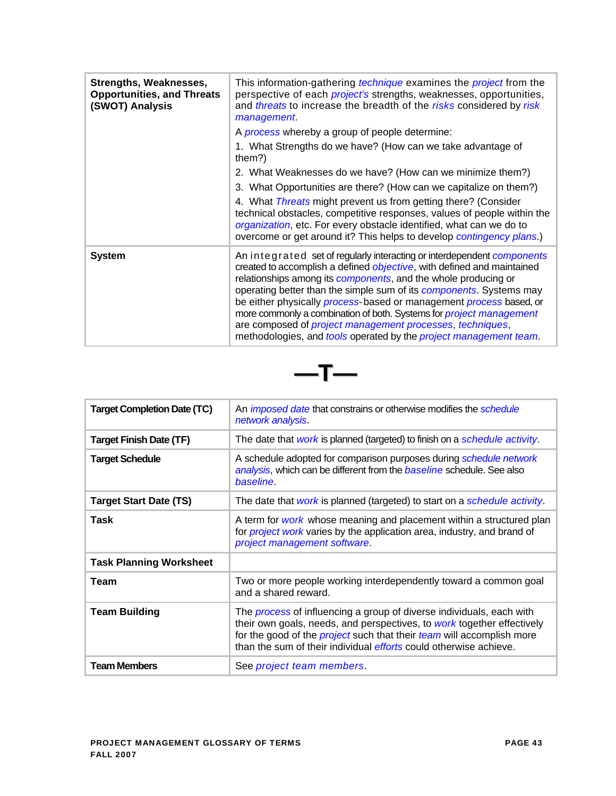| Strengths, Weaknesses,<br><b>Opportunities, and Threats</b><br>(SWOT) Analysis | This information-gathering <i>technique</i> examines the <i>project</i> from the<br>perspective of each <i>project's</i> strengths, weaknesses, opportunities,<br>and <i>threats</i> to increase the breadth of the risks considered by risk<br>management.<br>A <i>process</i> whereby a group of people determine:<br>1. What Strengths do we have? (How can we take advantage of<br>them?)<br>2. What Weaknesses do we have? (How can we minimize them?)<br>3. What Opportunities are there? (How can we capitalize on them?)<br>4. What <i>Threats</i> might prevent us from getting there? (Consider<br>technical obstacles, competitive responses, values of people within the<br>organization, etc. For every obstacle identified, what can we do to<br>overcome or get around it? This helps to develop contingency plans.) |
|--------------------------------------------------------------------------------|-------------------------------------------------------------------------------------------------------------------------------------------------------------------------------------------------------------------------------------------------------------------------------------------------------------------------------------------------------------------------------------------------------------------------------------------------------------------------------------------------------------------------------------------------------------------------------------------------------------------------------------------------------------------------------------------------------------------------------------------------------------------------------------------------------------------------------------|
| <b>System</b>                                                                  | An integrated set of regularly interacting or interdependent components<br>created to accomplish a defined objective, with defined and maintained<br>relationships among its <i>components</i> , and the whole producing or<br>operating better than the simple sum of its <i>components</i> . Systems may<br>be either physically <i>process</i> -based or management <i>process</i> based, or<br>more commonly a combination of both. Systems for <i>project management</i><br>are composed of project management processes, techniques,<br>methodologies, and <i>tools</i> operated by the <i>project management team</i> .                                                                                                                                                                                                      |

| <b>Target Completion Date (TC)</b> | An <i>imposed date</i> that constrains or otherwise modifies the <i>schedule</i><br>network analysis                                                                                                                                                                                                              |
|------------------------------------|-------------------------------------------------------------------------------------------------------------------------------------------------------------------------------------------------------------------------------------------------------------------------------------------------------------------|
| <b>Target Finish Date (TF)</b>     | The date that work is planned (targeted) to finish on a schedule activity.                                                                                                                                                                                                                                        |
| <b>Target Schedule</b>             | A schedule adopted for comparison purposes during schedule network<br>analysis, which can be different from the baseline schedule. See also<br>baseline.                                                                                                                                                          |
| <b>Target Start Date (TS)</b>      | The date that work is planned (targeted) to start on a <i>schedule activity</i> .                                                                                                                                                                                                                                 |
| Task                               | A term for <i>work</i> whose meaning and placement within a structured plan<br>for <i>project work</i> varies by the application area, industry, and brand of<br>project management software.                                                                                                                     |
| <b>Task Planning Worksheet</b>     |                                                                                                                                                                                                                                                                                                                   |
| Team                               | Two or more people working interdependently toward a common goal<br>and a shared reward.                                                                                                                                                                                                                          |
| <b>Team Building</b>               | The <i>process</i> of influencing a group of diverse individuals, each with<br>their own goals, needs, and perspectives, to work together effectively<br>for the good of the <i>project</i> such that their team will accomplish more<br>than the sum of their individual <i>efforts</i> could otherwise achieve. |
| <b>Team Members</b>                | See project team members.                                                                                                                                                                                                                                                                                         |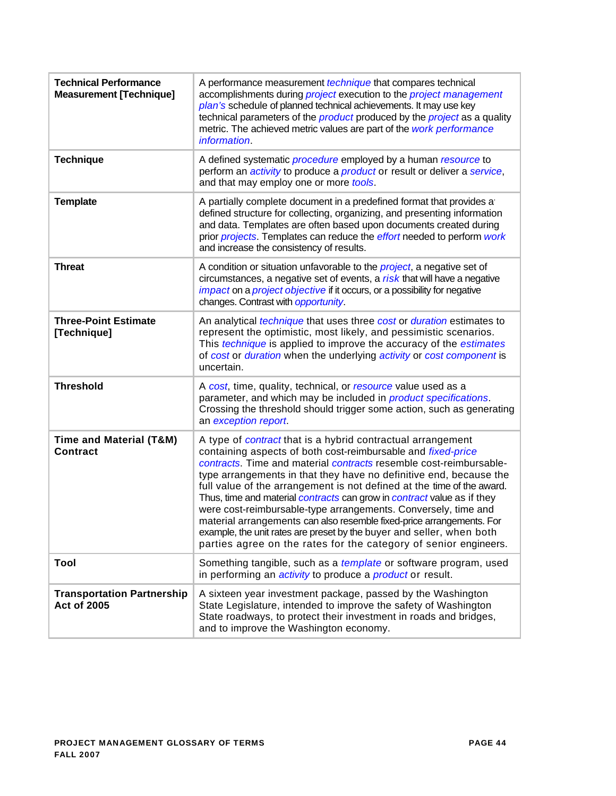| <b>Technical Performance</b><br><b>Measurement [Technique]</b> | A performance measurement <i>technique</i> that compares technical<br>accomplishments during project execution to the project management<br>plan's schedule of planned technical achievements. It may use key<br>technical parameters of the <i>product</i> produced by the <i>project</i> as a quality<br>metric. The achieved metric values are part of the work performance<br><i>information</i>                                                                                                                                                                                                                                                                                                                        |
|----------------------------------------------------------------|-----------------------------------------------------------------------------------------------------------------------------------------------------------------------------------------------------------------------------------------------------------------------------------------------------------------------------------------------------------------------------------------------------------------------------------------------------------------------------------------------------------------------------------------------------------------------------------------------------------------------------------------------------------------------------------------------------------------------------|
| <b>Technique</b>                                               | A defined systematic <i>procedure</i> employed by a human <i>resource</i> to<br>perform an <i>activity</i> to produce a <i>product</i> or result or deliver a service,<br>and that may employ one or more tools.                                                                                                                                                                                                                                                                                                                                                                                                                                                                                                            |
| <b>Template</b>                                                | A partially complete document in a predefined format that provides a'<br>defined structure for collecting, organizing, and presenting information<br>and data. Templates are often based upon documents created during<br>prior <i>projects</i> . Templates can reduce the <i>effort</i> needed to perform work<br>and increase the consistency of results.                                                                                                                                                                                                                                                                                                                                                                 |
| <b>Threat</b>                                                  | A condition or situation unfavorable to the <i>project</i> , a negative set of<br>circumstances, a negative set of events, a risk that will have a negative<br><i>impact</i> on a <i>project objective</i> if it occurs, or a possibility for negative<br>changes. Contrast with opportunity.                                                                                                                                                                                                                                                                                                                                                                                                                               |
| <b>Three-Point Estimate</b><br>[Technique]                     | An analytical <i>technique</i> that uses three cost or duration estimates to<br>represent the optimistic, most likely, and pessimistic scenarios.<br>This <i>technique</i> is applied to improve the accuracy of the <i>estimates</i><br>of cost or duration when the underlying activity or cost component is<br>uncertain.                                                                                                                                                                                                                                                                                                                                                                                                |
| <b>Threshold</b>                                               | A cost, time, quality, technical, or resource value used as a<br>parameter, and which may be included in <i>product specifications</i> .<br>Crossing the threshold should trigger some action, such as generating<br>an exception report.                                                                                                                                                                                                                                                                                                                                                                                                                                                                                   |
| Time and Material (T&M)<br><b>Contract</b>                     | A type of <i>contract</i> that is a hybrid contractual arrangement<br>containing aspects of both cost-reimbursable and fixed-price<br>contracts. Time and material contracts resemble cost-reimbursable-<br>type arrangements in that they have no definitive end, because the<br>full value of the arrangement is not defined at the time of the award.<br>Thus, time and material contracts can grow in contract value as if they<br>were cost-reimbursable-type arrangements. Conversely, time and<br>material arrangements can also resemble fixed-price arrangements. For<br>example, the unit rates are preset by the buyer and seller, when both<br>parties agree on the rates for the category of senior engineers. |
| <b>Tool</b>                                                    | Something tangible, such as a <i>template</i> or software program, used<br>in performing an <i>activity</i> to produce a <i>product</i> or result.                                                                                                                                                                                                                                                                                                                                                                                                                                                                                                                                                                          |
| <b>Transportation Partnership</b><br><b>Act of 2005</b>        | A sixteen year investment package, passed by the Washington<br>State Legislature, intended to improve the safety of Washington<br>State roadways, to protect their investment in roads and bridges,<br>and to improve the Washington economy.                                                                                                                                                                                                                                                                                                                                                                                                                                                                               |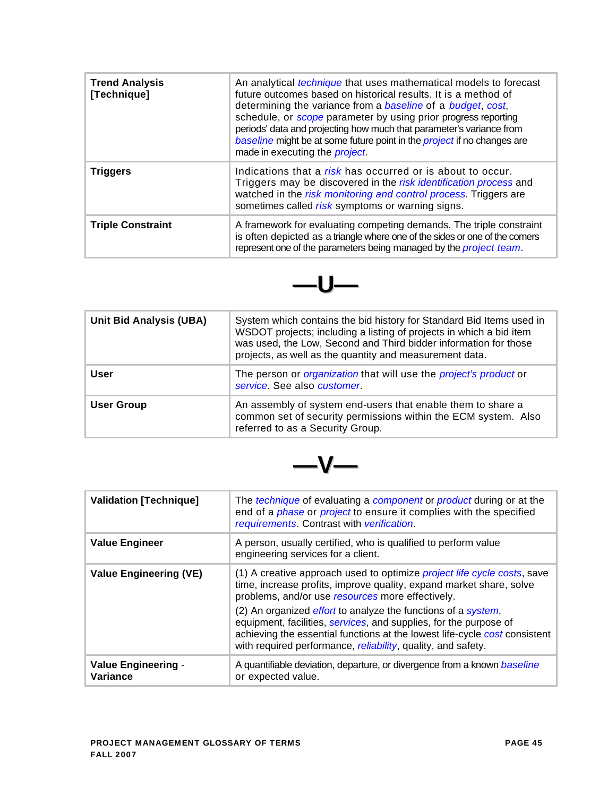| <b>Trend Analysis</b><br>[Technique] | An analytical <i>technique</i> that uses mathematical models to forecast<br>future outcomes based on historical results. It is a method of<br>determining the variance from a <b>baseline</b> of a <b>budget</b> , cost,<br>schedule, or <i>scope</i> parameter by using prior progress reporting<br>periods' data and projecting how much that parameter's variance from<br>baseline might be at some future point in the <i>project</i> if no changes are<br>made in executing the <i>project</i> . |
|--------------------------------------|-------------------------------------------------------------------------------------------------------------------------------------------------------------------------------------------------------------------------------------------------------------------------------------------------------------------------------------------------------------------------------------------------------------------------------------------------------------------------------------------------------|
| <b>Triggers</b>                      | Indications that a risk has occurred or is about to occur.<br>Triggers may be discovered in the risk identification process and<br>watched in the risk monitoring and control process. Triggers are<br>sometimes called risk symptoms or warning signs.                                                                                                                                                                                                                                               |
| <b>Triple Constraint</b>             | A framework for evaluating competing demands. The triple constraint<br>is often depicted as a triangle where one of the sides or one of the comers<br>represent one of the parameters being managed by the project team.                                                                                                                                                                                                                                                                              |



| <b>Unit Bid Analysis (UBA)</b> | System which contains the bid history for Standard Bid Items used in<br>WSDOT projects; including a listing of projects in which a bid item<br>was used, the Low, Second and Third bidder information for those<br>projects, as well as the quantity and measurement data. |
|--------------------------------|----------------------------------------------------------------------------------------------------------------------------------------------------------------------------------------------------------------------------------------------------------------------------|
| <b>User</b>                    | The person or <i>organization</i> that will use the <i>project's product</i> or<br>service. See also customer.                                                                                                                                                             |
| <b>User Group</b>              | An assembly of system end-users that enable them to share a<br>common set of security permissions within the ECM system. Also<br>referred to as a Security Group.                                                                                                          |



| <b>Validation [Technique]</b>          | The <i>technique</i> of evaluating a <i>component</i> or <i>product</i> during or at the<br>end of a <i>phase</i> or <i>project</i> to ensure it complies with the specified<br>requirements. Contrast with verification.                                                                                                                                                                                                                                                                                     |
|----------------------------------------|---------------------------------------------------------------------------------------------------------------------------------------------------------------------------------------------------------------------------------------------------------------------------------------------------------------------------------------------------------------------------------------------------------------------------------------------------------------------------------------------------------------|
| <b>Value Engineer</b>                  | A person, usually certified, who is qualified to perform value<br>engineering services for a client.                                                                                                                                                                                                                                                                                                                                                                                                          |
| <b>Value Engineering (VE)</b>          | (1) A creative approach used to optimize <i>project life cycle costs</i> , save<br>time, increase profits, improve quality, expand market share, solve<br>problems, and/or use resources more effectively.<br>(2) An organized <i>effort</i> to analyze the functions of a <i>system</i> ,<br>equipment, facilities, services, and supplies, for the purpose of<br>achieving the essential functions at the lowest life-cycle cost consistent<br>with required performance, reliability, quality, and safety. |
| <b>Value Engineering -</b><br>Variance | A quantifiable deviation, departure, or divergence from a known baseline<br>or expected value.                                                                                                                                                                                                                                                                                                                                                                                                                |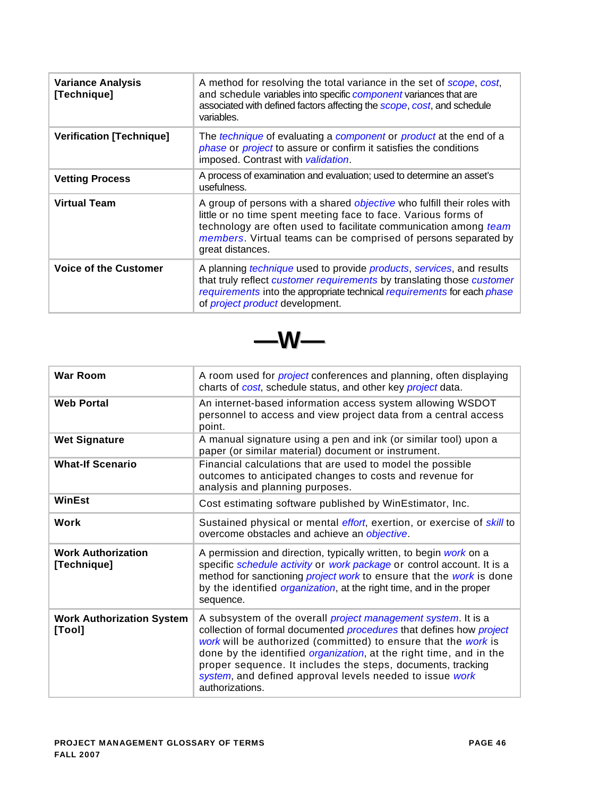| <b>Variance Analysis</b><br>[Technique] | A method for resolving the total variance in the set of <i>scope</i> , cost,<br>and schedule variables into specific component variances that are<br>associated with defined factors affecting the scope, cost, and schedule<br>variables.                                                                  |
|-----------------------------------------|-------------------------------------------------------------------------------------------------------------------------------------------------------------------------------------------------------------------------------------------------------------------------------------------------------------|
| <b>Verification [Technique]</b>         | The <i>technique</i> of evaluating a <i>component</i> or <i>product</i> at the end of a<br>phase or <i>project</i> to assure or confirm it satisfies the conditions<br>imposed. Contrast with validation.                                                                                                   |
| <b>Vetting Process</b>                  | A process of examination and evaluation; used to determine an asset's<br>usefulness.                                                                                                                                                                                                                        |
| <b>Virtual Team</b>                     | A group of persons with a shared <i>objective</i> who fulfill their roles with<br>little or no time spent meeting face to face. Various forms of<br>technology are often used to facilitate communication among team<br>members. Virtual teams can be comprised of persons separated by<br>great distances. |
| <b>Voice of the Customer</b>            | A planning <i>technique</i> used to provide <i>products</i> , <i>services</i> , and results<br>that truly reflect customer requirements by translating those customer<br>requirements into the appropriate technical requirements for each phase<br>of <i>project product</i> development.                  |



| <b>War Room</b>                            | A room used for <i>project</i> conferences and planning, often displaying<br>charts of cost, schedule status, and other key project data.                                                                                                                                                                                                                                                                                          |
|--------------------------------------------|------------------------------------------------------------------------------------------------------------------------------------------------------------------------------------------------------------------------------------------------------------------------------------------------------------------------------------------------------------------------------------------------------------------------------------|
| <b>Web Portal</b>                          | An internet-based information access system allowing WSDOT<br>personnel to access and view project data from a central access<br>point.                                                                                                                                                                                                                                                                                            |
| <b>Wet Signature</b>                       | A manual signature using a pen and ink (or similar tool) upon a<br>paper (or similar material) document or instrument.                                                                                                                                                                                                                                                                                                             |
| <b>What-If Scenario</b>                    | Financial calculations that are used to model the possible<br>outcomes to anticipated changes to costs and revenue for<br>analysis and planning purposes.                                                                                                                                                                                                                                                                          |
| <b>WinEst</b>                              | Cost estimating software published by WinEstimator, Inc.                                                                                                                                                                                                                                                                                                                                                                           |
| Work                                       | Sustained physical or mental <i>effort</i> , exertion, or exercise of <i>skill</i> to<br>overcome obstacles and achieve an objective.                                                                                                                                                                                                                                                                                              |
| <b>Work Authorization</b><br>[Technique]   | A permission and direction, typically written, to begin work on a<br>specific schedule activity or work package or control account. It is a<br>method for sanctioning <i>project work</i> to ensure that the work is done<br>by the identified <i>organization</i> , at the right time, and in the proper<br>sequence.                                                                                                             |
| <b>Work Authorization System</b><br>[Tool] | A subsystem of the overall <i>project management system</i> . It is a<br>collection of formal documented procedures that defines how project<br>work will be authorized (committed) to ensure that the work is<br>done by the identified organization, at the right time, and in the<br>proper sequence. It includes the steps, documents, tracking<br>system, and defined approval levels needed to issue work<br>authorizations. |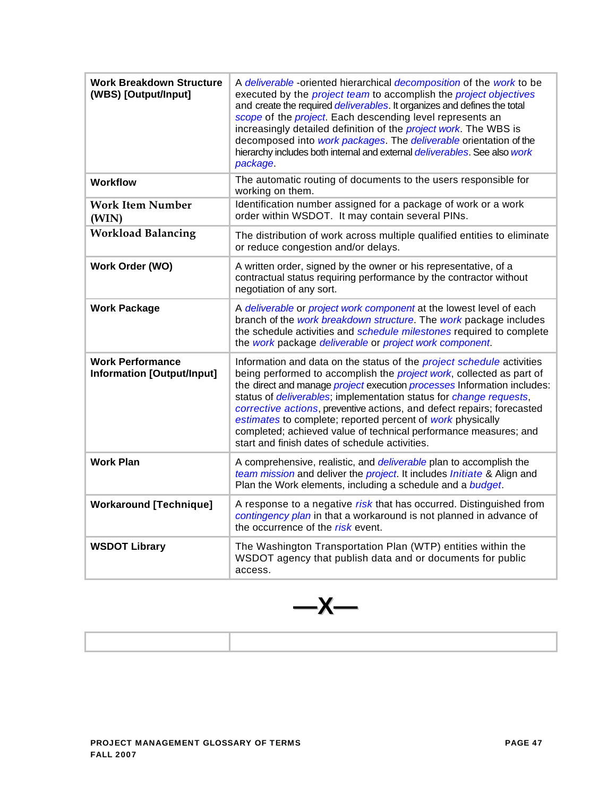| <b>Work Breakdown Structure</b><br>(WBS) [Output/Input]      | A deliverable -oriented hierarchical decomposition of the work to be<br>executed by the <i>project team</i> to accomplish the <i>project objectives</i><br>and create the required <i>deliverables</i> . It organizes and defines the total<br>scope of the project. Each descending level represents an<br>increasingly detailed definition of the <i>project work</i> . The WBS is<br>decomposed into work packages. The deliverable orientation of the<br>hierarchy includes both internal and external <i>deliverables</i> . See also work<br>package.                                                |
|--------------------------------------------------------------|-----------------------------------------------------------------------------------------------------------------------------------------------------------------------------------------------------------------------------------------------------------------------------------------------------------------------------------------------------------------------------------------------------------------------------------------------------------------------------------------------------------------------------------------------------------------------------------------------------------|
| <b>Workflow</b>                                              | The automatic routing of documents to the users responsible for<br>working on them.                                                                                                                                                                                                                                                                                                                                                                                                                                                                                                                       |
| <b>Work Item Number</b><br>(WIN)                             | Identification number assigned for a package of work or a work<br>order within WSDOT. It may contain several PINs.                                                                                                                                                                                                                                                                                                                                                                                                                                                                                        |
| <b>Workload Balancing</b>                                    | The distribution of work across multiple qualified entities to eliminate<br>or reduce congestion and/or delays.                                                                                                                                                                                                                                                                                                                                                                                                                                                                                           |
| Work Order (WO)                                              | A written order, signed by the owner or his representative, of a<br>contractual status requiring performance by the contractor without<br>negotiation of any sort.                                                                                                                                                                                                                                                                                                                                                                                                                                        |
| <b>Work Package</b>                                          | A deliverable or project work component at the lowest level of each<br>branch of the work breakdown structure. The work package includes<br>the schedule activities and schedule milestones required to complete<br>the work package deliverable or project work component.                                                                                                                                                                                                                                                                                                                               |
| <b>Work Performance</b><br><b>Information [Output/Input]</b> | Information and data on the status of the <i>project schedule</i> activities<br>being performed to accomplish the <i>project work</i> , collected as part of<br>the direct and manage <i>project</i> execution <i>processes</i> Information includes:<br>status of <i>deliverables</i> ; implementation status for <i>change requests</i> ,<br>corrective actions, preventive actions, and defect repairs; forecasted<br>estimates to complete; reported percent of work physically<br>completed; achieved value of technical performance measures; and<br>start and finish dates of schedule activities. |
| <b>Work Plan</b>                                             | A comprehensive, realistic, and deliverable plan to accomplish the<br>team mission and deliver the project. It includes Initiate & Align and<br>Plan the Work elements, including a schedule and a <b>budget</b> .                                                                                                                                                                                                                                                                                                                                                                                        |
| <b>Workaround [Technique]</b>                                | A response to a negative risk that has occurred. Distinguished from<br>contingency plan in that a workaround is not planned in advance of<br>the occurrence of the risk event.                                                                                                                                                                                                                                                                                                                                                                                                                            |
| <b>WSDOT Library</b>                                         | The Washington Transportation Plan (WTP) entities within the<br>WSDOT agency that publish data and or documents for public<br>access.                                                                                                                                                                                                                                                                                                                                                                                                                                                                     |